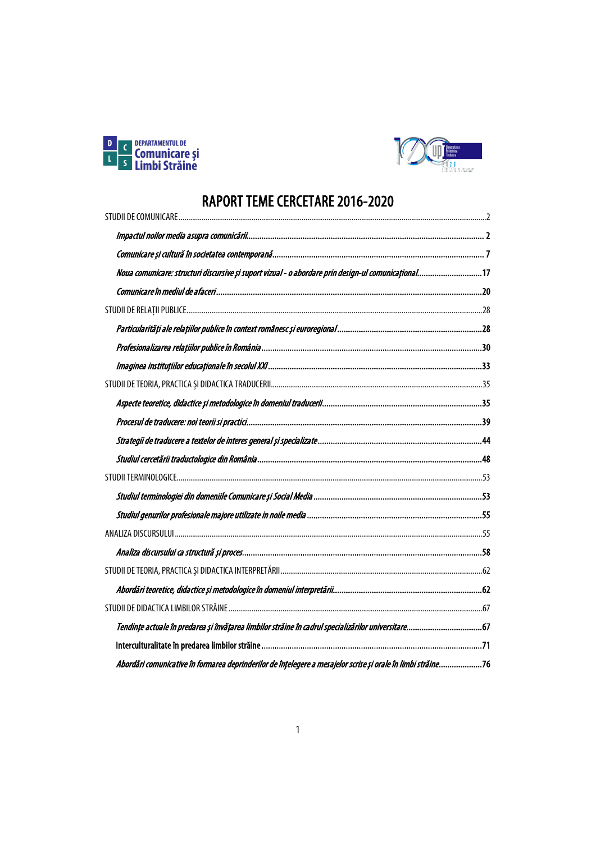



# RAPORT TEME CERCETARE 2016-2020<br>EUDILDE COMUNICARE

| Noua comunicare: structuri discursive și suport vizual - o abordare prin design-ul comunicațional17          |  |
|--------------------------------------------------------------------------------------------------------------|--|
|                                                                                                              |  |
|                                                                                                              |  |
|                                                                                                              |  |
|                                                                                                              |  |
|                                                                                                              |  |
|                                                                                                              |  |
|                                                                                                              |  |
|                                                                                                              |  |
|                                                                                                              |  |
|                                                                                                              |  |
|                                                                                                              |  |
|                                                                                                              |  |
|                                                                                                              |  |
|                                                                                                              |  |
|                                                                                                              |  |
|                                                                                                              |  |
|                                                                                                              |  |
|                                                                                                              |  |
|                                                                                                              |  |
|                                                                                                              |  |
| Abordări comunicative în formarea deprinderilor de înțelegere a mesajelor scrise și orale în limbi străine76 |  |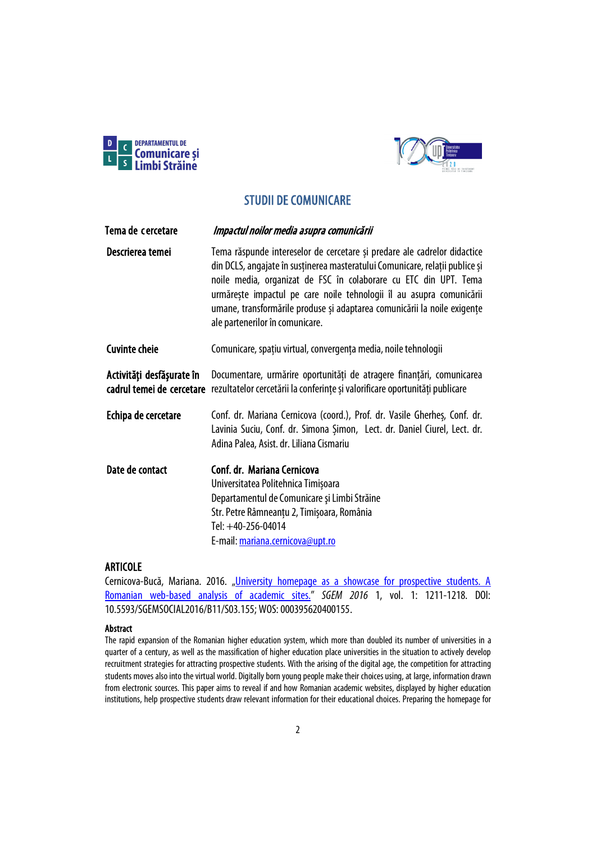



# STUDII DE COMUNICARE

<span id="page-1-1"></span><span id="page-1-0"></span>

| Tema de cercetare         | Impactul noilor media asupra comunicării                                                                                                                                                                                                                                                                                                                                                                            |
|---------------------------|---------------------------------------------------------------------------------------------------------------------------------------------------------------------------------------------------------------------------------------------------------------------------------------------------------------------------------------------------------------------------------------------------------------------|
| Descrierea temei          | Tema răspunde intereselor de cercetare și predare ale cadrelor didactice<br>din DCLS, angajate în susținerea masteratului Comunicare, relații publice și<br>noile media, organizat de FSC în colaborare cu ETC din UPT. Tema<br>urmărește impactul pe care noile tehnologii îl au asupra comunicării<br>umane, transformările produse și adaptarea comunicării la noile exigențe<br>ale partenerilor în comunicare. |
| <b>Cuvinte cheie</b>      | Comunicare, spațiu virtual, convergența media, noile tehnologii                                                                                                                                                                                                                                                                                                                                                     |
| Activități desfășurate în | Documentare, urmărire oportunități de atragere finanțări, comunicarea<br>cadrul temei de cercetare rezultatelor cercetării la conferințe și valorificare oportunități publicare                                                                                                                                                                                                                                     |
| Echipa de cercetare       | Conf. dr. Mariana Cernicova (coord.), Prof. dr. Vasile Gherhes, Conf. dr.<br>Lavinia Suciu, Conf. dr. Simona Şimon, Lect. dr. Daniel Ciurel, Lect. dr.<br>Adina Palea, Asist. dr. Liliana Cismariu                                                                                                                                                                                                                  |
| Date de contact           | Conf. dr. Mariana Cernicova<br>Universitatea Politehnica Timișoara<br>Departamentul de Comunicare și Limbi Străine<br>Str. Petre Râmneanțu 2, Timișoara, România<br>Tel: +40-256-04014<br>E-mail: mariana.cernicova@upt.ro                                                                                                                                                                                          |

# ARTICOLE

Cernicova-Bucă, Mariana. 2016. "University homepage as a showcase for prospective students. A [Romanian web-based analysis of academic sites."](https://www.sgemsocial.org/ssgemlib/spip.php?article2426) *SGEM 2016* 1, vol. 1: 1211-1218. DOI: 10.5593/SGEMSOCIAL2016/B11/S03.155; WOS:000395620400155.

### Abstract

The rapid expansion of the Romanian higher education system, which more than doubled its number of universities in a quarter of a century, as well as the massification of higher education place universities in the situation to actively develop recruitment strategies for attracting prospective students. With the arising of the digital age, the competition for attracting students moves also into the virtual world. Digitally born young people make their choices using, at large, information drawn from electronic sources. This paper aims to reveal if and how Romanian academic websites, displayed by higher education institutions, help prospective students draw relevant information for their educational choices. Preparing the homepage for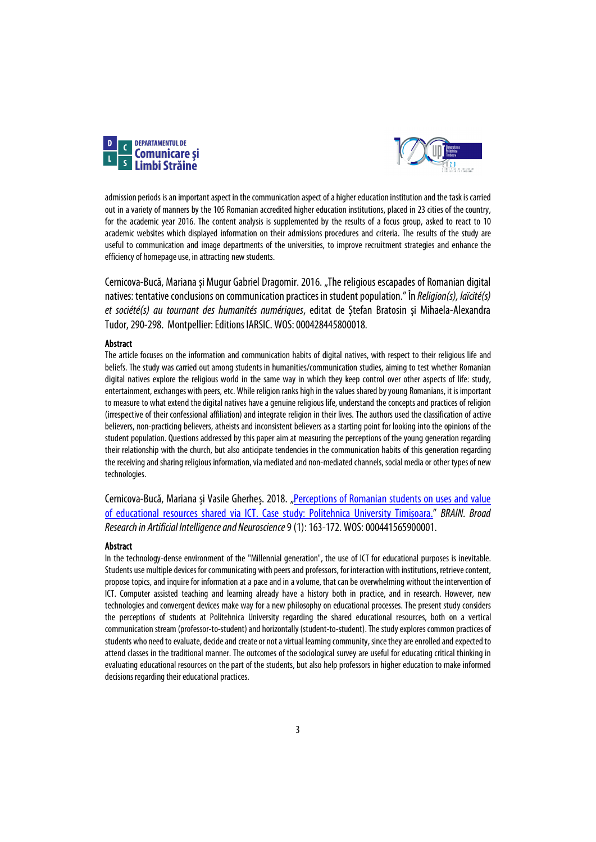



admission periods is an important aspect in the communication aspect of a higher education institution and the task is carried out in a variety of manners by the 105 Romanian accredited higher education institutions, placed in 23 cities of the country, for the academic year 2016. The content analysis is supplemented by the results of a focus group, asked to react to 10 academic websites which displayed information on their admissions procedures and criteria. The results of the study are useful to communication and image departments of the universities, to improve recruitment strategies and enhance the efficiency of homepage use, in attracting new students.

Cernicova-Bucă, Mariana și Mugur Gabriel Dragomir. 2016. "The religious escapades of Romanian digital natives: tentative conclusions on communication practices in student population." În *Religion(s), laïcité(s) et société(s) au tournant des humanités numériques*, editat de Ștefan Bratosin și Mihaela-Alexandra Tudor, 290-298. Montpellier: Editions IARSIC. WOS:000428445800018.

#### Abstract

The article focuses on the information and communication habits of digital natives, with respect to their religious life and beliefs. The study was carried out among students in humanities/communication studies, aiming to test whether Romanian digital natives explore the religious world in the same way in which they keep control over other aspects of life: study, entertainment, exchanges with peers, etc. While religion ranks high in the values shared by young Romanians, it is important to measure to what extend the digital natives have a genuine religious life, understand the concepts and practices of religion (irrespective of their confessional affiliation) and integrate religion in their lives. The authors used the classification of active believers, non-practicing believers, atheists and inconsistent believers as a starting point for looking into the opinions of the student population. Questions addressed by this paper aim at measuring the perceptions of the young generation regarding their relationship with the church, but also anticipate tendencies in the communication habits of this generation regarding the receiving and sharing religious information, via mediated and non-mediated channels, social media or other types of new technologies.

Cernicova-Bucă, Mariana și Vasile Gherheș. 2018. "Perceptions of Romanian students on uses and value [of educational resources shared via ICT. Case study: Politehnica University Timișoara."](https://www.edusoft.ro/brain/index.php/brain/article/view/757) *BRAIN. Broad Research in Artificial Intelligence and Neuroscience*9 (1): 163-172. WOS:000441565900001.

### Abstract

In the technology-dense environment of the "Millennial generation", the use of ICT for educational purposes is inevitable. Students use multiple devices for communicating with peers and professors, for interaction with institutions, retrieve content, propose topics, and inquire for information at a pace and in a volume, that can be overwhelming without the intervention of ICT. Computer assisted teaching and learning already have a history both in practice, and in research. However, new technologies and convergent devices make way for a new philosophy on educational processes. The present study considers the perceptions of students at Politehnica University regarding the shared educational resources, both on a vertical communication stream (professor-to-student) and horizontally (student-to-student). The study explores common practices of students who need to evaluate, decide and create or not a virtual learning community, since they are enrolled and expected to attend classes in the traditional manner. The outcomes of the sociological survey are useful for educating critical thinking in evaluating educational resources on the part of the students, but also help professors in higher education to make informed decisions regarding their educational practices.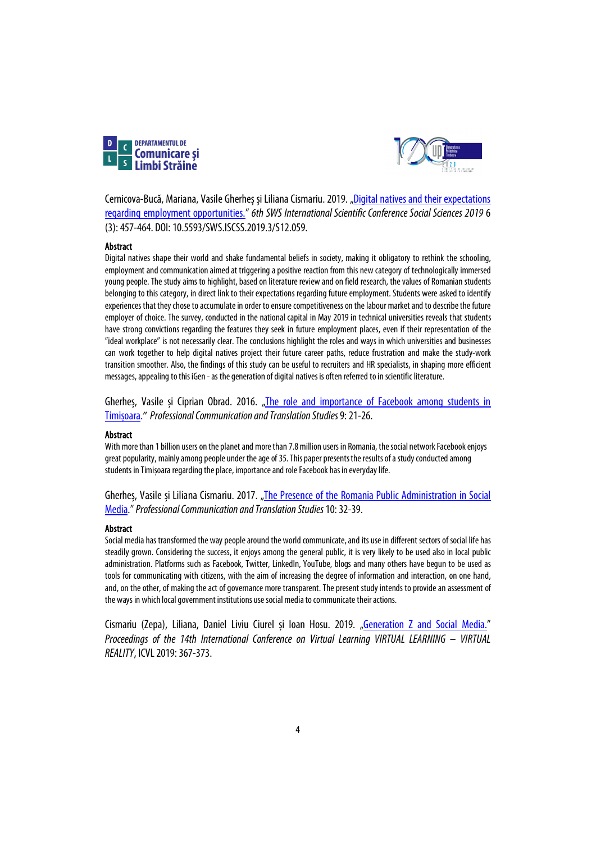



Cernicova-Bucă, Mariana, Vasile Gherheș și Liliana Cismariu. 2019. ["Digital natives and their expectations](https://sgemsocial.org/index.php/peer-review/jresearch?view=publication&task=show&id=4244)  [regarding employment opportunities.](https://sgemsocial.org/index.php/peer-review/jresearch?view=publication&task=show&id=4244)" *6th SWS International Scientific Conference Social Sciences 2019* 6 (3): 457-464. DOI: 10.5593/SWS.ISCSS.2019.3/S12.059.

### Abstract

Digital natives shape their world and shake fundamental beliefs in society, making it obligatory to rethink the schooling, employment and communication aimed at triggering a positive reaction from this new category of technologically immersed young people. The study aims to highlight, based on literature review and on field research, the values of Romanian students belonging to this category, in direct link to their expectations regarding future employment. Students were asked to identify experiences that they chose to accumulate in order to ensure competitiveness on the labour market and to describe the future employer of choice. The survey, conducted in the national capital in May 2019 in technical universities reveals that students have strong convictions regarding the features they seek in future employment places, even if their representation of the "ideal workplace" is not necessarily clear. The conclusions highlight the roles and ways in which universities and businesses can work together to help digital natives project their future career paths, reduce frustration and make the study-work transition smoother. Also, the findings of this study can be useful to recruiters and HR specialists, in shaping more efficient messages, appealing to this iGen - as the generation of digital natives is often referred to in scientific literature.

Gherheș, Vasile și Ciprian Obrad. 2016. ["The role and importance of Facebook among students in](https://sc.upt.ro/images/cwattachments/121_fa5695b88388ff80b8ceceacd48ea885.pdf)  [Timișoara.](https://sc.upt.ro/images/cwattachments/121_fa5695b88388ff80b8ceceacd48ea885.pdf)" *Professional Communication and Translation Studies*9: 21-26.

### Abstract

With more than 1 billion users on the planet and more than 7.8 million users in Romania, the social network Facebook enjoys great popularity, mainly among people under the age of 35. This paper presents the results of a study conducted among students in Timișoara regarding the place, importance and role Facebook has in everyday life.

Gherheș, Vasile și Liliana Cismariu. 2017. "The Presence of the Romania Public Administration in Social [Media.](https://sc.upt.ro/attachments/article/205/04_Gherhes_Cismariu.pdf)" *Professional Communication and Translation Studies*10: 32-39.

### Abstract

Social media has transformed the way people around the world communicate, and its use in different sectors of social life has steadily grown. Considering the success, it enjoys among the general public, it is very likely to be used also in local public administration. Platforms such as Facebook, Twitter, LinkedIn, YouTube, blogs and many others have begun to be used as tools for communicating with citizens, with the aim of increasing the degree of information and interaction, on one hand, and, on the other, of making the act of governance more transparent. The present study intends to provide an assessment of the ways in which local government institutions use social media to communicate their actions.

Cismariu (Zepa), Liliana, Daniel Liviu Ciurel și Ioan Hosu. 2019. ["Generation Z and Social Media."](http://c3.icvl.eu/papers2019/icvl/documente/pdf/section2/section2_paper53.pdf) *Proceedings of the 14th International Conference on Virtual Learning VIRTUAL LEARNING – VIRTUAL REALITY*, ICVL 2019: 367-373.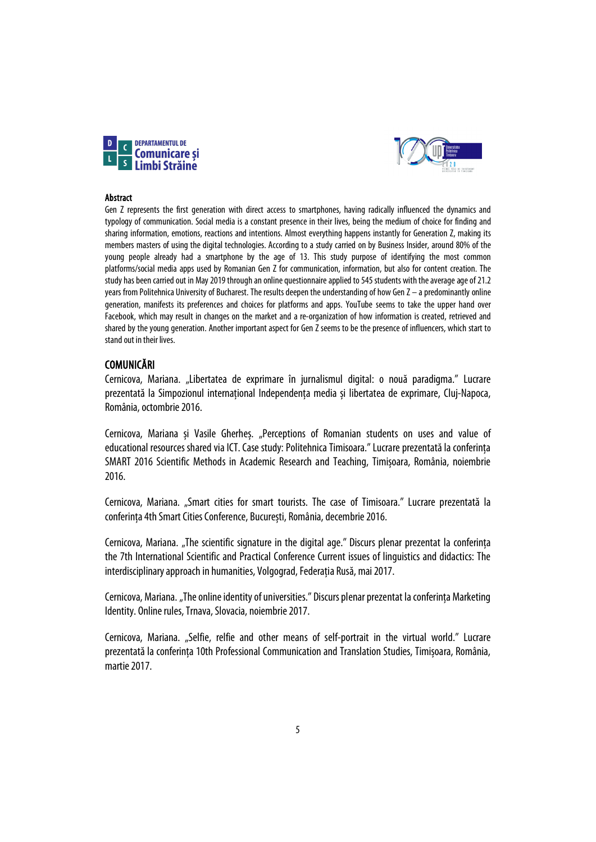



### Abstract

Gen Z represents the first generation with direct access to smartphones, having radically influenced the dynamics and typology of communication. Social media is a constant presence in their lives, being the medium of choice for finding and sharing information, emotions, reactions and intentions. Almost everything happens instantly for Generation Z, making its members masters of using the digital technologies. According to a study carried on by Business Insider, around 80% of the young people already had a smartphone by the age of 13. This study purpose of identifying the most common platforms/social media apps used by Romanian Gen Z for communication, information, but also for content creation. The study has been carried out in May 2019 through an online questionnaire applied to 545 students with the average age of 21.2 years from Politehnica University of Bucharest. The results deepen the understanding of how Gen Z – a predominantly online generation, manifests its preferences and choices for platforms and apps. YouTube seems to take the upper hand over Facebook, which may result in changes on the market and a re-organization of how information is created, retrieved and shared by the young generation. Another important aspect for Gen Z seems to be the presence of influencers, which start to stand out in their lives.

### COMUNICĂRI

Cernicova, Mariana. "Libertatea de exprimare în jurnalismul digital: o nouă paradigma." Lucrare prezentată la Simpozionul internațional Independența media și libertatea de exprimare, Cluj-Napoca, România, octombrie 2016.

Cernicova, Mariana și Vasile Gherheș. "Perceptions of Romanian students on uses and value of educational resources shared via ICT. Case study: Politehnica Timisoara." Lucrare prezentatăla conferința SMART 2016 Scientific Methods in Academic Research and Teaching, Timișoara, România, noiembrie 2016.

Cernicova, Mariana. "Smart cities for smart tourists. The case of Timisoara." Lucrare prezentată la conferința 4th Smart Cities Conference, București, România, decembrie 2016.

Cernicova, Mariana. "The scientific signature in the digital age." Discurs plenar prezentat la conferința the 7th International Scientific and Practical Conference Current issues of linguistics and didactics: The interdisciplinary approach in humanities, Volgograd, Federația Rusă, mai 2017.

Cernicova, Mariana. "The online identity of universities." Discurs plenar prezentat la conferința Marketing Identity. Online rules, Trnava, Slovacia, noiembrie 2017.

Cernicova, Mariana. "Selfie, relfie and other means of self-portrait in the virtual world." Lucrare prezentată la conferința 10th Professional Communication and Translation Studies, Timișoara, România, martie 2017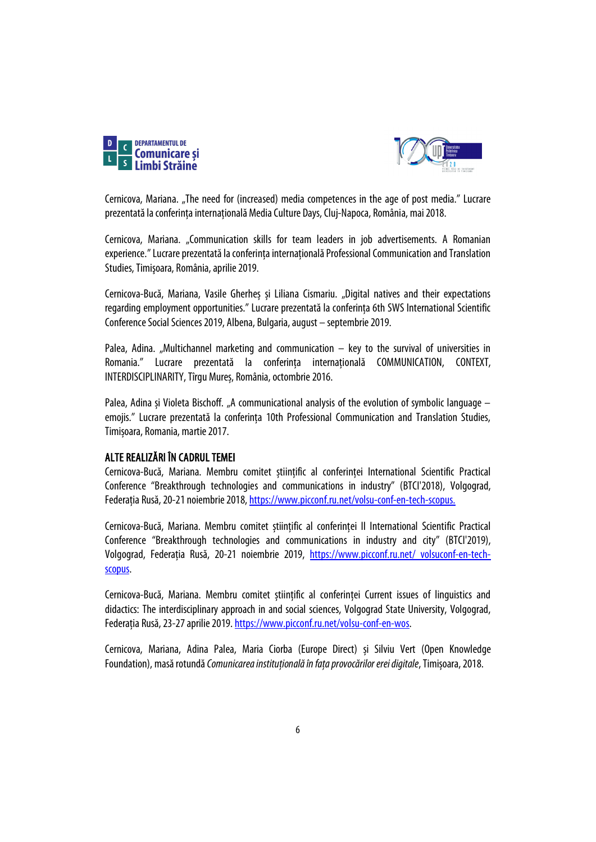



Cernicova, Mariana. "The need for (increased) media competences in the age of post media." Lucrare prezentatăla conferința internațională Media Culture Days, Cluj-Napoca, România, mai 2018.

Cernicova, Mariana. "Communication skills for team leaders in job advertisements. A Romanian experience." Lucrare prezentată la conferința internațională Professional Communication and Translation Studies, Timișoara, România, aprilie 2019.

Cernicova-Bucă, Mariana, Vasile Gherheș și Liliana Cismariu. "Digital natives and their expectations regarding employment opportunities." Lucrare prezentată la conferința 6th SWS International Scientific Conference Social Sciences 2019, Albena, Bulgaria, august – septembrie 2019.

Palea, Adina. "Multichannel marketing and communication  $-$  key to the survival of universities in Romania." Lucrare prezentată la conferința internațională COMMUNICATION, CONTEXT, INTERDISCIPLINARITY, Tîrgu Mureș, România, octombrie 2016.

Palea, Adina și Violeta Bischoff. "A communicational analysis of the evolution of symbolic language – emojis." Lucrare prezentată la conferința 10th Professional Communication and Translation Studies, Timișoara, Romania, martie 2017.

### ALTE REALIZĂRI ÎN CADRUL TEMEI

Cernicova-Bucă, Mariana. Membru comitet științific al conferinței International Scientific Practical Conference "Breakthrough technologies and communications in industry" (BTCI'2018), Volgograd, Federația Rusă, 20-21 noiembrie 2018[, https://www.picconf.ru.net/volsu-conf-en-tech-scopus.](https://www.picconf.ru.net/volsu-conf-en-tech-scopus)

Cernicova-Bucă, Mariana. Membru comitet științific al conferinței II International Scientific Practical Conference "Breakthrough technologies and communications in industry and city" (BTCI'2019), Volgograd, Federația Rusă, 20-21 noiembrie 2019, [https://www.picconf.ru.net/ volsuconf-en-tech](https://www.picconf.ru.net/%20volsuconf-en-tech-scopus)[scopus.](https://www.picconf.ru.net/%20volsuconf-en-tech-scopus)

Cernicova-Bucă, Mariana. Membru comitet științific al conferinței Current issues of linguistics and didactics: The interdisciplinary approach in and social sciences, Volgograd State University, Volgograd, Federația Rusă, 23-27 aprilie 2019. [https://www.picconf.ru.net/volsu-conf-en-wos.](https://www.picconf.ru.net/volsu-conf-en-wos) 

Cernicova, Mariana, Adina Palea, Maria Ciorba (Europe Direct) și Silviu Vert (Open Knowledge Foundation), masărotundă *Comunicarea instituţională în faţa provocărilor erei digitale*, Timișoara, 2018.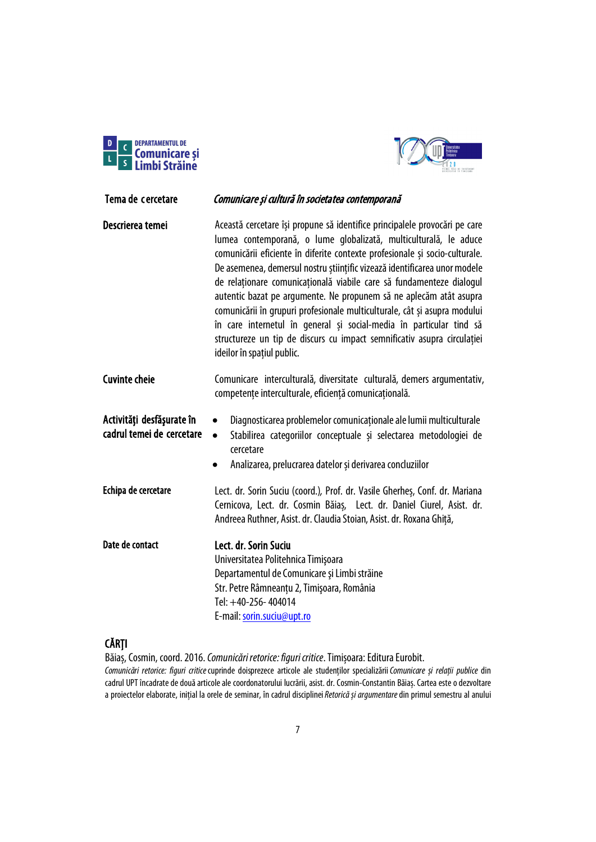



<span id="page-6-0"></span>

| Tema de cercetare                                      | Comunicare și cultură în societatea contemporană                                                                                                                                                                                                                                                                                                                                                                                                                                                                                                                                                                                                                                                                      |
|--------------------------------------------------------|-----------------------------------------------------------------------------------------------------------------------------------------------------------------------------------------------------------------------------------------------------------------------------------------------------------------------------------------------------------------------------------------------------------------------------------------------------------------------------------------------------------------------------------------------------------------------------------------------------------------------------------------------------------------------------------------------------------------------|
| Descrierea temei                                       | Această cercetare își propune să identifice principalele provocări pe care<br>lumea contemporană, o lume globalizată, multiculturală, le aduce<br>comunicării eficiente în diferite contexte profesionale și socio-culturale.<br>De asemenea, demersul nostru științific vizează identificarea unor modele<br>de relaționare comunicațională viabile care să fundamenteze dialogul<br>autentic bazat pe argumente. Ne propunem să ne aplecăm atât asupra<br>comunicării în grupuri profesionale multiculturale, cât și asupra modului<br>în care internetul în general și social-media în particular tind să<br>structureze un tip de discurs cu impact semnificativ asupra circulației<br>ideilor în spațiul public. |
| <b>Cuvinte cheie</b>                                   | Comunicare interculturală, diversitate culturală, demers argumentativ,<br>competențe interculturale, eficiență comunicațională.                                                                                                                                                                                                                                                                                                                                                                                                                                                                                                                                                                                       |
| Activități desfășurate în<br>cadrul temei de cercetare | Diagnosticarea problemelor comunicaționale ale lumii multiculturale<br>$\bullet$<br>Stabilirea categoriilor conceptuale și selectarea metodologiei de<br>$\bullet$<br>cercetare<br>Analizarea, prelucrarea datelor și derivarea concluziilor<br>$\bullet$                                                                                                                                                                                                                                                                                                                                                                                                                                                             |
| Echipa de cercetare                                    | Lect. dr. Sorin Suciu (coord.), Prof. dr. Vasile Gherhes, Conf. dr. Mariana<br>Cernicova, Lect. dr. Cosmin Băiaș, Lect. dr. Daniel Ciurel, Asist. dr.<br>Andreea Ruthner, Asist. dr. Claudia Stoian, Asist. dr. Roxana Ghiță,                                                                                                                                                                                                                                                                                                                                                                                                                                                                                         |
| Date de contact                                        | Lect. dr. Sorin Suciu<br>Universitatea Politehnica Timișoara<br>Departamentul de Comunicare și Limbi străine<br>Str. Petre Râmneanțu 2, Timișoara, România<br>Tel: +40-256-404014<br>E-mail: sorin.suciu@upt.ro                                                                                                                                                                                                                                                                                                                                                                                                                                                                                                       |

# CĂRȚI

Băiaș, Cosmin, coord. 2016. *Comunicări retorice: figuri critice*. Timișoara: Editura Eurobit. *Comunicări retorice: figuri critice*cuprinde doisprezece articole ale studenților specializării*Comunicare și relații publice* din cadrul UPT încadrate de două articole ale coordonatorului lucrării, asist. dr. Cosmin-Constantin Băiaș. Cartea este o dezvoltare a proiectelor elaborate, inițial la orele de seminar, în cadrul disciplinei*Retorică și argumentare*din primul semestru al anului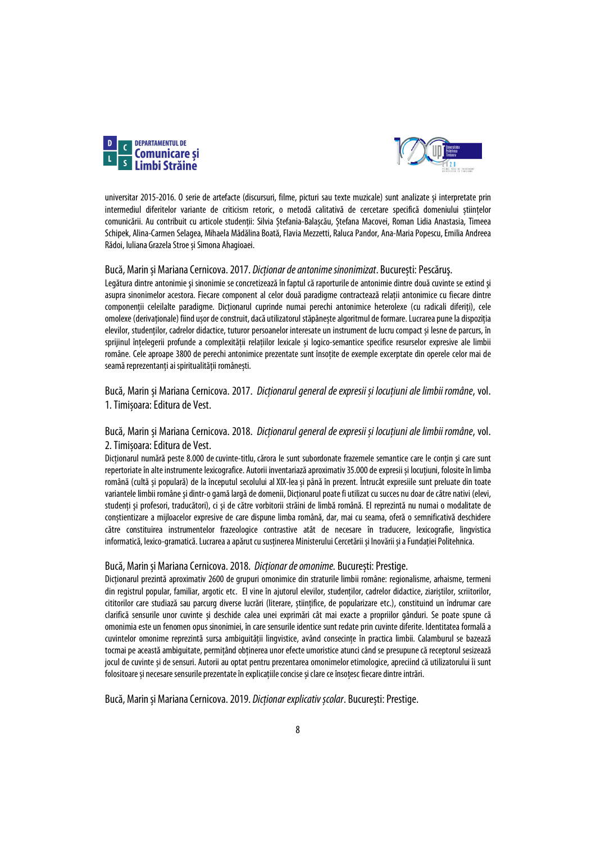



universitar 2015-2016. O serie de artefacte (discursuri, filme, picturi sau texte muzicale) sunt analizate și interpretate prin intermediul diferitelor variante de criticism retoric, o metodă calitativă de cercetare specifică domeniului științelor comunicării. Au contribuit cu articole studenții: Silvia Ștefania-Balașcău, Ștefana Macovei, Roman Lidia Anastasia, Timeea Schipek, Alina-Carmen Selagea, Mihaela Mădălina Boată, Flavia Mezzetti, Raluca Pandor, Ana-Maria Popescu, Emilia Andreea Rădoi, Iuliana Grazela Stroe și Simona Ahagioaei.

### Bucă, Marin și Mariana Cernicova. 2017. *Dicționar de antonime sinonimizat*. București: Pescăruş.

Legătura dintre antonimie și sinonimie se concretizează în faptul că raporturile de antonimie dintre două cuvinte se extind și asupra sinonimelor acestora. Fiecare component al celor două paradigme contractează relații antonimice cu fiecare dintre componenţii celeilalte paradigme. Dicționarul cuprinde numai perechi antonimice heterolexe (cu radicali diferiți), cele omolexe (derivaționale) fiind ușor de construit, dacă utilizatorul stăpânește algoritmul de formare. Lucrarea pune la dispoziția elevilor, studenților, cadrelor didactice, tuturor persoanelor interesate un instrument de lucru compact și lesne de parcurs, în sprijinul înțelegerii profunde a complexității relațiilor lexicale și logico-semantice specifice resurselor expresive ale limbii române. Cele aproape 3800 de perechi antonimice prezentate sunt însoțite de exemple excerptate din operele celor mai de seamă reprezentanți ai spiritualității românești.

### Bucă, Marin și Mariana Cernicova. 2017. *Dicționarul general de expresii și locuțiuni ale limbii române*, vol. 1. Timișoara: Editura de Vest.

### Bucă, Marin și Mariana Cernicova. 2018. *Dicționarul general de expresii și locuțiuni ale limbii române*, vol. 2. Timișoara: Editura de Vest.

Dicționarul numără peste 8.000 decuvinte-titlu, cărora le sunt subordonate frazemele semantice care le conțin şi care sunt repertoriate în alte instrumente lexicografice. Autorii inventariază aproximativ 35.000 de expresii și locuțiuni, folosite în limba română (cultă și populară) de la începutul secolului alXIX-leași până în prezent. Întrucât expresiile sunt preluate din toate variantele limbii române și dintr-o gamă largă de domenii, Dicționarul poate fi utilizat cu succes nu doar de către nativi (elevi, studenți şi profesori, traducători), ci şi de către vorbitorii străini de limbă română. El reprezintă nu numai o modalitate de conștientizare a mijloacelor expresive de care dispune limba română, dar, mai cu seama, oferă o semnificativă deschidere către constituirea instrumentelor frazeologice contrastive atât de necesare în traducere, lexicografie, lingvistica informatică, lexico-gramatică. Lucrarea a apărut cu susținerea Ministerului Cercetării și Inovării și a Fundației Politehnica.

### Bucă, Marin și Mariana Cernicova. 2018. *Dicționar de omonime.* București: Prestige.

Dicționarul prezintă aproximativ 2600 de grupuri omonimice din straturile limbii române: regionalisme, arhaisme, termeni din registrul popular, familiar, argotic etc. El vine în ajutorul elevilor, studenților, cadrelor didactice, ziariștilor, scriitorilor, cititorilor care studiază sau parcurg diverse lucrări (literare, științifice, de popularizare etc.), constituind un îndrumar care clarifică sensurile unor cuvinte și deschide calea unei exprimări cât mai exacte a propriilor gânduri. Se poate spune că omonimia este un fenomen opus sinonimiei, în care sensurile identice sunt redate prin cuvinte diferite. Identitatea formală a cuvintelor omonime reprezintă sursa ambiguității lingvistice, având consecințe în practica limbii. Calamburul se bazează tocmai pe această ambiguitate, permițând obținerea unor efecte umoristice atunci când se presupune că receptorul sesizează jocul de cuvinte și de sensuri. Autorii au optat pentru prezentarea omonimelor etimologice, apreciind că utilizatorului îi sunt folositoare și necesare sensurile prezentate în explicațiile concise și clare ce însoțesc fiecare dintre intrări.

Bucă, Marin și Mariana Cernicova. 2019. *Dicționar explicativ școlar*. București: Prestige.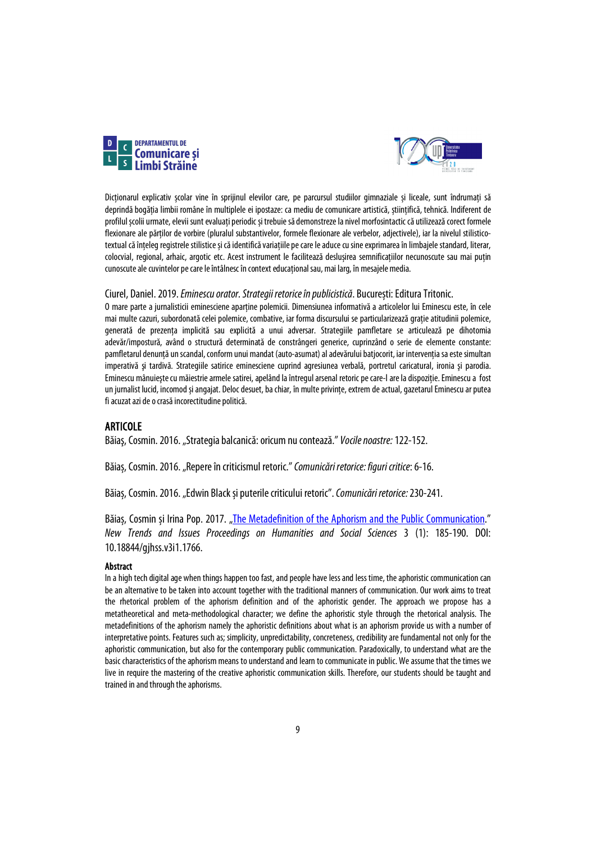



Dicționarul explicativ școlar vine în sprijinul elevilor care, pe parcursul studiilor gimnaziale și liceale, sunt îndrumați să deprindă bogăția limbii române în multiplele ei ipostaze: ca mediu de comunicare artistică, științifică, tehnică. Indiferent de profilul școlii urmate, elevii sunt evaluați periodic și trebuie să demonstreze la nivel morfosintactic că utilizează corect formele flexionare ale părților de vorbire (pluralul substantivelor, formele flexionare ale verbelor, adjectivele), iar la nivelul stilisticotextual că înțeleg registrele stilistice și căidentifică variațiile pe care le aduce cu sine exprimarea în limbajele standard, literar, colocvial, regional, arhaic, argotic etc. Acest instrument le facilitează deslușirea semnificațiilor necunoscute sau mai puțin cunoscute ale cuvintelor pe care le întâlnesc în context educațional sau, mai larg, în mesajele media.

### Ciurel, Daniel. 2019. *Eminescu orator. Strategii retorice în publicistică*. București: EdituraTritonic.

O mare parte a jurnalisticii eminesciene apartine polemicii. Dimensiunea informativă a articolelor lui Eminescu este, în cele mai multe cazuri, subordonată celei polemice, combative, iar forma discursului se particularizează graţie atitudinii polemice, generată de prezenta implicită sau explicită a unui adversar. Strategiile pamfletare se articulează pe dihotomia adevăr/impostură, având o structură determinată de constrângeri generice, cuprinzând o serie de elemente constante: pamfletarul denunță un scandal, conform unui mandat (auto-asumat) al adevărului batjocorit, iar intervenția sa este simultan imperativă şi tardivă. Strategiile satirice eminesciene cuprind agresiunea verbală, portretul caricatural, ironia şi parodia. Eminescu mânuiește cu măiestrie armele satirei, apelând la întregul arsenal retoric pe care-l are la dispoziție. Eminescu a fost un jurnalist lucid, incomod și angajat. Deloc desuet, ba chiar, în multe privințe, extrem de actual, gazetarul Eminescu ar putea fi acuzat azi de o crasă incorectitudine politică.

### ARTICOLE

Băiaş, Cosmin. 2016. "Strategia balcanică: oricum nu contează." *Vocile noastre:*122-152.

Băias, Cosmin. 2016. "Repere în criticismul retoric." Comunicări retorice: figuri critice: 6-16.

Băiaș, Cosmin. 2016. "Edwin Black și puterile criticului retoric". *Comunicări retorice:* 230-241.

Băias, Cosmin și Irina Pop. 2017. ["The Metadefinition of the Aphorism and the Public](https://un-pub.eu/ojs/index.php/pntsbs/article/view/1766) Communication." *New Trends and Issues Proceedings on Humanities and Social Sciences* 3 (1): 185-190. DOI: 10.18844/gjhss.v3i1.1766.

### Abstract

In a high tech digital age when things happen too fast, and people have less and less time, the aphoristic communication can be an alternative to be taken into account together with the traditional manners of communication. Our work aims to treat the rhetorical problem of the aphorism definition and of the aphoristic gender. The approach we propose has a metatheoretical and meta-methodological character; we define the aphoristic style through the rhetorical analysis. The metadefinitions of the aphorism namely the aphoristic definitions about what is an aphorism provide us with a number of interpretative points. Features such as; simplicity, unpredictability, concreteness, credibility are fundamental not only for the aphoristic communication, but also for the contemporary public communication. Paradoxically, to understand what are the basic characteristics of the aphorism means to understand and learn to communicate in public. We assume that the times we live in require the mastering of the creative aphoristic communication skills. Therefore, our students should be taught and trained in and through the aphorisms.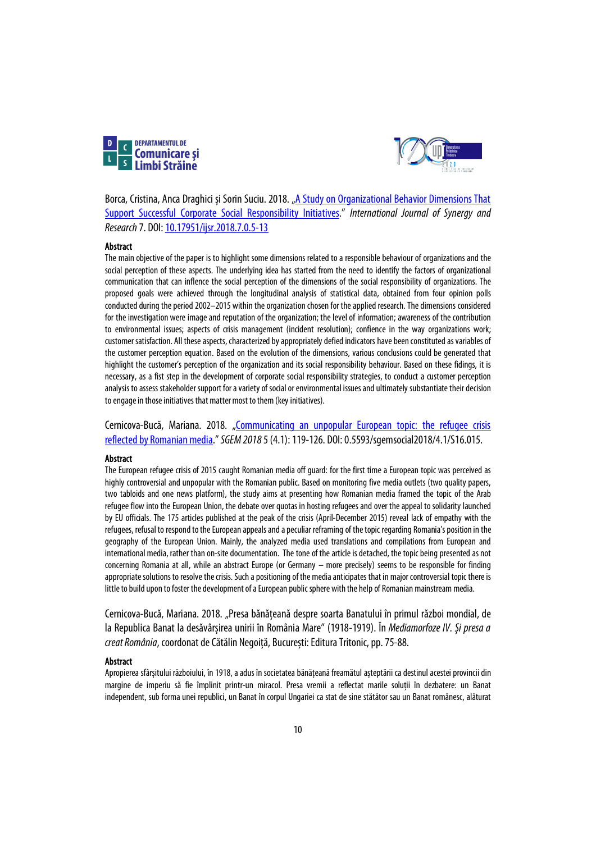



Borca, Cristina, Anca Draghici și Sorin Suciu. 2018. "A Study on Organizational Behavior Dimensions That [Support Successful Corporate Social Responsibility Initiatives."](http://cejsh.icm.edu.pl/cejsh/element/bwmeta1.element.ojs-doi-10_17951_ijsr_2018_7_0_5-13) *International Journal of Synergy and Research*7. DOI[: 10.17951/ijsr.2018.7.0.5-13](http://dx.doi.org/10.17951/ijsr.2018.7.0.5-13)

#### Abstract

The main objective of the paper is to highlight some dimensions related to a responsible behaviour of organizations and the social perception of these aspects. The underlying idea has started from the need to identify the factors of organizational communication that can inflence the social perception of the dimensions of the social responsibility of organizations. The proposed goals were achieved through the longitudinal analysis of statistical data, obtained from four opinion polls conducted during the period 2002–2015 within the organization chosen for the applied research. The dimensions considered for the investigation were image and reputation of the organization; the level of information; awareness of the contribution to environmental issues; aspects of crisis management (incident resolution); confience in the way organizations work; customer satisfaction. All these aspects, characterized by appropriately defied indicators have been constituted as variables of the customer perception equation. Based on the evolution of the dimensions, various conclusions could be generated that highlight the customer's perception of the organization and its social responsibility behaviour. Based on these fidings, it is necessary, as a fist step in the development of corporate social responsibility strategies, to conduct a customer perception analysis to assess stakeholder support for a variety of social or environmental issues and ultimately substantiate their decision to engage in those initiatives that matter most to them (key initiatives).

Cernicova-Bucă, Mariana. 2018. "Communicating an unpopular European topic: the refugee crisis [reflected by Romanian media.](https://sgemsocial.org/ssgemlib/spip.php?article6984)" *SGEM 2018*5 (4.1): 119-126. DOI: 0.5593/sgemsocial2018/4.1/S16.015.

### Abstract

The European refugee crisis of 2015 caught Romanian media off guard: for the first time a European topic was perceived as highly controversial and unpopular with the Romanian public. Based on monitoring five media outlets (two quality papers, two tabloids and one news platform), the study aims at presenting how Romanian media framed the topic of the Arab refugee flow into the European Union, the debate over quotas in hosting refugees and over the appeal to solidarity launched by EU officials. The 175 articles published at the peak of the crisis (April-December 2015) reveal lack of empathy with the refugees, refusal to respond to the European appeals and a peculiar reframing of the topic regarding Romania's position in the geography of the European Union. Mainly, the analyzed media used translations and compilations from European and international media, rather than on-site documentation. The tone of the article is detached, the topic being presented as not concerning Romania at all, while an abstract Europe (or Germany – more precisely) seems to be responsible for finding appropriate solutions to resolve the crisis. Such a positioning of the media anticipates that in major controversial topic there is little to build upon to foster the development of a European public sphere with the help of Romanian mainstream media.

Cernicova-Bucă, Mariana. 2018. "Presa bănățeană despre soarta Banatului în primul război mondial, de la Republica Banat la desăvârșirea unirii în România Mare" (1918-1919). În *Mediamorfoze IV. Și presa a creat România*, coordonat deCătălin Negoiță, București: EdituraTritonic, pp. 75-88.

#### Abstract

Apropierea sfârșitului războiului, în 1918, a adus în societatea bănățeană freamătul așteptării ca destinul acestei provincii din margine de imperiu să fie împlinit printr-un miracol. Presa vremii a reflectat marile soluții în dezbatere: un Banat independent, sub forma unei republici, un Banat în corpul Ungariei ca stat de sine stătător sau un Banat românesc, alăturat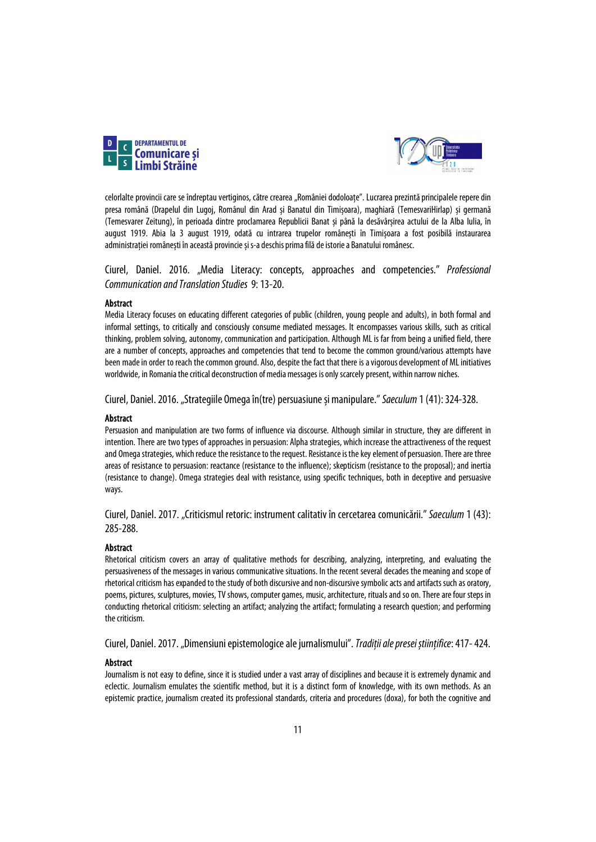



celorlalte provincii care se îndreptau vertiginos, către crearea "României dodoloațe". Lucrarea prezintă principalele repere din presa română (Drapelul din Lugoj, Românul din Arad și Banatul din Timișoara), maghiară (TemesvariHirlap) și germană (Temesvarer Zeitung), în perioada dintre proclamarea Republicii Banat și până la desăvârșirea actului de la Alba Iulia, în august 1919. Abia la 3 august 1919, odată cu intrarea trupelor românești în Timișoara a fost posibilă instaurarea administrației românești în această provincie și s-a deschis prima filă de istorie a Banatului românesc.

Ciurel, Daniel. 2016. "Media Literacy: concepts, approaches and competencies." *Professional Communication and Translation Studies* 9: 13-20.

### Abstract

Media Literacy focuses on educating different categories of public (children, young people and adults), in both formal and informal settings, to critically and consciously consume mediated messages. It encompasses various skills, such as critical thinking, problem solving, autonomy, communication and participation. Although ML is far from being a unified field, there are a number of concepts, approaches and competencies that tend to become the common ground/various attempts have been made in order to reach the common ground. Also, despite the fact that there is a vigorous development of ML initiatives worldwide, in Romania the critical deconstruction of media messages is only scarcely present, within narrow niches.

Ciurel, Daniel. 2016. "Strategiile Omega în(tre) persuasiune și manipulare." *Saeculum* 1 (41): 324-328.

#### **Abstract**

Persuasion and manipulation are two forms of influence via discourse. Although similar in structure, they are different in intention. There are two types of approaches in persuasion: Alpha strategies, which increase the attractiveness of the request and Omega strategies, which reduce the resistance to the request. Resistance is the key element of persuasion. There are three areas of resistance to persuasion: reactance (resistance to the influence); skepticism (resistance to the proposal); and inertia (resistance to change). Omega strategies deal with resistance, using specific techniques, both in deceptive and persuasive ways.

Ciurel, Daniel. 2017. "Criticismul retoric: instrument calitativ în cercetarea comunicării." *Saeculum* 1 (43): 285-288.

#### Abstract

Rhetorical criticism covers an array of qualitative methods for describing, analyzing, interpreting, and evaluating the persuasiveness of the messages in various communicative situations. In the recent several decades the meaning and scope of rhetorical criticism has expanded to the study of both discursive and non-discursive symbolic acts and artifacts such as oratory, poems, pictures, sculptures, movies, TV shows, computer games, music, architecture, rituals and so on. There are four steps in conducting rhetorical criticism: selecting an artifact; analyzing the artifact; formulating a research question; and performing the criticism.

Ciurel, Daniel. 2017. "Dimensiuni epistemologice ale jurnalismului". *Tradiții ale presei științifice*: 417-424.

#### Abstract

Journalism is not easy to define, since it is studied under a vast array of disciplines and because it is extremely dynamic and eclectic. Journalism emulates the scientific method, but it is a distinct form of knowledge, with its own methods. As an epistemic practice, journalism created its professional standards, criteria and procedures (doxa), for both the cognitive and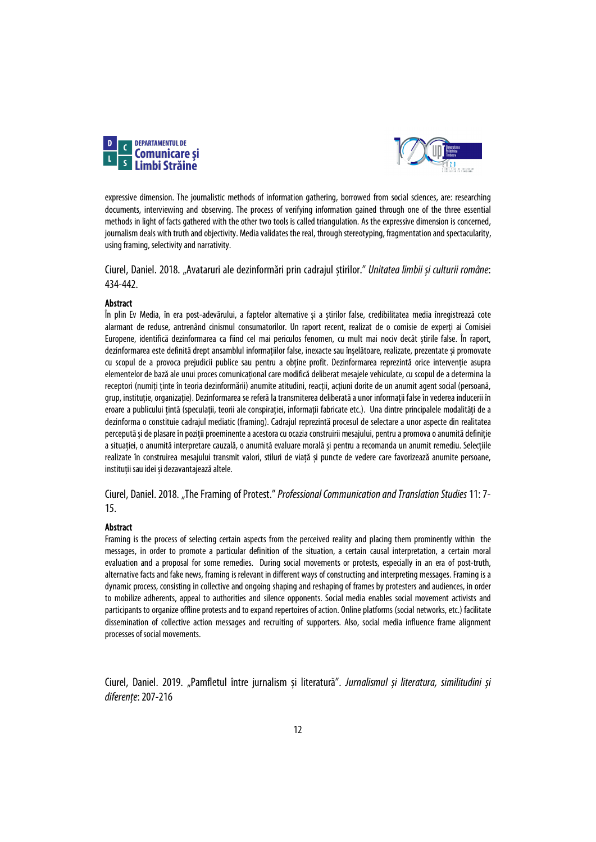



expressive dimension. The journalistic methods of information gathering, borrowed from social sciences, are: researching documents, interviewing and observing. The process of verifying information gained through one of the three essential methods in light of facts gathered with the other two tools is called triangulation. As the expressive dimension is concerned, journalism deals with truth and objectivity. Media validates the real, through stereotyping, fragmentation and spectacularity, using framing, selectivity and narrativity.

Ciurel, Daniel. 2018. "Avataruri ale dezinformări prin cadrajul știrilor." *Unitatea limbii și culturii române*: 434-442.

### Abstract

În plin Ev Media, în era post-adevărului, a faptelor alternative și a știrilor false, credibilitatea media înregistrează cote alarmant de reduse, antrenând cinismul consumatorilor. Un raport recent, realizat de o comisie de experți ai Comisiei Europene, identifică dezinformarea ca fiind cel mai periculos fenomen, cu mult mai nociv decât știrile false. În raport, dezinformarea este definită drept ansamblul informațiilor false, inexacte sau înșelătoare, realizate, prezentate și promovate cu scopul de a provoca prejudicii publice sau pentru a obtine profit. Dezinformarea reprezintă orice interventie asupra elementelor de bază ale unui proces comunicaţional care modifică deliberat mesajele vehiculate, cu scopul de a determina la receptori (numiți ținte în teoria dezinformării) anumite atitudini, reacții, acțiuni dorite de un anumit agent social (persoană, grup, instituţie, organizaţie). Dezinformarea se referă la transmiterea deliberată a unor informații false în vederea inducerii în eroare a publicului țintă (speculații, teorii ale conspirației, informații fabricate etc.). Una dintre principalele modalități de a dezinforma o constituie cadrajul mediatic (framing). Cadrajul reprezintă procesul de selectare a unor aspecte din realitatea percepută și de plasare în poziții proeminente a acestora cu ocazia construirii mesajului, pentru a promova o anumită definiție a situației, o anumită interpretare cauzală, o anumită evaluare morală și pentru a recomanda un anumit remediu. Selecțiile realizate în construirea mesajului transmit valori, stiluri de viață și puncte de vedere care favorizează anumite persoane, instituții sau idei și dezavantajează altele.

Ciurel, Daniel. 2018. "The Framing of Protest." *Professional Communication and Translation Studies*11: 7- 15.

#### Abstract

Framing is the process of selecting certain aspects from the perceived reality and placing them prominently within the messages, in order to promote a particular definition of the situation, a certain causal interpretation, a certain moral evaluation and a proposal for some remedies. During social movements or protests, especially in an era of post-truth, alternative facts and fake news, framing is relevant in different ways of constructing and interpreting messages. Framing is a dynamic process, consisting in collective and ongoing shaping and reshaping of frames by protesters and audiences, in order to mobilize adherents, appeal to authorities and silence opponents. Social media enables social movement activists and participants to organize offline protests and to expand repertoires of action. Online platforms (social networks, etc.) facilitate dissemination of collective action messages and recruiting of supporters. Also, social media influence frame alignment processes of social movements.

Ciurel, Daniel. 2019. "Pamfletul între jurnalism și literatură". *Jurnalismul și literatura, similitudini și diferențe*: 207-216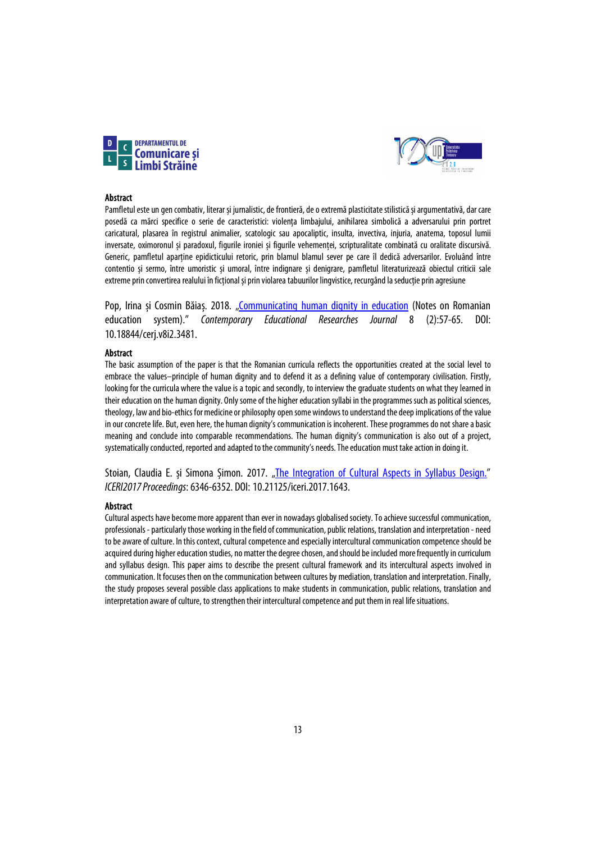



#### Abstract

Pamfletul este un gen combativ, literar și jurnalistic, de frontieră, de o extremă plasticitate stilistică și argumentativă, dar care posedă ca mărci specifice o serie de caracteristici: violența limbajului, anihilarea simbolică a adversarului prin portret caricatural, plasarea în registrul animalier, scatologic sau apocaliptic, insulta, invectiva, injuria, anatema, toposul lumii inversate, oximoronul și paradoxul, figurile ironiei și figurile vehemenței, scripturalitate combinată cu oralitate discursivă. Generic, pamfletul aparține epidicticului retoric, prin blamul blamul sever pe care îl dedică adversarilor. Evoluând între contentio și sermo, între umoristic și umoral, între indignare și denigrare, pamfletul literaturizează obiectul criticii sale extreme prin convertirea realului în ficțional și prin violarea tabuurilor lingvistice, recurgând la seducție prin agresiune

Pop, Irina și Cosmin Băiaș. 2018. ["Communicating human dignity in education](https://www.researchgate.net/publication/325584284_Communicating_human_dignity_in_education_Notes_on_Romanian_education_system) (Notes on Romanian education system)." *Contemporary Educational Researches Journal* 8 (2):57-65. DOI: 10.18844/cerj.v8i2.3481.

#### Abstract

The basic assumption of the paper is that the Romanian curricula reflects the opportunities created at the social level to embrace the values–principle of human dignity and to defend it as a defining value of contemporary civilisation. Firstly, looking for the curricula where the value is a topic and secondly, to interview the graduate students on what they learned in their education on the human dignity. Only some of the higher education syllabi in the programmes such as political sciences, theology, law and bio-ethics for medicine or philosophy open some windows to understand the deep implications of the value in our concrete life. But, even here, the human dignity's communication is incoherent. These programmes do not share a basic meaning and conclude into comparable recommendations. The human dignity's communication is also out of a project, systematically conducted, reported and adapted to the community's needs. The education must take action in doing it.

Stoian, Claudia E. și Simona Șimon. 2017. ["The Integration of Cultural Aspects in Syllabus Design."](https://library.iated.org/view/STOIAN2017INT) *ICERI2017 Proceedings*: 6346-6352. DOI: 10.21125/iceri.2017.1643.

#### Abstract

Cultural aspects have become more apparent than ever in nowadays globalised society. To achieve successful communication, professionals - particularly those working in the field of communication, public relations, translation and interpretation - need to be aware of culture. In this context, cultural competence and especially intercultural communication competence should be acquired during higher education studies, no matter the degree chosen, and should be included more frequently in curriculum and syllabus design. This paper aims to describe the present cultural framework and its intercultural aspects involved in communication. It focuses then on the communication between cultures by mediation, translation and interpretation. Finally, the study proposes several possible class applications to make students in communication, public relations, translation and interpretation aware of culture, to strengthen their intercultural competence and put them in real life situations.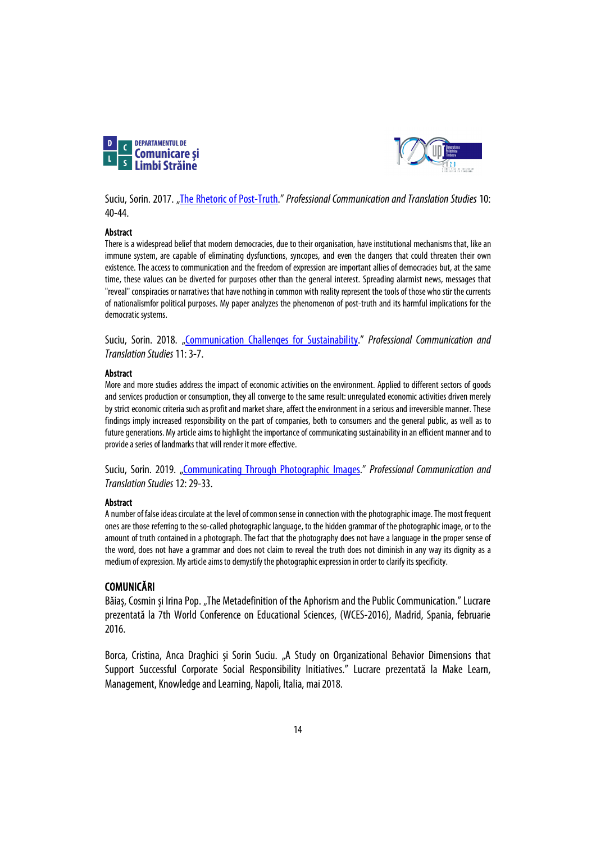



Suciu, Sorin. 2017. ["The Rhetoric of Post-Truth.](https://sc.upt.ro/ro/publicatii/pcts/issues-pcts/205-10-2016)" *Professional Communication and Translation Studies* 10: 40-44.

### Abstract

There is a widespread belief that modern democracies, due to their organisation, have institutional mechanisms that, like an immune system, are capable of eliminating dysfunctions, syncopes, and even the dangers that could threaten their own existence. The access to communication and the freedom of expression are important allies of democracies but, at the same time, these values can be diverted for purposes other than the general interest. Spreading alarmist news, messages that "reveal" conspiracies or narratives that have nothing in common with reality represent the tools of those who stir the currents of nationalismfor political purposes. My paper analyzes the phenomenon of post-truth and its harmful implications for the democratic systems.

Suciu, Sorin. 2018. ["Communication Challenges for Sustainability.](https://sc.upt.ro/ro/publicatii/pcts/issues-pcts/206-11-2018)" *Professional Communication and Translation Studies*11: 3-7.

### Abstract

More and more studies address the impact of economic activities on the environment. Applied to different sectors of goods and services production or consumption, they all converge to the same result: unregulated economic activities driven merely by strict economic criteria such as profit and market share, affect the environment in a serious and irreversible manner. These findings imply increased responsibility on the part of companies, both to consumers and the general public, as well as to future generations. My article aims to highlight the importance of communicating sustainability in an efficient manner and to provide a series of landmarks that will render it more effective.

Suciu, Sorin. 2019. ["Communicating Through Photographic Images.](https://sc.upt.ro/ro/publicatii/pcts/issues-pcts/406-12-2019)" *Professional Communication and Translation Studies*12: 29-33.

### Abstract

A number of false ideas circulate at the level of common sense in connection with the photographic image. The most frequent ones are those referring to the so-called photographic language, to the hidden grammar of the photographic image, or to the amount of truth contained in a photograph. The fact that the photography does not have a language in the proper sense of the word, does not have a grammar and does not claim to reveal the truth does not diminish in any way its dignity as a medium of expression. My article aims to demystify the photographic expression in order to clarify its specificity.

### COMUNICĂRI

Băiaș, Cosmin și Irina Pop. "The Metadefinition of the Aphorism and the Public Communication." Lucrare prezentată la 7th World Conference on Educational Sciences, (WCES-2016), Madrid, Spania, februarie 2016.

Borca, Cristina, Anca Draghici și Sorin Suciu. "A Study on Organizational Behavior Dimensions that Support Successful Corporate Social Responsibility Initiatives." Lucrare prezentată la Make Learn, Management, Knowledge and Learning, Napoli, Italia, mai 2018.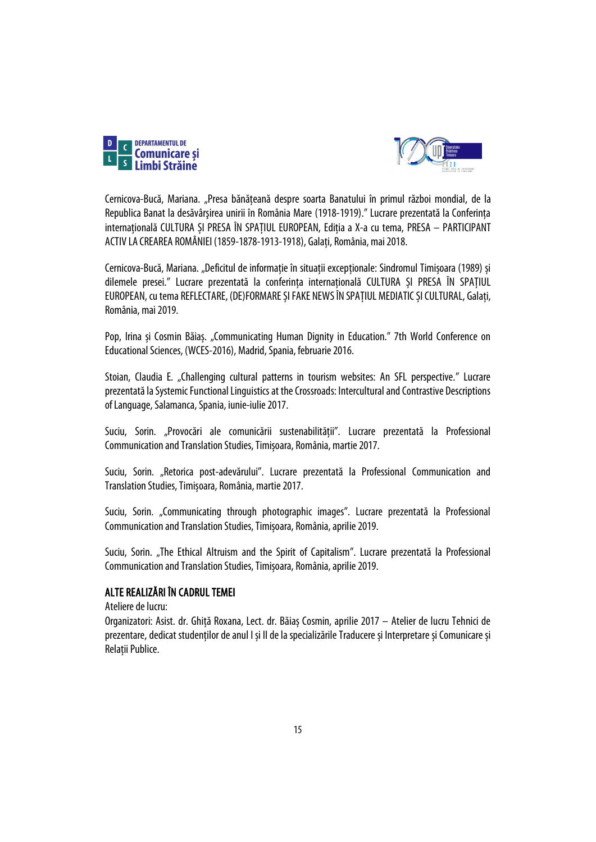



Cernicova-Bucă, Mariana. "Presa bănăţeană despre soarta Banatului în primul război mondial, de la Republica Banat la desăvârşirea unirii în România Mare (1918-1919)." Lucrare prezentată la Conferința internațională CULTURA ȘI PRESA ÎN SPAȚIUL EUROPEAN, Ediția a X-a cu tema, PRESA – PARTICIPANT ACTIV LA CREAREA ROMÂNIEI (1859-1878-1913-1918), Galați, România, mai 2018.

Cernicova-Bucă, Mariana. "Deficitul de informație în situații excepționale: Sindromul Timișoara (1989) și dilemele presei." Lucrare prezentată la conferința internațională CULTURA ȘI PRESA ÎN SPAȚIUL EUROPEAN, cu tema REFLECTARE, (DE)FORMARE ȘI FAKE NEWS ÎN SPAȚIUL MEDIATIC ȘI CULTURAL, Galați, România, mai 2019.

Pop, Irina și Cosmin Băiaș. "Communicating Human Dignity in Education." 7th World Conference on Educational Sciences, (WCES-2016), Madrid, Spania, februarie 2016.

Stoian, Claudia E. "Challenging cultural patterns in tourism websites: An SFL perspective." Lucrare prezentată la Systemic Functional Linguistics at the Crossroads: Intercultural and Contrastive Descriptions of Language, Salamanca, Spania, iunie-iulie 2017.

Suciu, Sorin. "Provocări ale comunicării sustenabilității". Lucrare prezentată la Professional Communication and Translation Studies, Timișoara, România, martie 2017.

Suciu, Sorin. "Retorica post-adevărului". Lucrare prezentată la Professional Communication and Translation Studies, Timișoara, România, martie 2017.

Suciu, Sorin. "Communicating through photographic images". Lucrare prezentată la Professional Communication and Translation Studies, Timișoara, România, aprilie 2019.

Suciu, Sorin. "The Ethical Altruism and the Spirit of Capitalism". Lucrare prezentată la Professional Communication and Translation Studies, Timișoara, România, aprilie 2019.

### ALTE REALIZĂRI ÎN CADRUL TEMEI

Ateliere de lucru:

Organizatori: Asist. dr. Ghiță Roxana, Lect. dr. Băiaș Cosmin, aprilie 2017 – Atelier de lucru Tehnici de prezentare, dedicat studenților de anul I și II de la specializările Traducere și Interpretare și Comunicare și Relații Publice.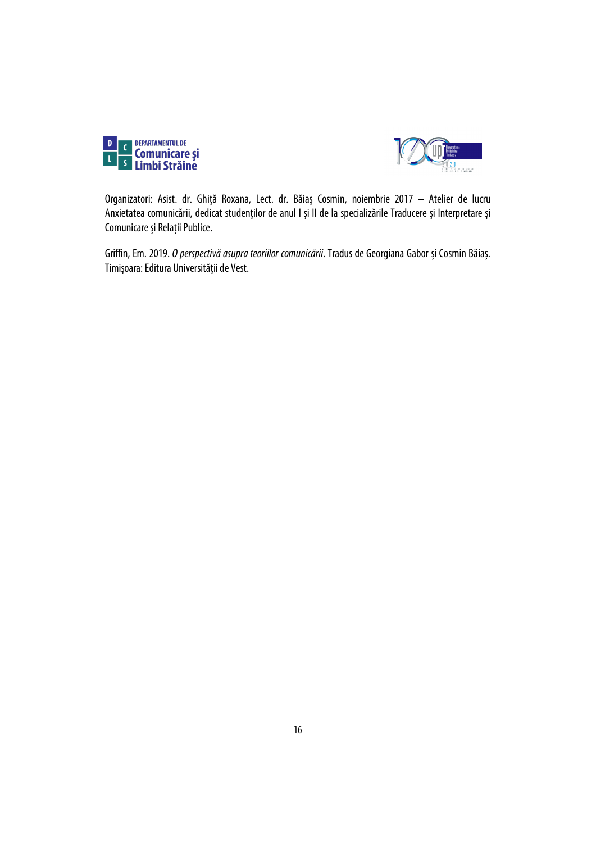



Organizatori: Asist. dr. Ghiță Roxana, Lect. dr. Băiaș Cosmin, noiembrie 2017 – Atelier de lucru Anxietatea comunicării, dedicat studenților de anul I și II de la specializările Traducere și Interpretare și Comunicare și Relații Publice.

Griffin, Em. 2019. *O perspectivă asupra teoriilor comunicării*. Tradus de Georgiana Gabor și Cosmin Băiaș. Timișoara: Editura Universității de Vest.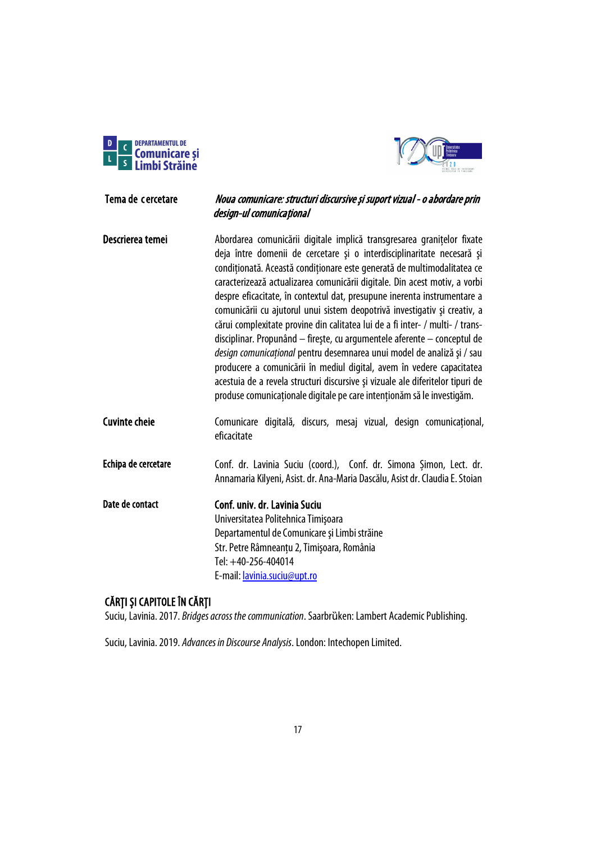



# <span id="page-16-0"></span>Tema de cercetare Noua comunicare: structuri discursive și suport vizual - o abordare prin design-ul comunicațional

Descrierea temei **Abordarea comunicării digitale implică transgresarea granitelor** fixate deja între domenii de cercetare şi o interdisciplinaritate necesară şi condiționată. Această condiționare este generată de multimodalitatea ce caracterizează actualizarea comunicării digitale. Din acest motiv, a vorbi despre eficacitate, în contextul dat, presupune inerenta instrumentare a comunicării cu ajutorul unui sistem deopotrivă investigativ şi creativ, a cărui complexitate provine din calitatea lui de a fi inter- / multi- / transdisciplinar. Propunând – fireşte, cu argumentele aferente – conceptul de *design comunicaţional* pentru desemnarea unui model de analiză şi / sau producere a comunicării în mediul digital, avem în vedere capacitatea acestuia de a revela structuri discursive şi vizuale ale diferitelor tipuri de produse comunicaţionale digitale pe care intenţionăm să le investigăm. Cuvinte cheie Comunicare digitală, discurs, mesaj vizual, design comunicaţional, eficacitate Echipa de cercetare Conf. dr. Lavinia Suciu (coord.), Conf. dr. Simona Șimon, Lect. dr. Annamaria Kilyeni, Asist. dr. Ana-Maria Dascălu, Asist dr. Claudia E. Stoian

Date de contact Conf. univ. dr. Lavinia Suciu Universitatea Politehnica Timişoara Departamentul de Comunicare şi Limbi străine Str. Petre Râmneanțu 2, Timişoara, România Tel: +40-256-404014 E-mail[: lavinia.suciu@upt.ro](mailto:lavinia.suciu@upt.ro)

# CĂRȚI ȘI CAPITOLE ÎN CĂRȚI

Suciu, Lavinia. 2017. *Bridges across the communication*. Saarbrüken: Lambert Academic Publishing.

Suciu, Lavinia. 2019. *Advances in Discourse Analysis*. London: Intechopen Limited.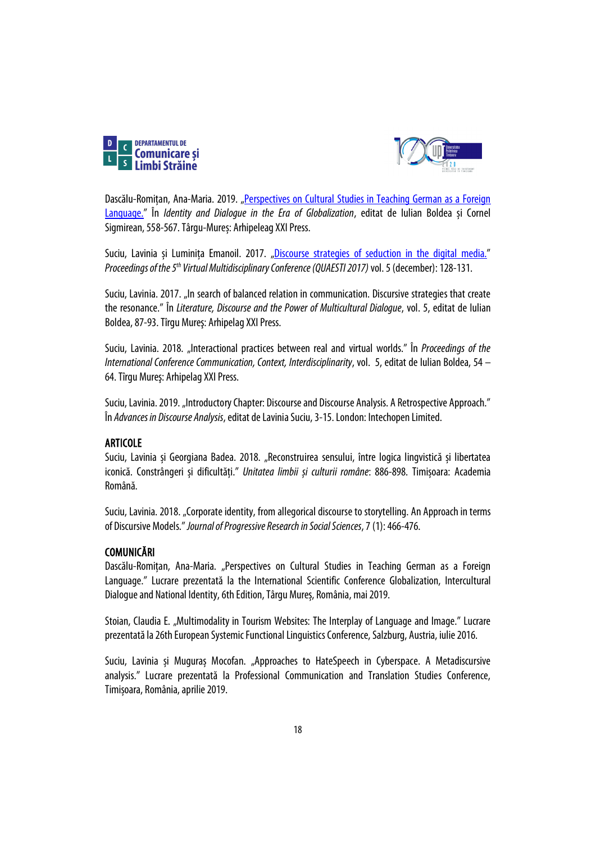



Dascălu-Romitan, Ana-Maria. 2019. "Perspectives on Cultural Studies in Teaching German as a Foreign [Language."](https://old.upm.ro/gidni/GIDNI-06/GIDNI-06%20Language.pdf) În *Identity and Dialogue in the Era of Globalization*, editat de Iulian Boldea și Cornel Sigmirean, 558-567. Târgu-Mureș: Arhipeleag XXI Press.

Suciu, Lavinia și Luminița Emanoil. 2017. ["Discourse strategies of seduction in the digital media."](http://www.quaesti.com/archive/?vid=1&aid=1&kid=160501) *Proceedings of the 5<sup>th</sup> Virtual Multidisciplinary Conference (QUAESTI 2017)* vol. 5 (december): 128-131.

Suciu, Lavinia. 2017. "In search of balanced relation in communication. Discursive strategies that create the resonance." În *Literature, Discourse and the Power of Multicultural Dialogue*, vol. 5, editat de Iulian Boldea, 87-93. Tîrgu Mureş: Arhipelag XXI Press.

Suciu, Lavinia. 2018. "Interactional practices between real and virtual worlds." În *Proceedings of the International Conference Communication, Context, Interdisciplinarity*, vol. 5, editat de Iulian Boldea, 54 – 64. Tîrgu Mureş: Arhipelag XXI Press.

Suciu, Lavinia. 2019. "Introductory Chapter: Discourse and Discourse Analysis. A Retrospective Approach." În *Advances in Discourse Analysis*, editat de Lavinia Suciu, 3-15. London: Intechopen Limited.

### ARTICOLE

Suciu, Lavinia și Georgiana Badea. 2018. "Reconstruirea sensului, între logica lingvistică și libertatea iconică. Constrângeri și dificultăți." *Unitatea limbii și culturii române*: 886-898. Timișoara: Academia Română.

Suciu, Lavinia. 2018. "Corporate identity, from allegorical discourse to storytelling. An Approach in terms of Discursive Models." *Journal of Progressive Research in Social Sciences*, 7(1): 466-476.

### **COMUNICĂRI**

Dascălu-Romițan, Ana-Maria. "Perspectives on Cultural Studies in Teaching German as a Foreign Language." Lucrare prezentată la the International Scientific Conference Globalization, Intercultural Dialogue and National Identity, 6th Edition, Târgu Mureș, România, mai 2019.

Stoian, Claudia E. "Multimodality in Tourism Websites: The Interplay of Language and Image." Lucrare prezentată la 26th European Systemic Functional Linguistics Conference, Salzburg, Austria, iulie 2016.

Suciu, Lavinia și Muguraș Mocofan. "Approaches to HateSpeech in Cyberspace. A Metadiscursive analysis." Lucrare prezentată la Professional Communication and Translation Studies Conference, Timișoara, România, aprilie 2019.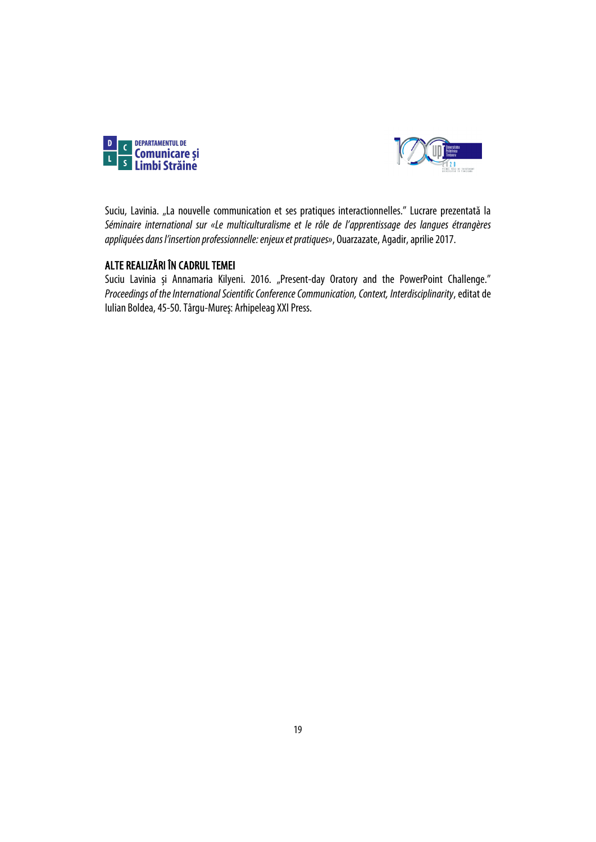



Suciu, Lavinia. "La nouvelle communication et ses pratiques interactionnelles." Lucrare prezentată la *Séminaire international sur «Le multiculturalisme et le rôle de l'apprentissage des langues étrangères appliquées dans l'insertion professionnelle: enjeux et pratiques»*, Ouarzazate, Agadir, aprilie 2017.

### ALTE REALIZĂRI ÎN CADRUL TEMEI

Suciu Lavinia și Annamaria Kilyeni. 2016. "Present-day Oratory and the PowerPoint Challenge." *Proceedings of the International Scientific Conference Communication, Context, Interdisciplinarity*, editat de Iulian Boldea, 45-50. Târgu-Mureş: Arhipeleag XXI Press.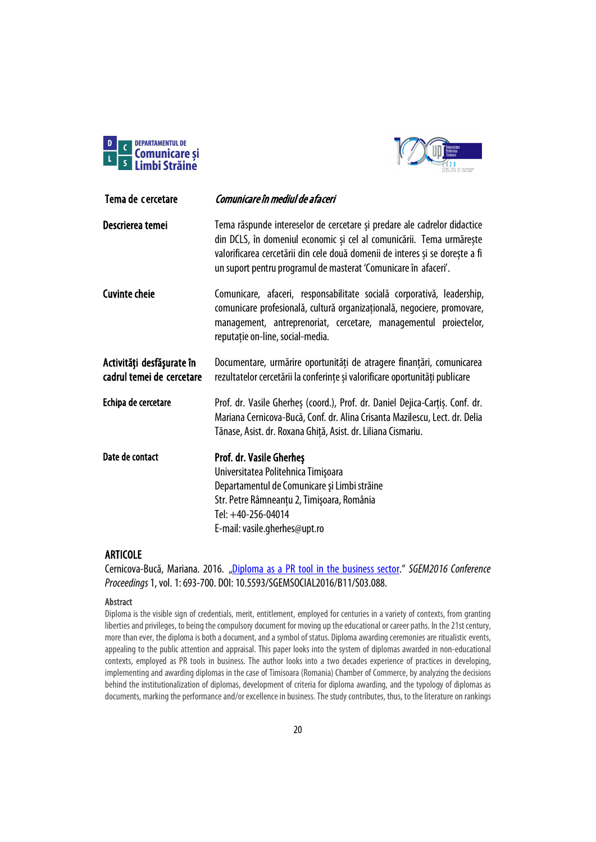



<span id="page-19-0"></span>

| Tema de cercetare                                      | Comunicare în mediul de afaceri                                                                                                                                                                                                                                                                     |
|--------------------------------------------------------|-----------------------------------------------------------------------------------------------------------------------------------------------------------------------------------------------------------------------------------------------------------------------------------------------------|
| Descrierea temei                                       | Tema răspunde intereselor de cercetare și predare ale cadrelor didactice<br>din DCLS, în domeniul economic și cel al comunicării. Tema urmărește<br>valorificarea cercetării din cele două domenii de interes și se dorește a fi<br>un suport pentru programul de masterat 'Comunicare în afaceri'. |
| <b>Cuvinte cheie</b>                                   | Comunicare, afaceri, responsabilitate socială corporativă, leadership,<br>comunicare profesională, cultură organizațională, negociere, promovare,<br>management, antreprenoriat, cercetare, managementul proiectelor,<br>reputație on-line, social-media.                                           |
| Activități desfășurate în<br>cadrul temei de cercetare | Documentare, urmărire oportunități de atragere finanțări, comunicarea<br>rezultatelor cercetării la conferințe și valorificare oportunități publicare                                                                                                                                               |
| Echipa de cercetare                                    | Prof. dr. Vasile Gherhes (coord.), Prof. dr. Daniel Dejica-Cartis. Conf. dr.<br>Mariana Cernicova-Bucă, Conf. dr. Alina Crisanta Mazilescu, Lect. dr. Delia<br>Tănase, Asist. dr. Roxana Ghiță, Asist. dr. Liliana Cismariu.                                                                        |
| Date de contact                                        | Prof. dr. Vasile Gherheş<br>Universitatea Politehnica Timișoara<br>Departamentul de Comunicare și Limbi străine<br>Str. Petre Râmneanțu 2, Timișoara, România<br>Tel: +40-256-04014<br>E-mail: vasile.gherhes@upt.ro                                                                                |

### ARTICOLE

Cernicova-Bucă, Mariana. 2016. ["Diploma as a PR tool in the business sector."](https://sgemsocial.org/ssgemlib/spip.php?article2296) *SGEM2016 Conference Proceedings*1, vol. 1: 693-700. DOI: 10.5593/SGEMSOCIAL2016/B11/S03.088.

### Abstract

Diploma is the visible sign of credentials, merit, entitlement, employed for centuries in a variety of contexts, from granting liberties and privileges, to being the compulsory document for moving up the educational or career paths. In the 21st century, more than ever, the diploma is both a document, and a symbol of status. Diploma awarding ceremonies are ritualistic events, appealing to the public attention and appraisal. This paper looks into the system of diplomas awarded in non-educational contexts, employed as PR tools in business. The author looks into a two decades experience of practices in developing, implementing and awarding diplomas in the case of Timisoara (Romania) Chamber of Commerce, by analyzing the decisions behind the institutionalization of diplomas, development of criteria for diploma awarding, and the typology of diplomas as documents, marking the performance and/or excellence in business. The study contributes, thus, to the literature on rankings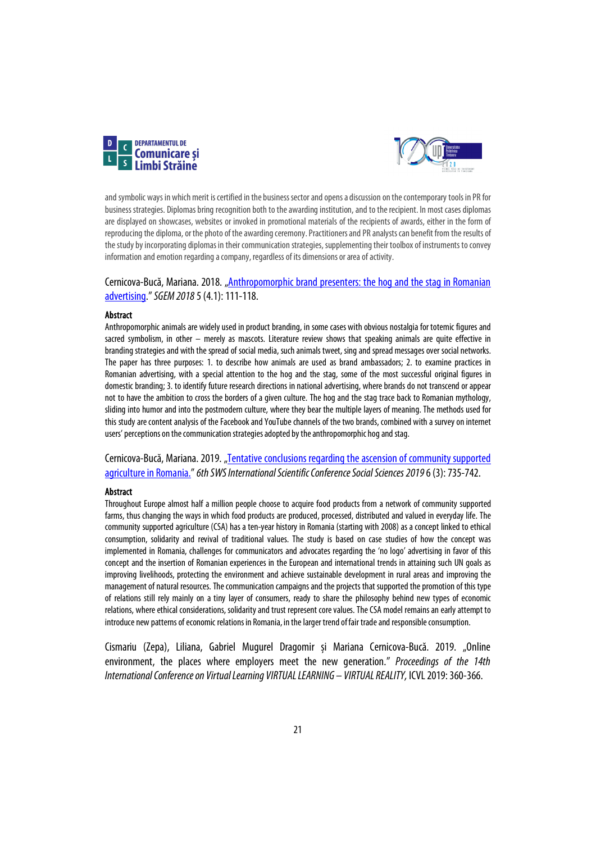



and symbolic ways in which merit is certified in the business sector and opens a discussion on the contemporary tools in PR for business strategies. Diplomas bring recognition both to the awarding institution, and to the recipient. In most cases diplomas are displayed on showcases, websites or invoked in promotional materials of the recipients of awards, either in the form of reproducing the diploma, or the photo of the awarding ceremony. Practitioners and PR analysts can benefit from the results of the study by incorporating diplomas in their communication strategies, supplementing their toolbox of instruments to convey information and emotion regarding a company, regardless of its dimensions or area of activity.

### Cernicova-Bucă, Mariana. 2018. ["Anthropomorphic brand presenters: the hog and the stag in Romanian](https://sgemsocial.org/ssgemlib/spip.php?article6980)  [advertising.](https://sgemsocial.org/ssgemlib/spip.php?article6980)"*SGEM 2018*5(4.1):111-118.

### **Abstract**

Anthropomorphic animals are widely used in product branding, in some cases with obvious nostalgia for totemic figures and sacred symbolism, in other – merely as mascots. Literature review shows that speaking animals are quite effective in branding strategies and with the spread of social media, such animals tweet, singand spread messages over social networks. The paper has three purposes: 1. to describe how animals are used as brand ambassadors; 2. to examine practices in Romanian advertising, with a special attention to the hog and the stag, some of the most successful original figures in domestic branding; 3. to identify future research directions in national advertising, where brands do not transcend or appear not to have the ambition to cross the borders of a given culture. The hog and the stag trace back to Romanian mythology, sliding into humor and into the postmodern culture, where they bear the multiple layers of meaning. The methods used for this study are content analysis of the Facebook and YouTube channels of the two brands, combined with a survey on internet users' perceptions on the communication strategies adopted by the anthropomorphic hog and stag.

Cernicova-Bucă, Mariana. 2019. "Tentative conclusions regarding the ascension of community supported [agriculture in Romania."](https://sgemsocial.org/index.php/elibrary-research-areas?view=publication&task=show&id=4281) 6th SWS International Scientific Conference Social Sciences 2019 6 (3): 735-742.

### Abstract

Throughout Europe almost half a million people choose to acquire food products from a network of community supported farms, thus changing the ways in which food products are produced, processed, distributed and valued in everyday life. The community supported agriculture (CSA) has a ten-year history in Romania (starting with 2008) as a concept linked to ethical consumption, solidarity and revival of traditional values. The study is based on case studies of how the concept was implemented in Romania, challenges for communicators and advocates regarding the 'no logo' advertising in favor of this concept and the insertion of Romanian experiences in the European and international trends in attaining such UN goals as improving livelihoods, protecting the environment and achieve sustainable development in rural areas and improving the management of natural resources. The communication campaigns and the projects that supported the promotion of this type of relations still rely mainly on a tiny layer of consumers, ready to share the philosophy behind new types of economic relations, where ethical considerations, solidarity and trust represent core values. The CSA model remains an early attempt to introduce new patterns of economic relations in Romania, in the larger trend of fair trade and responsible consumption.

Cismariu (Zepa), Liliana, Gabriel Mugurel Dragomir și Mariana Cernicova-Bucă. 2019. "Online environment, the places where employers meet the new generation." *Proceedings of the 14th International Conference on Virtual Learning VIRTUAL LEARNING – VIRTUAL REALITY,* ICVL 2019: 360-366.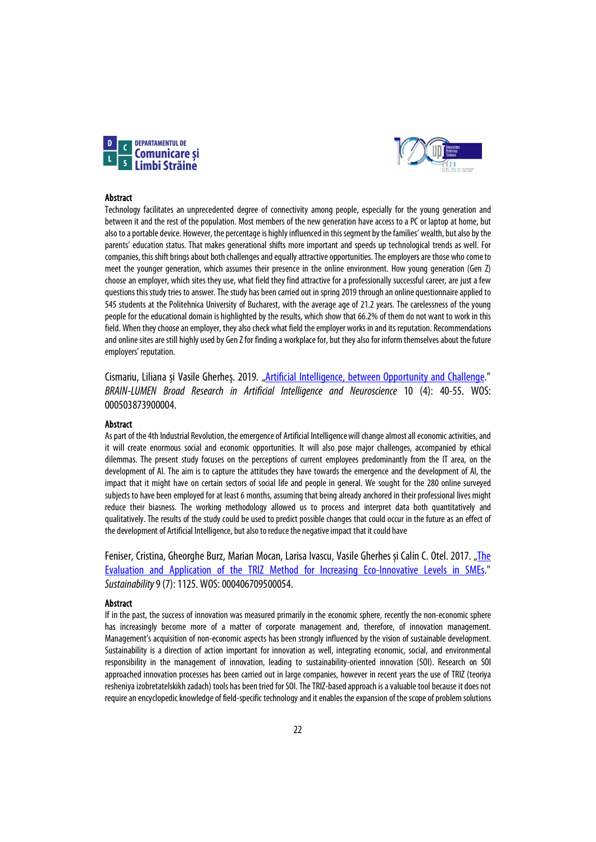



#### Abstract

Technology facilitates an unprecedented degree of connectivity among people, especially for the young generation and between it and the rest of the population. Most members of the new generation have access to a PC or laptop at home, but also to a portable device. However, the percentage is highly influenced in this segment by the families' wealth, but also by the parents' education status. That makes generational shifts more important and speeds up technological trends as well. For companies, this shift brings about both challenges and equally attractive opportunities. The employers are those who come to meet the younger generation, which assumes their presence in the online environment. How young generation (Gen Z) choose an employer, which sites they use, what field they find attractive for a professionally successful career, are just a few questions this study tries to answer. The study has been carried out in spring 2019 through an online questionnaire applied to 545 students at the Politehnica University of Bucharest, with the average age of 21.2 years. The carelessness of the young people for the educational domain is highlighted by the results, which show that 66.2% of them do not want to work in this field. When they choose an employer, they also check what field the employer works in and its reputation. Recommendations and online sites are still highly used by Gen Z for finding a workplace for, but they also for inform themselves about the future employers' reputation.

Cismariu, Liliana și Vasile Gherheș. 2019. ["Artificial Intelligence, between Opportunity and Challenge."](https://www.edusoft.ro/brain/index.php/brain/article/view/979/1146) *BRAIN-LUMEN Broad Research in Artificial Intelligence and Neuroscience* 10 (4): 40-55. WOS: 000503873900004.

#### Abstract

As part of the 4th Industrial Revolution, the emergence of Artificial Intelligence will change almost all economic activities, and it will create enormous social and economic opportunities. It will also pose major challenges, accompanied by ethical dilemmas. The present study focuses on the perceptions of current employees predominantly from the IT area, on the development of AI. The aim is to capture the attitudes they have towards the emergence and the development of AI, the impact that it might have on certain sectors of social life and people in general. We sought for the 280 online surveyed subjects to have been employed for at least 6 months, assuming that being already anchored in their professional lives might reduce their biasness. The working methodology allowed us to process and interpret data both quantitatively and qualitatively. The results of the study could be used to predict possible changes that could occur in the future as an effect of the development of Artificial Intelligence, but also to reduce the negative impact that it could have

Feniser, Cristina, Gheorghe Burz, Marian Mocan, Larisa Ivascu, Vasile Gherhes și Calin C. Otel. 2017. "The [Evaluation and Application of the TRIZ Method for Increasing Eco-Innovative Levels in SMEs."](https://www.mdpi.com/2071-1050/9/7/1125/htm) *Sustainability* 9(7): 1125. WOS:000406709500054.

#### Abstract

If in the past, the success of innovation was measured primarily in the economic sphere, recently the non-economic sphere has increasingly become more of a matter of corporate management and, therefore, of innovation management. Management's acquisition of non-economic aspects has been strongly influenced by the vision of sustainable development. Sustainability is a direction of action important for innovation as well, integrating economic, social, and environmental responsibility in the management of innovation, leading to sustainability-oriented innovation (SOI). Research on SOI approached innovation processes has been carried out in large companies, however in recent years the use of TRIZ (teoriya resheniya izobretatelskikh zadach) tools has been tried for SOI. The TRIZ-based approach is a valuable tool because it does not require an encyclopedic knowledge of field-specific technology and it enables the expansion of the scope of problem solutions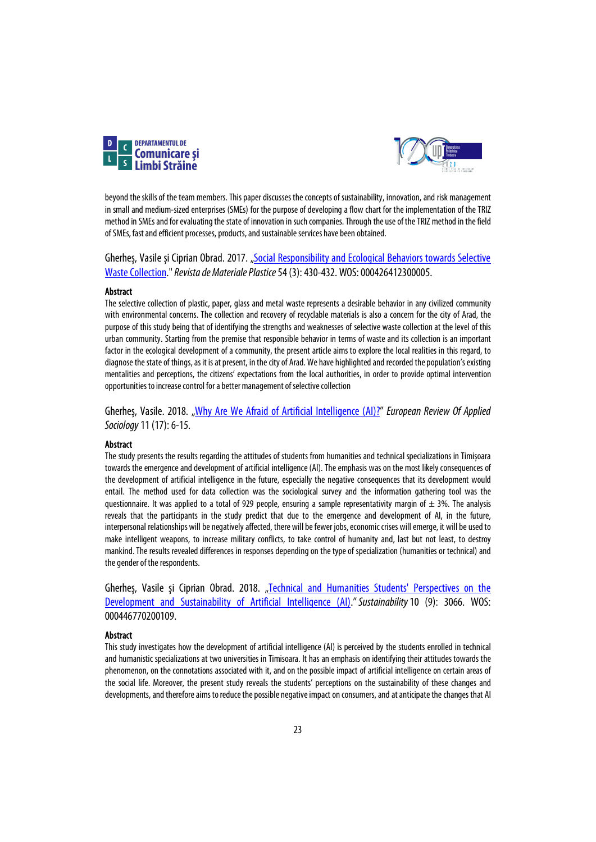



beyond the skills of the team members. This paper discusses the concepts of sustainability, innovation, and risk management in small and medium-sized enterprises (SMEs) for the purpose of developing a flow chart for the implementation of the TRIZ method in SMEs and for evaluating the state of innovation in such companies. Through the use of the TRIZ method in the field of SMEs, fast and efficient processes, products, and sustainable services have been obtained.

Gherheș, Vasile și Ciprian Obrad. 2017. "Social Responsibility and Ecological Behaviors towards Selective [Waste Collection.](https://revmaterialeplastice.ro/pdf/5%20GHERGHES%203%2017.pdf)" *Revista de Materiale Plastice*54 (3): 430-432. WOS:000426412300005.

#### Abstract

The selective collection of plastic, paper, glass and metal waste represents a desirable behavior in any civilized community with environmental concerns. The collection and recovery of recyclable materials is also a concern for the city of Arad, the purpose of this study being that of identifying the strengths and weaknesses of selective waste collection at the level of this urban community. Starting from the premise that responsible behavior in terms of waste and its collection is an important factor in the ecological development of a community, the present article aims to explore the local realities in this regard, to diagnose the state of things, as it is at present, in the city of Arad. We have highlighted and recorded the population's existing mentalities and perceptions, the citizens' expectations from the local authorities, in order to provide optimal intervention opportunities to increase control for a better management of selective collection

Gherheș, Vasile. 2018. ["Why Are We Afraid of Artificial Intelligence \(AI\)?"](https://content.sciendo.com/view/journals/eras/11/17/article-p6.xml?language=en) *European Review Of Applied Sociology*11(17): 6-15.

### Abstract

The study presents the results regarding the attitudes of students from humanities and technical specializations in Timișoara towards the emergence and development of artificial intelligence (AI). The emphasis was on the most likely consequences of the development of artificial intelligence in the future, especially the negative consequences that its development would entail. The method used for data collection was the sociological survey and the information gathering tool was the questionnaire. It was applied to a total of 929 people, ensuring a sample representativity margin of  $\pm$  3%. The analysis reveals that the participants in the study predict that due to the emergence and development of AI, in the future, interpersonal relationships will be negatively affected, there will be fewer jobs, economic crises will emerge, it will be used to make intelligent weapons, to increase military conflicts, to take control of humanity and, last but not least, to destroy mankind. The results revealed differences in responses depending on the type of specialization (humanities or technical) and the gender of the respondents.

Gherheș, Vasile și Ciprian Obrad. 2018. "Technical and Humanities Students' Perspectives on the [Development and Sustainability of Artificial Intelligence \(AI\)."](https://www.mdpi.com/2071-1050/10/9/3066/htm)*Sustainability*10 (9): 3066. WOS: 000446770200109.

### Abstract

This study investigates how the development of artificial intelligence (AI) is perceived by the students enrolled in technical and humanistic specializations at two universities in Timisoara. It has an emphasis on identifying their attitudes towards the phenomenon, on the connotations associated with it, and on the possible impact of artificial intelligence on certain areas of the social life. Moreover, the present study reveals the students' perceptions on the sustainability of these changes and developments, and therefore aims to reduce the possible negative impact on consumers, and at anticipate the changes that AI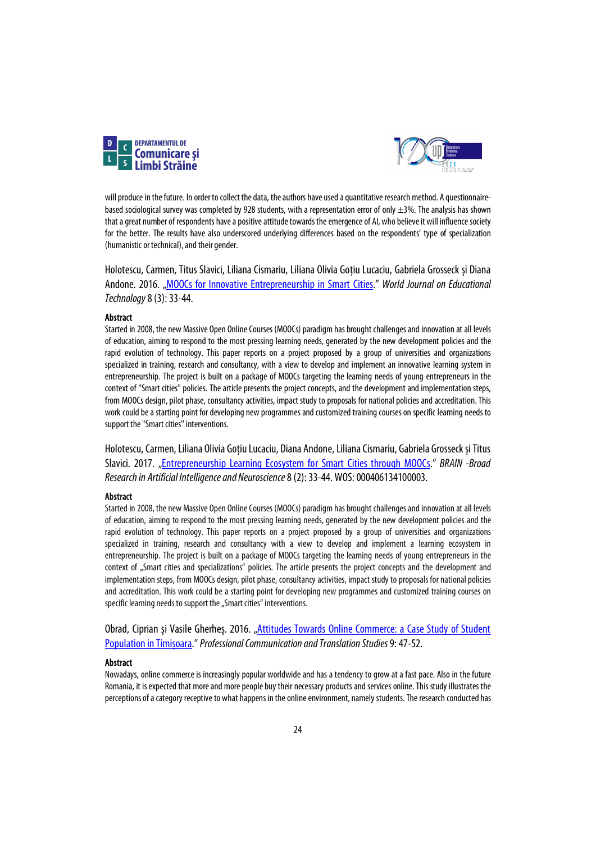



will produce in the future. In order to collect the data, the authors have used a quantitative research method. A questionnairebased sociological survey was completed by 928 students, with a representation error of only  $\pm$ 3%. The analysis has shown that a great number of respondents have a positive attitude towards the emergence of AI, who believe it will influence society for the better. The results have also underscored underlying differences based on the respondents' type of specialization (humanistic or technical), and their gender.

Holotescu, Carmen, Titus Slavici, Liliana Cismariu, Liliana Olivia Gotiu Lucaciu, Gabriela Grosseck și Diana Andone. 2016. ["MOOCs for Innovative Entrepreneurship in Smart Cities.](http://www.brain.edusoft.ro/index.php/brain/article/download/687/765)" *World Journal on Educational Technology*8(3): 33-44.

### Abstract

Started in 2008, the new Massive Open Online Courses (MOOCs) paradigm has brought challenges and innovation at all levels of education, aiming to respond to the most pressing learning needs, generated by the new development policies and the rapid evolution of technology. This paper reports on a project proposed by a group of universities and organizations specialized in training, research and consultancy, with a view to develop and implement an innovative learning system in entrepreneurship. The project is built on a package of MOOCs targeting the learning needs of young entrepreneurs in the context of "Smart cities" policies. The article presents the project concepts, and the development and implementation steps, from MOOCs design, pilot phase, consultancy activities, impact study to proposals for national policies and accreditation. This work could be a starting point for developing new programmes and customized training courses on specific learning needs to support the "Smart cities" interventions.

Holotescu, Carmen, Liliana Olivia Gotiu Lucaciu, Diana Andone, Liliana Cismariu, Gabriela Grosseck și Titus Slavici. 2017. ["Entrepreneurship Learning Ecosystem for Smart Cities through MOOCs.](https://www.edusoft.ro/brain/index.php/brain/article/view/687/765)" *BRAIN -Broad Research in Artificial Intelligence and Neuroscience*8(2): 33-44. WOS:000406134100003.

#### Abstract

Started in 2008, the new Massive Open Online Courses (MOOCs) paradigm has brought challenges and innovation at all levels of education, aiming to respond to the most pressing learning needs, generated by the new development policies and the rapid evolution of technology. This paper reports on a project proposed by a group of universities and organizations specialized in training, research and consultancy with a view to develop and implement a learning ecosystem in entrepreneurship. The project is built on a package of MOOCs targeting the learning needs of young entrepreneurs in the context of "Smart cities and specializations" policies. The article presents the project concepts and the development and implementation steps, from MOOCs design, pilot phase, consultancy activities, impact study to proposals for national policies and accreditation. This work could be a starting point for developing new programmes and customized training courses on specific learning needs to support the "Smart cities" interventions.

Obrad, Ciprian și Vasile Gherheș. 2016. ["Attitudes Towards Online Commerce: a Case Study of Student](https://sc.upt.ro/images/cwattachments/121_32d4bd0d22619d52902d766b368019bd.pdf)  [Population in Timișoara.](https://sc.upt.ro/images/cwattachments/121_32d4bd0d22619d52902d766b368019bd.pdf)" *Professional Communication and Translation Studies*9: 47-52.

### Abstract

Nowadays, online commerce is increasingly popular worldwide and has a tendency to grow at a fast pace. Also in the future Romania, it is expected that more and more people buy their necessary products and services online. This study illustrates the perceptions of a category receptive to what happens in the online environment, namely students. The research conducted has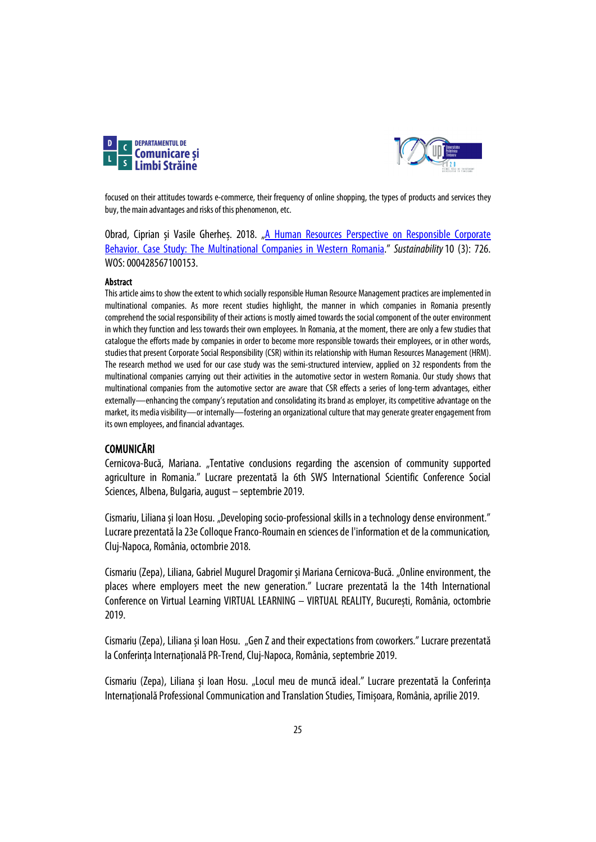



focused on their attitudes towards e-commerce, their frequency of online shopping, the types of products and services they buy, the main advantages and risks of this phenomenon, etc.

Obrad, Ciprian și Vasile Gherheș. 2018. "A Human Resources Perspective on Responsible Corporate [Behavior. Case Study: The Multinational Companies in Western Romania.](https://www.mdpi.com/2071-1050/10/3/726/htm)" *Sustainability*10 (3): 726. WOS:000428567100153.

### **Abstract**

This article aims to show the extent to which socially responsible Human Resource Management practices are implemented in multinational companies. As more recent studies highlight, the manner in which companies in Romania presently comprehend the social responsibility of their actions is mostly aimed towards the social component of the outer environment in which they function and less towards their own employees. In Romania, at the moment, there are only a few studies that catalogue the efforts made by companies in order to become more responsible towards their employees, or in other words, studies that present Corporate Social Responsibility (CSR) within its relationship with Human Resources Management (HRM). The research method we used for our case study was the semi-structured interview, applied on 32 respondents from the multinational companies carrying out their activities in the automotive sector in western Romania. Our study shows that multinational companies from the automotive sector are aware that CSR effects a series of long-term advantages, either externally—enhancing the company's reputation and consolidating its brand as employer, its competitive advantage on the market, its media visibility—or internally—fostering an organizational culture that may generate greater engagement from its own employees, and financial advantages.

### COMUNICĂRI

Cernicova-Bucă, Mariana. "Tentative conclusions regarding the ascension of community supported agriculture in Romania." Lucrare prezentată la 6th SWS International Scientific Conference Social Sciences, Albena, Bulgaria, august – septembrie 2019.

Cismariu, Liliana și Ioan Hosu. "Developing socio-professional skills in a technology dense environment." Lucrare prezentată la 23e Colloque Franco-Roumain en sciences de l'information et de la communication, Cluj-Napoca, România,octombrie 2018.

Cismariu (Zepa), Liliana, Gabriel Mugurel Dragomir și Mariana Cernicova-Bucă. "Online environment, the places where employers meet the new generation." Lucrare prezentată la the 14th International Conference on Virtual Learning VIRTUAL LEARNING – VIRTUAL REALITY, București, România, octombrie 2019.

Cismariu (Zepa), Liliana și Ioan Hosu. "Gen Z and their expectations from coworkers." Lucrare prezentată la Conferința Internațională PR-Trend, Cluj-Napoca, România, septembrie 2019.

Cismariu (Zepa), Liliana și Ioan Hosu. "Locul meu de muncă ideal." Lucrare prezentată la Conferința Internațională Professional Communication and Translation Studies, Timișoara, România, aprilie 2019.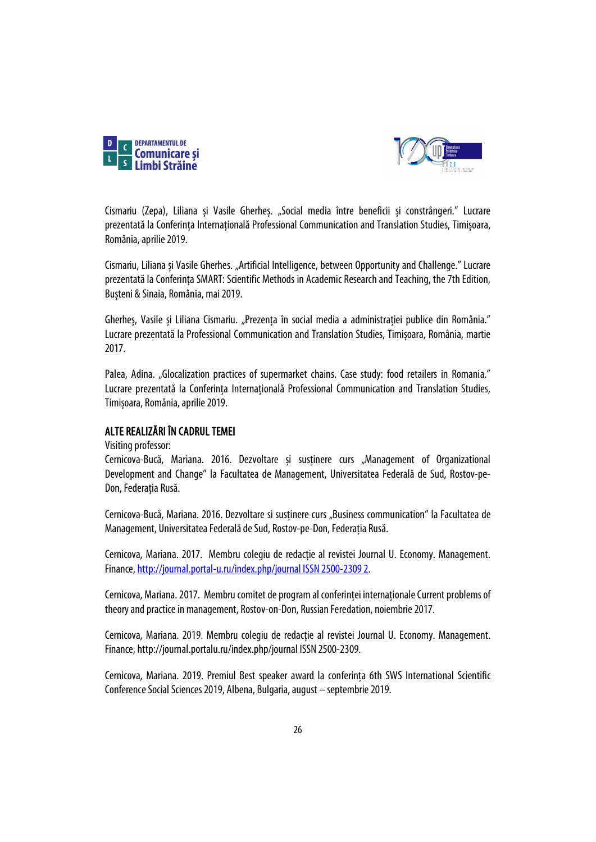



Cismariu (Zepa), Liliana și Vasile Gherheș. "Social media între beneficii și constrângeri." Lucrare prezentată la Conferința Internațională Professional Communication and Translation Studies, Timișoara, România, aprilie 2019.

Cismariu, Liliana și Vasile Gherhes. "Artificial Intelligence, between Opportunity and Challenge." Lucrare prezentată la Conferința SMART: Scientific Methods in Academic Research and Teaching, the 7th Edition, Bușteni & Sinaia, România, mai2019.

Gherheș, Vasile și Liliana Cismariu. "Prezența în social media a administrației publice din România." Lucrare prezentată la Professional Communication and Translation Studies, Timișoara, România, martie 2017.

Palea, Adina. "Glocalization practices of supermarket chains. Case study: food retailers in Romania." Lucrare prezentată la Conferința Internațională Professional Communication and Translation Studies, Timișoara, România, aprilie 2019.

### ALTE REALIZĂRI ÎN CADRUL TEMEI

Visiting professor:

Cernicova-Bucă, Mariana. 2016. Dezvoltare și susținere curs "Management of Organizational Development and Change" la Facultatea de Management, Universitatea Federală de Sud, Rostov-pe-Don, Federația Rusă.

Cernicova-Bucă, Mariana. 2016. Dezvoltare si susținere curs "Business communication" la Facultatea de Management, Universitatea Federală de Sud, Rostov-pe-Don, Federația Rusă.

Cernicova, Mariana. 2017. Membru colegiu de redactie al revistei Journal U. Economy. Management. Finance[, http://journal.portal-u.ru/index.php/journal ISSN 2500-2309 2.](http://journal.portal-u.ru/index.php/journal%20ISSN%202500-2309%202)

Cernicova, Mariana. 2017. Membru comitet de program al conferinței internaționale Current problems of theory and practice in management, Rostov-on-Don, Russian Feredation, noiembrie 2017.

Cernicova, Mariana. 2019. Membru colegiu de redactie al revistei Journal U. Economy. Management. Finance, http://journal.portalu.ru/index.php/journal ISSN 2500-2309.

Cernicova, Mariana. 2019. Premiul Best speaker award la conferința 6th SWS International Scientific Conference Social Sciences 2019, Albena, Bulgaria, august – septembrie 2019.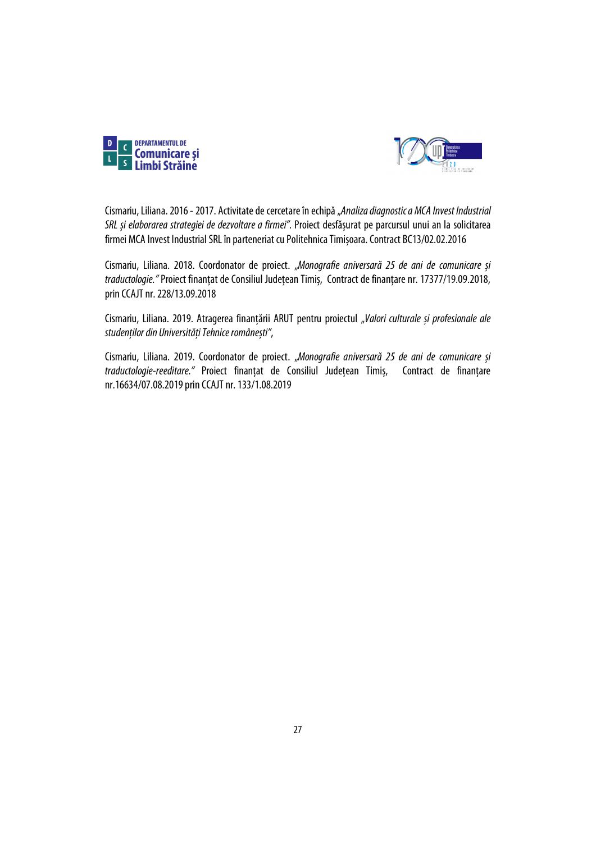



Cismariu, Liliana. 2016 -2017. Activitate de cercetare în echipă"*Analiza diagnostic a MCA Invest Industrial SRL și elaborarea strategiei de dezvoltare a firmei".* Proiect desfășurat pe parcursul unui an la solicitarea firmei MCA Invest Industrial SRL în parteneriat cu Politehnica Timișoara. Contract BC13/02.02.2016

Cismariu, Liliana. 2018. Coordonator de proiect. "*Monografie aniversară 25 de ani de comunicare și traductologie."* Proiect finanțat de Consiliul Județean Timiș, Contract de finanțare nr. 17377/19.09.2018, prin CCAJT nr. 228/13.09.2018

Cismariu, Liliana. 2019. Atragerea finanțării ARUT pentru proiectul "*Valori culturale și profesionale ale studenților din Universități Tehnice românești"*,

Cismariu, Liliana. 2019. Coordonator de proiect. "*Monografie aniversară 25 de ani de comunicare și traductologie-reeditare."* Proiect finanțat de Consiliul Județean Timiș, Contract de finanțare nr.16634/07.08.2019 prin CCAJT nr. 133/1.08.2019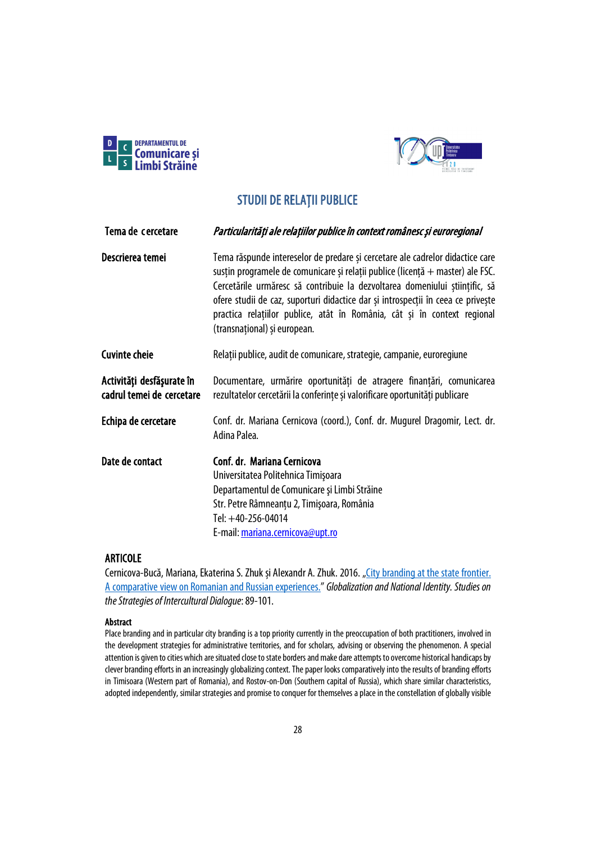



# STUDII DE RELAȚII PUBLICE

<span id="page-27-1"></span><span id="page-27-0"></span>

| Tema de cercetare                                      | Particularități ale relațiilor publice în context românesc și euroregional                                                                                                                                                                                                                                                                                                                                                                     |
|--------------------------------------------------------|------------------------------------------------------------------------------------------------------------------------------------------------------------------------------------------------------------------------------------------------------------------------------------------------------------------------------------------------------------------------------------------------------------------------------------------------|
| Descrierea temei                                       | Tema răspunde intereselor de predare și cercetare ale cadrelor didactice care<br>susțin programele de comunicare și relații publice (licență + master) ale FSC.<br>Cercetările urmăresc să contribuie la dezvoltarea domeniului științific, să<br>ofere studii de caz, suporturi didactice dar și introspecții în ceea ce privește<br>practica relațiilor publice, atât în România, cât și în context regional<br>(transnațional) și european. |
| <b>Cuvinte cheie</b>                                   | Relații publice, audit de comunicare, strategie, campanie, euroregiune                                                                                                                                                                                                                                                                                                                                                                         |
| Activități desfășurate în<br>cadrul temei de cercetare | Documentare, urmărire oportunități de atragere finanțări, comunicarea<br>rezultatelor cercetării la conferințe și valorificare oportunități publicare                                                                                                                                                                                                                                                                                          |
| Echipa de cercetare                                    | Conf. dr. Mariana Cernicova (coord.), Conf. dr. Mugurel Dragomir, Lect. dr.<br>Adina Palea.                                                                                                                                                                                                                                                                                                                                                    |
| Date de contact                                        | Conf. dr. Mariana Cernicova<br>Universitatea Politehnica Timișoara<br>Departamentul de Comunicare și Limbi Străine<br>Str. Petre Râmneanțu 2, Timișoara, România<br>Tel: +40-256-04014<br>E-mail: mariana.cernicova@upt.ro                                                                                                                                                                                                                     |

### ARTICOLE

Cernicova-Bucă, Mariana, Ekaterina S. Zhuk și Alexandr A. Zhuk. 2016. "City branding at the state frontier. [A comparative view on Romanian and Russian experiences.](https://old.upm.ro/gidni3/GIDNI-03/Cpj/Cpj%2003%2007.pdf)" *Globalization and National Identity. Studies on the Strategies of Intercultural Dialogue*:89-101.

### Abstract

Place branding and in particular city branding is a top priority currently in the preoccupation of both practitioners, involved in the development strategies for administrative territories, and for scholars, advising or observing the phenomenon. A special attention is given to cities which are situated close to state borders and make dare attempts to overcome historical handicaps by clever branding efforts in an increasingly globalizing context. The paper looks comparatively into the results of branding efforts in Timisoara (Western part of Romania), and Rostov-on-Don (Southern capital of Russia), which share similar characteristics, adopted independently, similar strategies and promise to conquer for themselves a place in the constellation of globally visible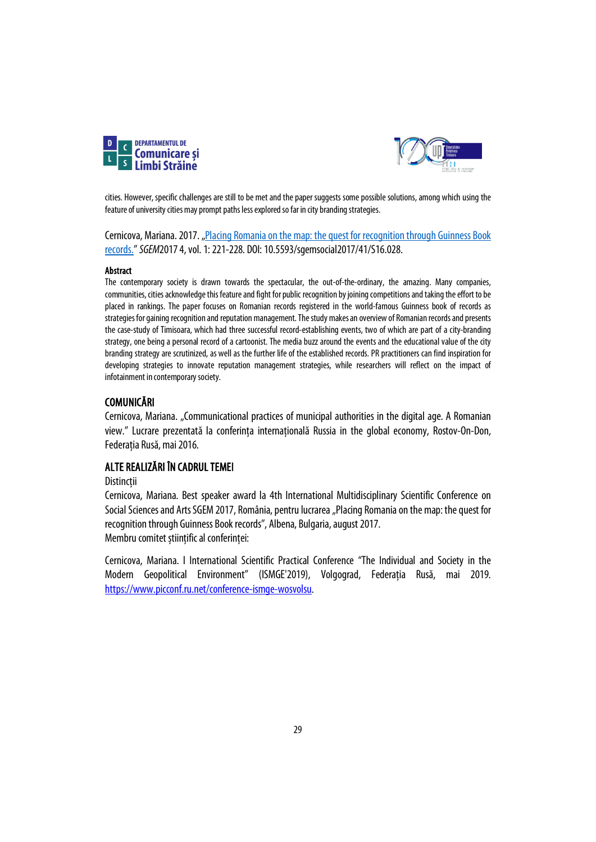



cities. However, specific challenges are still to be met and the paper suggests some possible solutions, among which using the feature of university cities may prompt paths less explored so far in city branding strategies.

Cernicova, Mariana. 2017. "Placing Romania on the map: the quest for recognition through Guinness Book [records."](https://sgemsocial.org/index.php/elibrary?view=publication&task=show&id=3047) *SGEM*20174,vol. 1: 221-228. DOI: 10.5593/sgemsocial2017/41/S16.028.

### Abstract

The contemporary society is drawn towards the spectacular, the out-of-the-ordinary, the amazing. Many companies, communities, cities acknowledge this feature and fight for public recognition by joining competitions and taking the effort to be placed in rankings. The paper focuses on Romanian records registered in the world-famous Guinness book of records as strategies for gaining recognition and reputation management. The study makes an overview of Romanian records and presents the case-study of Timisoara, which had three successful record-establishing events, two of which are part of a city-branding strategy, one being a personal record of a cartoonist. The media buzz around the events and the educational value of the city branding strategy are scrutinized, as well as the further life of the established records. PR practitioners can find inspiration for developing strategies to innovate reputation management strategies, while researchers will reflect on the impact of infotainment in contemporary society.

### COMUNICĂRI

Cernicova, Mariana. "Communicational practices of municipal authorities in the digital age. A Romanian view." Lucrare prezentată la conferința internațională Russia in the global economy, Rostov-On-Don, Federația Rusă, mai 2016.

### ALTE REALIZĂRI ÎN CADRUL TEMEI

### **Distincții**

Cernicova, Mariana. Best speaker award la 4th International Multidisciplinary Scientific Conference on Social Sciences and Arts SGEM 2017, România, pentru lucrarea "Placing Romania on the map: the quest for recognition through Guinness Book records", Albena, Bulgaria, august 2017. Membru comitet științific al conferinței:

Cernicova, Mariana. I International Scientific Practical Conference "The Individual and Society in the Modern Geopolitical Environment" (ISMGE'2019), Volgograd, Federația Rusă, mai 2019. [https://www.picconf.ru.net/conference-ismge-wosvolsu.](https://www.picconf.ru.net/conference-ismge-wosvolsu)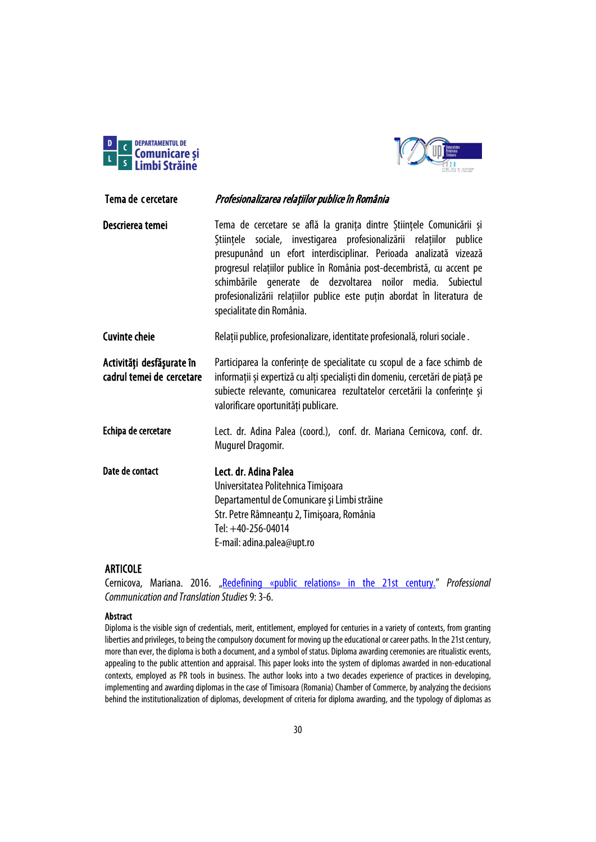



<span id="page-29-0"></span>Tema de cercetare *Profesionalizarea relațiilor publice în România* Descrierea temei Tema de cercetare se află la granița dintre Stiințele Comunicării și

Științele sociale, investigarea profesionalizării relațiilor publice presupunând un efort interdisciplinar. Perioada analizată vizează progresul relațiilor publice în România post-decembristă, cu accent pe schimbările generate de dezvoltarea noilor media. Subiectul profesionalizării relațiilor publice este puțin abordat în literatura de specialitate din România.

Cuvinte cheie Relații publice, profesionalizare, identitate profesională, roluri sociale .

Activităţi desfăşurate în cadrul temei de cercetare Participarea la conferințe de specialitate cu scopul de a face schimb de informații și expertiză cu alți specialiști din domeniu, cercetări de piață pe subiecte relevante, comunicarea rezultatelor cercetării la conferințe și valorificare oportunități publicare.

- Echipa de cercetare Lect. dr. Adina Palea (coord.), conf. dr. Mariana Cernicova, conf. dr. Mugurel Dragomir.
- Date de contact Lect. dr. Adina Palea Universitatea Politehnica Timişoara Departamentul de Comunicare și Limbi străine Str. Petre Râmneanțu 2, Timişoara, România Tel: +40-256-04014 E-mail: adina.palea@upt.ro

### ARTICOLE

Cernicova, Mariana. 2016. ["Redefining «public relations» in the 21st century."](https://sc.upt.ro/images/cwattachments/121_49f19911a51a4b7931ae627a59e1f0da.pdf) *Professional Communication and Translation Studies*9:3-6.

### Abstract

Diploma is the visible sign of credentials, merit, entitlement, employed for centuries in a variety of contexts, from granting liberties and privileges, to being the compulsory document for moving up the educational or career paths. In the 21st century, more than ever, the diploma is both a document, and a symbol of status. Diploma awarding ceremonies are ritualistic events, appealing to the public attention and appraisal. This paper looks into the system of diplomas awarded in non-educational contexts, employed as PR tools in business. The author looks into a two decades experience of practices in developing, implementing and awarding diplomas in the case of Timisoara (Romania) Chamber of Commerce, by analyzing the decisions behind the institutionalization of diplomas, development of criteria for diploma awarding, and the typology of diplomas as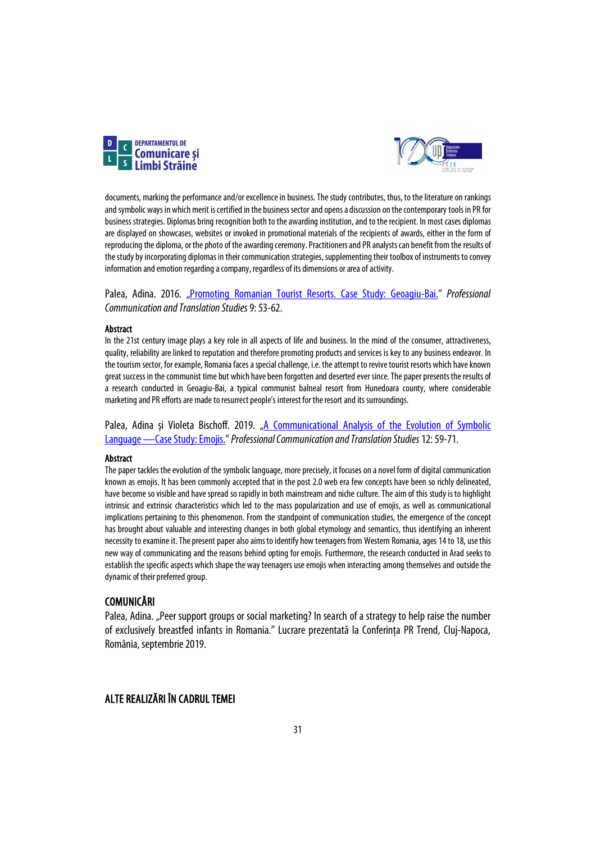



documents, marking the performance and/or excellence in business. The study contributes, thus, to the literature on rankings and symbolic ways in which merit is certified in the business sector and opens a discussion on the contemporary tools in PR for business strategies. Diplomas bring recognition both to the awarding institution, and to the recipient. In most cases diplomas are displayed on showcases, websites or invoked in promotional materials of the recipients of awards, either in the form of reproducing the diploma, or the photo of the awarding ceremony. Practitioners and PR analysts can benefit from the results of the study by incorporating diplomas in their communication strategies, supplementing their toolbox of instruments to convey information and emotion regarding a company, regardless of its dimensions or area of activity.

Palea, Adina. 2016. ["Promoting Romanian Tourist Resorts. Case Study: Geoagiu-Bai.](https://sc.upt.ro/images/cwattachments/121_e459b5c2be1454fec0c7c6fce13bdec0.pdf)" *Professional Communication and Translation Studies*9:53-62.

### Abstract

In the 21st century image plays a key role in all aspects of life and business. In the mind of the consumer, attractiveness, quality, reliability are linked to reputation and therefore promoting products and services is key to any business endeavor. In the tourism sector, for example, Romania faces a special challenge, i.e. the attempt to revive tourist resorts which have known great success in the communist time but which have been forgotten and deserted ever since. The paper presents the results of a research conducted in Geoagiu-Bai, a typical communist balneal resort from Hunedoara county, where considerable marketing and PR efforts are made to resurrect people's interest for the resort and its surroundings.

Palea, Adina și Violeta Bischoff. 2019. "A Communicational Analysis of the Evolution of Symbolic [Language —Case Study: Emojis."](https://sc.upt.ro/attachments/article/406/02_03_Bischoff_Palea.pdf) *Professional Communication and Translation Studies*12: 59-71.

### Abstract

The paper tackles the evolution of the symbolic language, more precisely, it focuses on a novel form of digital communication known as emojis. It has been commonly accepted that in the post 2.0 web era few concepts have been so richly delineated, have become so visible and have spread so rapidly in both mainstream and niche culture. The aim of this study is to highlight intrinsic and extrinsic characteristics which led to the mass popularization and use of emojis, as well as communicational implications pertaining to this phenomenon. From the standpoint of communication studies, the emergence of the concept has brought about valuable and interesting changes in both global etymology and semantics, thus identifying an inherent necessity to examine it. The present paper also aims to identify how teenagers from Western Romania, ages 14 to 18, use this new way of communicating and the reasons behind opting foremojis. Furthermore, the research conducted in Arad seeks to establish the specific aspects which shape the way teenagers use emojis when interacting among themselves and outside the dynamic of their preferred group.

### COMUNICĂRI

Palea, Adina. "Peer support groups or social marketing? In search of a strategy to help raise the number of exclusively breastfed infants in Romania." Lucrare prezentată la Conferința PR Trend, Cluj-Napoca, România, septembrie 2019.

### ALTE REALIZĂRI ÎN CADRUL TEMEI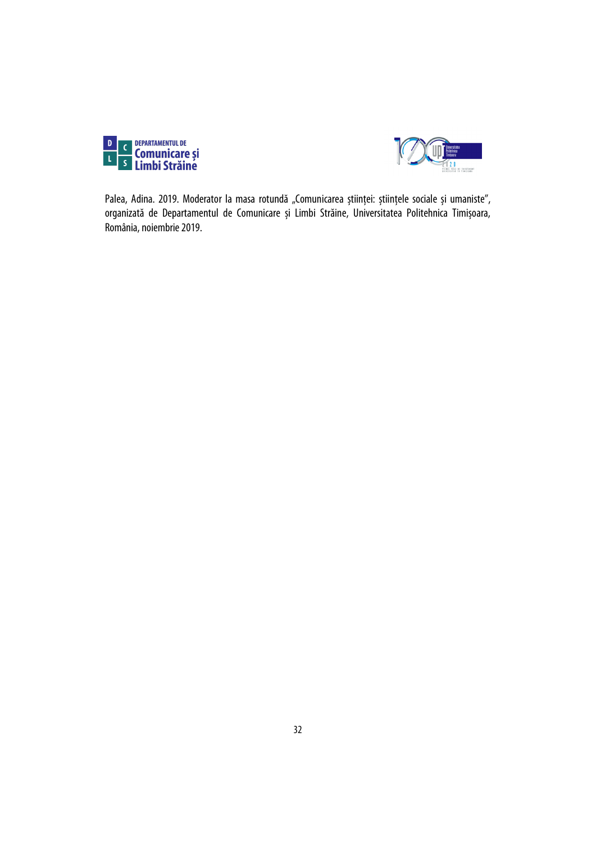



Palea, Adina. 2019. Moderator la masa rotundă "Comunicarea științei: științele sociale și umaniste", organizată de Departamentul de Comunicare și Limbi Străine, Universitatea Politehnica Timișoara, România, noiembrie 2019.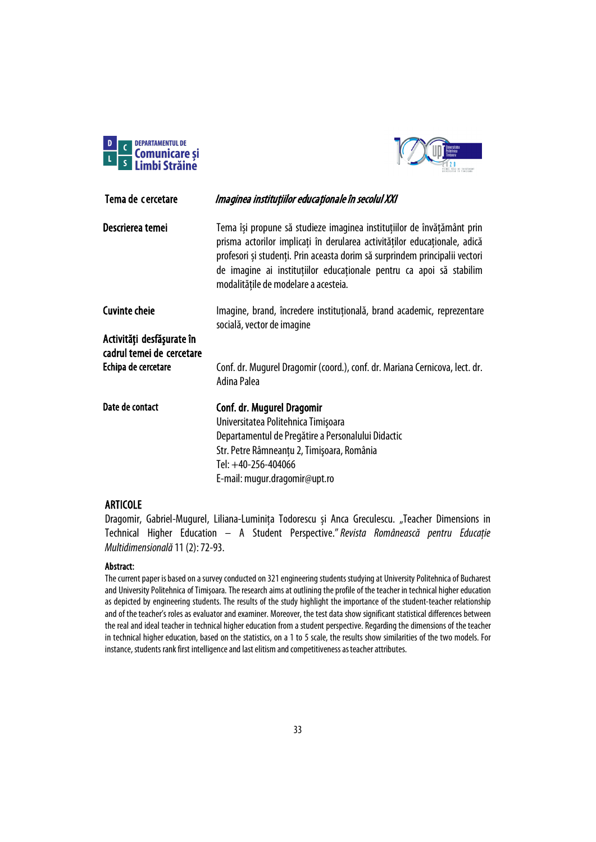



<span id="page-32-0"></span>

| Tema de cercetare                                      | Imaginea instituțiilor educaționale în secolul XXI                                                                                                                                                                                                                                                                                                |
|--------------------------------------------------------|---------------------------------------------------------------------------------------------------------------------------------------------------------------------------------------------------------------------------------------------------------------------------------------------------------------------------------------------------|
| Descrierea temei                                       | Tema își propune să studieze imaginea instituțiilor de învățământ prin<br>prisma actorilor implicați în derularea activităților educaționale, adică<br>profesori și studenți. Prin aceasta dorim să surprindem principalii vectori<br>de imagine ai instituțiilor educaționale pentru ca apoi să stabilim<br>modalitățile de modelare a acesteia. |
| <b>Cuvinte cheie</b>                                   | Imagine, brand, încredere instituțională, brand academic, reprezentare<br>socială, vector de imagine                                                                                                                                                                                                                                              |
| Activități desfășurate în<br>cadrul temei de cercetare |                                                                                                                                                                                                                                                                                                                                                   |
| Echipa de cercetare                                    | Conf. dr. Mugurel Dragomir (coord.), conf. dr. Mariana Cernicova, lect. dr.<br>Adina Palea                                                                                                                                                                                                                                                        |
| Date de contact                                        | Conf. dr. Mugurel Dragomir                                                                                                                                                                                                                                                                                                                        |
|                                                        | Universitatea Politehnica Timișoara                                                                                                                                                                                                                                                                                                               |
|                                                        | Departamentul de Pregătire a Personalului Didactic                                                                                                                                                                                                                                                                                                |
|                                                        | Str. Petre Râmneanțu 2, Timișoara, România                                                                                                                                                                                                                                                                                                        |
|                                                        | Tel: +40-256-404066                                                                                                                                                                                                                                                                                                                               |
|                                                        | E-mail: mugur.dragomir@upt.ro                                                                                                                                                                                                                                                                                                                     |

### ARTICOLE

Dragomir, Gabriel-Mugurel, Liliana-Luminița Todorescu și Anca Greculescu. "Teacher Dimensions in Technical Higher Education – A Student Perspective."*Revista Românească pentru Educație Multidimensională*11(2): 72-93.

### Abstract:

The current paper is based on a survey conducted on 321 engineering students studying at University Politehnica of Bucharest and University Politehnica of Timişoara. The research aims at outlining the profile of the teacher in technical higher education as depicted by engineering students. The results of the study highlight the importance of the student-teacher relationship and of the teacher's roles as evaluator and examiner. Moreover, the test data show significant statistical differences between the real and ideal teacher in technical higher education from a student perspective. Regarding the dimensions of the teacher in technical higher education, based on the statistics, on a 1 to 5 scale, the results show similarities of the two models. For instance, students rank first intelligence and last elitism and competitiveness as teacher attributes.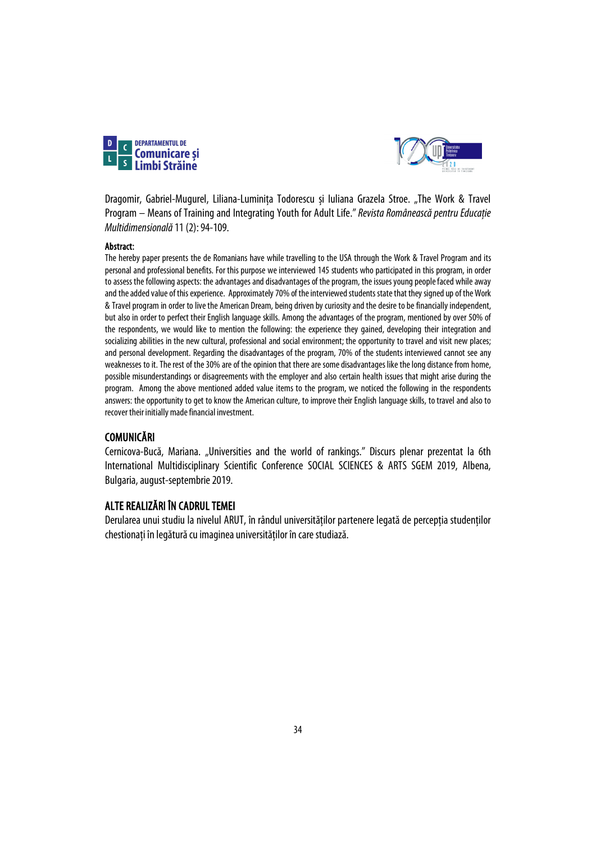



Dragomir, Gabriel-Mugurel, Liliana-Luminita Todorescu și Iuliana Grazela Stroe. "The Work & Travel Program – Means of Training and Integrating Youth for Adult Life." Revista Românească pentru Educație *Multidimensională*11(2): 94-109.

### Abstract:

The hereby paper presents the de Romanians have while travelling to the USA through the Work & Travel Program and its personal and professional benefits. For this purpose we interviewed 145 students who participated in this program, in order to assess the following aspects: the advantages and disadvantages of the program, the issues young people faced while away and the added value of this experience. Approximately 70% of the interviewed students state that they signed up of the Work & Travel program in order to live the American Dream, being driven by curiosity and the desire to be financially independent, but also in order to perfect their English language skills. Among the advantages of the program, mentioned by over 50% of the respondents, we would like to mention the following: the experience they gained, developing their integration and socializing abilities in the new cultural, professional and social environment; the opportunity to travel and visit new places; and personal development. Regarding the disadvantages of the program, 70% of the students interviewed cannot see any weaknesses to it. The rest of the 30% are of the opinion that there are some disadvantages like the long distance from home, possible misunderstandings or disagreements with the employer and also certain health issues that might arise during the program. Among the above mentioned added value items to the program, we noticed the following in the respondents answers: the opportunity to get to know the American culture, to improve their English language skills, to travel and also to recover their initially made financial investment.

### **COMUNICĂRI**

Cernicova-Bucă, Mariana. "Universities and the world of rankings." Discurs plenar prezentat la 6th International Multidisciplinary Scientific Conference SOCIAL SCIENCES & ARTS SGEM 2019, Albena, Bulgaria, august-septembrie 2019.

### ALTE REALIZĂRI ÎN CADRUL TEMEI

Derularea unui studiu la nivelul ARUT, în rândul universităților partenere legată de percepția studenților chestionați în legătură cu imaginea universităților în care studiază.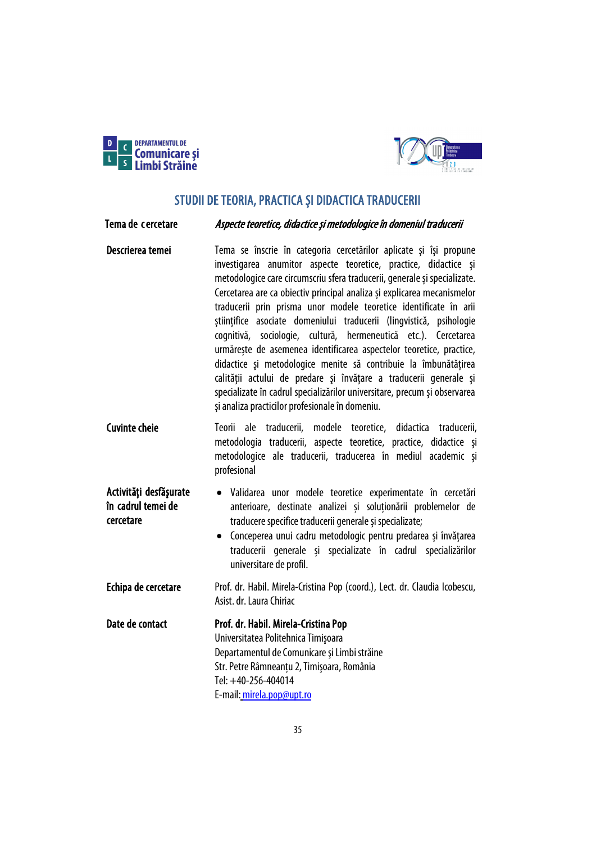

Activităţi desfăşurate în cadrul temei de

cercetare



# STUDII DE TEORIA, PRACTICA ȘI DIDACTICA TRADUCERII

### <span id="page-34-1"></span><span id="page-34-0"></span>Tema de cercetare *Aspecte teoretice, didactice și metodologice în domeniul traducerii*

- Descrierea temei Tema se înscrie în categoria cercetărilor aplicate și își propune investigarea anumitor aspecte teoretice, practice, didactice și metodologice care circumscriu sfera traducerii, generale și specializate. Cercetarea are ca obiectiv principal analiza și explicarea mecanismelor traducerii prin prisma unor modele teoretice identificate în arii științifice asociate domeniului traducerii (lingvistică, psihologie cognitivă, sociologie, cultură, hermeneutică etc.). Cercetarea urmărește de asemenea identificarea aspectelor teoretice, practice, didactice şi metodologice menite să contribuie la îmbunătățirea calității actului de predare și învătare a traducerii generale și specializate în cadrul specializărilor universitare, precum și observarea și analiza practicilor profesionale în domeniu.
- Cuvinte cheie Teorii ale traducerii, modele teoretice, didactica traducerii, metodologia traducerii, aspecte teoretice, practice, didactice și metodologice ale traducerii, traducerea în mediul academic și profesional
	- Validarea unor modele teoretice experimentate în cercetări anterioare, destinate analizei și soluționării problemelor de traducere specifice traducerii generale și specializate;
		- Conceperea unui cadru metodologic pentru predarea și învățarea traducerii generale și specializate în cadrul specializărilor universitare de profil.
- Echipa de cercetare Prof. dr. Habil. Mirela-Cristina Pop (coord.), Lect. dr. Claudia Icobescu, Asist. dr. Laura Chiriac

Date de contact Prof. dr. Habil. Mirela-Cristina Pop Universitatea Politehnica Timişoara Departamentul de Comunicare şi Limbi străine Str. Petre Râmneanțu 2, Timişoara, România Tel: +40-256-404014 E-mail[:mirela.pop@upt.ro](mailto:mirela.pop@upt.ro)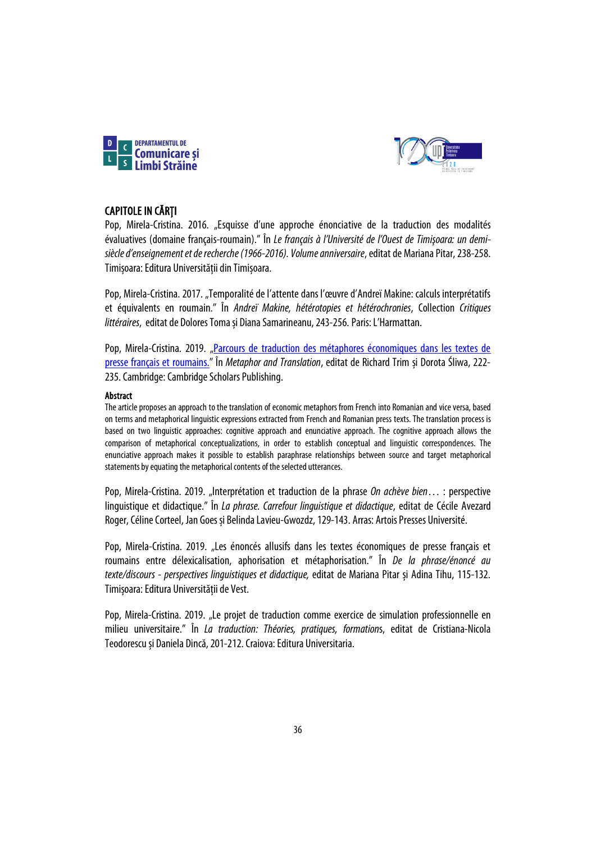



## CAPITOLE IN CĂRȚI

Pop, Mirela-Cristina. 2016. "Esquisse d'une approche énonciative de la traduction des modalités évaluatives (domaine français-roumain)." În *Le français à l'Université de l'Ouest de Timişoara: un demisiècle d'enseignement et de recherche (1966-2016). Volume anniversaire*, editat de Mariana Pitar, 238-258. Timișoara: Editura Universității din Timișoara.

Pop, Mirela-Cristina. 2017. "Temporalité de l'attente dans l'œuvre d'Andreï Makine: calculs interprétatifs et équivalents en roumain." În *Andreï Makine, hétérotopies et hétérochronies*, Collection *Critiques littéraires*, editat de Dolores Tomași Diana Samarineanu, 243-256. Paris: L'Harmattan.

Pop, Mirela-Cristina. 2019. "Parcours de traduction des métaphores économiques dans les textes de [presse français et roumains.](https://books.google.ro/books?hl=en&lr=&id=R1K3DwAAQBAJ&oi=fnd&pg=PA222&ots=-quONOEoOh&sig=M6q_vK3PZiOpSqj09D2hO8JYNrg&redir_esc=y#v=onepage&q&f=false)" În *Metaphor and Translation*, editat de Richard Trim și Dorota Śliwa, 222- 235. Cambridge: Cambridge Scholars Publishing.

### Abstract

The article proposes an approach to the translation of economic metaphors from French into Romanian and vice versa, based on terms and metaphorical linguistic expressions extracted from French and Romanian press texts. The translation process is based on two linguistic approaches: cognitive approach and enunciative approach. The cognitive approach allows the comparison of metaphorical conceptualizations, in order to establish conceptual and linguistic correspondences. The enunciative approach makes it possible to establish paraphrase relationships between source and target metaphorical statements by equating the metaphorical contents of the selected utterances.

Pop, Mirela-Cristina. 2019. "Interprétation et traduction de la phrase *On achève bien*… : perspective linguistique et didactique." În *La phrase. Carrefour linguistique et didactique*, editat de Cécile Avezard Roger, Céline Corteel, Jan Goes și Belinda Lavieu-Gwozdz, 129-143. Arras: Artois Presses Université.

Pop, Mirela-Cristina. 2019. "Les énoncés allusifs dans les textes économiques de presse français et roumains entre délexicalisation, aphorisation et métaphorisation." În *De la phrase/énoncé au texte/discours - perspectives linguistiques et didactique,* editat de Mariana Pitar și Adina Tihu, 115-132. Timișoara: Editura Universității de Vest.

Pop, Mirela-Cristina. 2019. "Le projet de traduction comme exercice de simulation professionnelle en milieu universitaire." În *La traduction: Théories, pratiques, formation*s, editat de Cristiana-Nicola Teodorescu și Daniela Dincă, 201-212. Craiova: Editura Universitaria.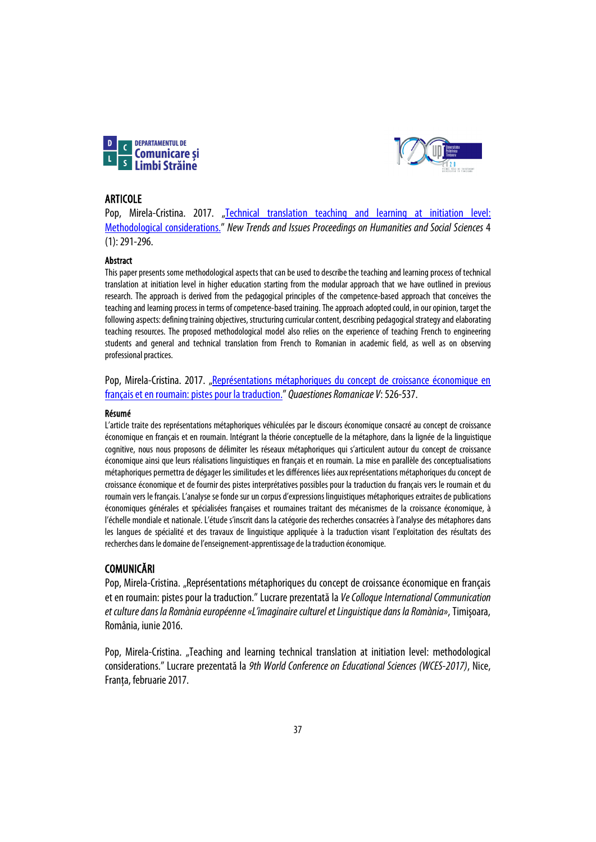



### ARTICOLE

Pop, Mirela-Cristina. 2017. "Technical translation teaching and learning at initiation level: [Methodological considerations."](https://doi.org/10.18844/prosoc.v4i1.2268) *New Trends and Issues Proceedings on Humanities and Social Sciences* 4 (1): 291-296.

### Abstract

This paper presents some methodological aspects that can be used to describe the teaching and learning process of technical translation at initiation level in higher education starting from the modular approach that we have outlined in previous research. The approach is derived from the pedagogical principles of the competence-based approach that conceives the teaching and learning process in terms of competence-based training. The approach adopted could, in our opinion, target the following aspects: defining training objectives, structuring curricular content, describing pedagogical strategy and elaborating teaching resources. The proposed methodological model also relies on the experience of teaching French to engineering students and general and technical translation from French to Romanian in academic field, as well as on observing professional practices.

Pop, Mirela-Cristina. 2017. "Représentations métaphoriques du concept de croissance économique en [français et en roumain: pistes pour la traduction."](https://ciccre.uvt.ro/sites/default/files/qr/qr_v_mirela-cristina_pop.pdf) *Quaestiones Romanicae V*: 526-537.

### Résumé

L'article traite des représentations métaphoriques véhiculées par le discours économique consacré au concept de croissance économique en français et en roumain. Intégrant la théorie conceptuelle de la métaphore, dans la lignée de la linguistique cognitive, nous nous proposons de délimiter les réseaux métaphoriques qui s'articulent autour du concept de croissance économique ainsi que leurs réalisations linguistiques en français et en roumain. La mise en parallèle des conceptualisations métaphoriques permettra de dégager les similitudes et les différences liées aux représentations métaphoriques du concept de croissance économique et de fournir des pistes interprétatives possibles pour la traduction du français vers le roumain et du roumain vers le français. L'analyse se fonde sur un corpus d'expressions linguistiques métaphoriques extraites de publications économiques générales et spécialisées françaises et roumaines traitant des mécanismes de la croissance économique, à l'échelle mondiale et nationale. L'étude s'inscrit dans la catégorie des recherches consacrées à l'analyse des métaphores dans les langues de spécialité et des travaux de linguistique appliquée à la traduction visant l'exploitation des résultats des recherches dans le domaine de l'enseignement-apprentissage de la traduction économique.

### COMUNICĂRI

Pop, Mirela-Cristina. "Représentations métaphoriques du concept de croissance économique en français et en roumain: pistes pour la traduction." Lucrare prezentată la *Ve Colloque International Communication et culture dans la Romània européenne «L'imaginaire culturel et Linguistique dans la Romània»*, Timişoara, România, iunie 2016.

Pop, Mirela-Cristina. "Teaching and learning technical translation at initiation level: methodological considerations." Lucrare prezentată la *9th World Conference on Educational Sciences (WCES-2017)*, Nice, Franta, februarie 2017.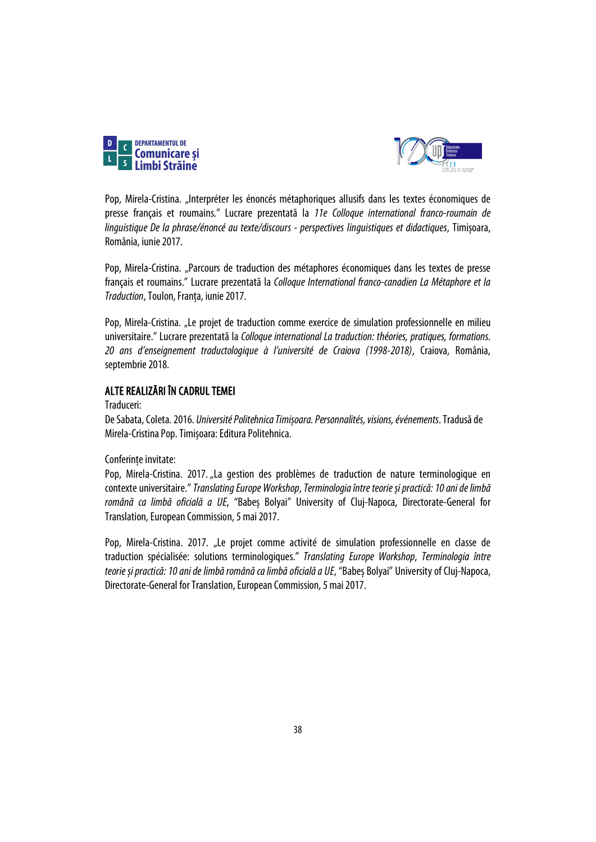



Pop, Mirela-Cristina. "Interpréter les énoncés métaphoriques allusifs dans les textes économiques de presse français et roumains." Lucrare prezentată la *11e Colloque international franco-roumain de linguistique De la phrase/énoncé au texte/discours - perspectives linguistiques et didactiques*, Timișoara, România, iunie 2017.

Pop, Mirela-Cristina. "Parcours de traduction des métaphores économiques dans les textes de presse français et roumains." Lucrare prezentată la *Colloque International franco-canadien La Métaphore et la Traduction*, Toulon, Franța, iunie2017.

Pop, Mirela-Cristina. "Le projet de traduction comme exercice de simulation professionnelle en milieu universitaire." Lucrare prezentată la *Colloque international La traduction: théories, pratiques, formations. 20 ans d'enseignement traductologique à l'université de Craiova (1998-2018)*, Craiova, România, septembrie 2018.

## ALTE REALIZĂRI ÎN CADRUL TEMEI

## Traduceri:

De Sabata, Coleta. 2016. *Université Politehnica Timișoara. Personnalités, visions, événements*. Tradusă de Mirela-Cristina Pop. Timișoara: Editura Politehnica.

Conferințe invitate:

Pop, Mirela-Cristina. 2017. "La gestion des problèmes de traduction de nature terminologique en contexte universitaire." *Translating Europe Workshop*, *Terminologia între teorie și practică: 10 ani de limbă română ca limbă oficială a UE*, "Babeș Bolyai" University of Cluj-Napoca, Directorate-General for Translation, European Commission, 5 mai 2017.

Pop, Mirela-Cristina. 2017. "Le projet comme activité de simulation professionnelle en classe de traduction spécialisée: solutions terminologiques." *Translating Europe Workshop*, *Terminologia între teorie și practică: 10 ani de limbă română ca limbă oficială a UE*, "Babeș Bolyai" University of Cluj-Napoca, Directorate-General for Translation, European Commission, 5 mai2017.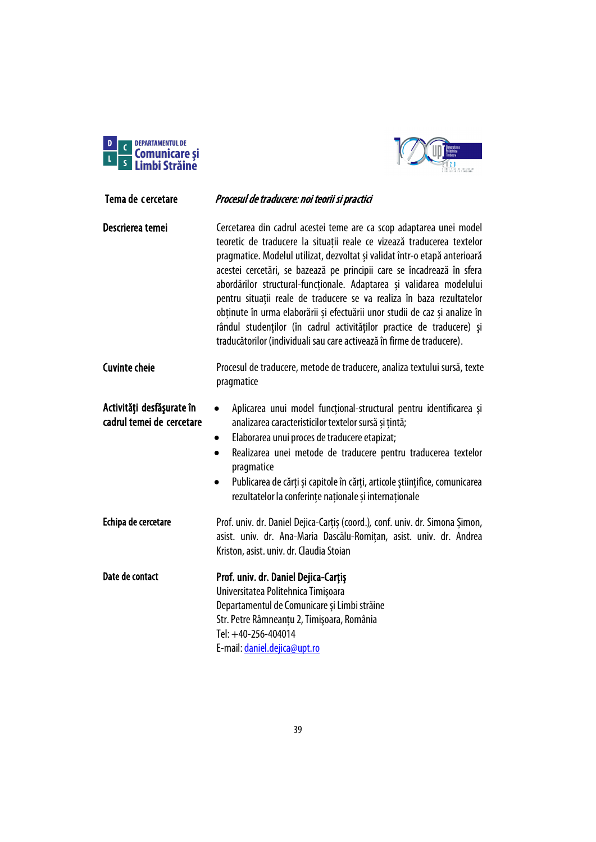



| Tema de cercetare                                      | Procesul de traducere: noi teorii si practici                                                                                                                                                                                                                                                                                                                                                                                                                                                                                                                                                                                                                                           |
|--------------------------------------------------------|-----------------------------------------------------------------------------------------------------------------------------------------------------------------------------------------------------------------------------------------------------------------------------------------------------------------------------------------------------------------------------------------------------------------------------------------------------------------------------------------------------------------------------------------------------------------------------------------------------------------------------------------------------------------------------------------|
| Descrierea temei                                       | Cercetarea din cadrul acestei teme are ca scop adaptarea unei model<br>teoretic de traducere la situații reale ce vizează traducerea textelor<br>pragmatice. Modelul utilizat, dezvoltat și validat într-o etapă anterioară<br>acestei cercetări, se bazează pe principii care se încadrează în sfera<br>abordărilor structural-funcționale. Adaptarea și validarea modelului<br>pentru situații reale de traducere se va realiza în baza rezultatelor<br>obținute în urma elaborării și efectuării unor studii de caz și analize în<br>rândul studenților (în cadrul activităților practice de traducere) și<br>traducătorilor (individuali sau care activează în firme de traducere). |
| <b>Cuvinte cheie</b>                                   | Procesul de traducere, metode de traducere, analiza textului sursă, texte<br>pragmatice                                                                                                                                                                                                                                                                                                                                                                                                                                                                                                                                                                                                 |
| Activități desfășurate în<br>cadrul temei de cercetare | Aplicarea unui model funcțional-structural pentru identificarea și<br>$\bullet$<br>analizarea caracteristicilor textelor sursă și țintă;<br>Elaborarea unui proces de traducere etapizat;<br>$\bullet$<br>Realizarea unei metode de traducere pentru traducerea textelor<br>$\bullet$<br>pragmatice<br>Publicarea de cărți și capitole în cărți, articole științifice, comunicarea<br>$\bullet$<br>rezultatelor la conferințe naționale și internaționale                                                                                                                                                                                                                               |
| Echipa de cercetare                                    | Prof. univ. dr. Daniel Dejica-Carțiș (coord.), conf. univ. dr. Simona Șimon,<br>asist. univ. dr. Ana-Maria Dascălu-Romițan, asist. univ. dr. Andrea<br>Kriston, asist. univ. dr. Claudia Stoian                                                                                                                                                                                                                                                                                                                                                                                                                                                                                         |
| Date de contact                                        | Prof. univ. dr. Daniel Dejica-Cartis<br>Universitatea Politehnica Timișoara<br>Departamentul de Comunicare și Limbi străine<br>Str. Petre Râmneanțu 2, Timișoara, România<br>Tel: +40-256-404014<br>E-mail: daniel.dejica@upt.ro                                                                                                                                                                                                                                                                                                                                                                                                                                                        |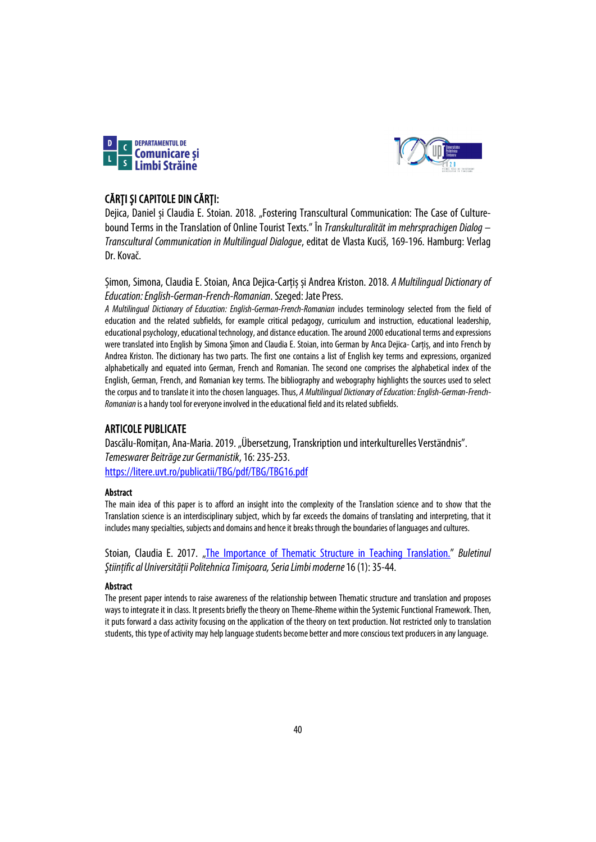



# CĂRȚI ȘI CAPITOLE DIN CĂRȚI:

Dejica, Daniel și Claudia E. Stoian. 2018. "Fostering Transcultural Communication: The Case of Culturebound Terms in the Translation of Online Tourist Texts." În *Transkulturalität im mehrsprachigen Dialog – Transcultural Communication in Multilingual Dialogue*, editat de Vlasta Kuciš, 169-196. Hamburg: Verlag Dr. Kovač.

Șimon, Simona, Claudia E. Stoian, Anca Dejica-Carțiș și Andrea Kriston. 2018. *A Multilingual Dictionary of Education: English-German-French-Romanian*. Szeged: Jate Press.

*A Multilingual Dictionary of Education: English-German-French-Romanian* includes terminology selected from the field of education and the related subfields, for example critical pedagogy, curriculum and instruction, educational leadership, educational psychology, educational technology, and distance education. The around 2000 educational terms and expressions were translated into English by Simona Șimon and Claudia E. Stoian, into German by Anca Dejica- Carțiș, and into French by Andrea Kriston. The dictionary has two parts. The first one contains a list of English key terms and expressions, organized alphabetically and equated into German, French and Romanian. The second one comprises the alphabetical index of the English, German, French, and Romanian key terms. The bibliography and webography highlights the sources used to select the corpus and to translate it into the chosen languages.Thus, *A Multilingual Dictionary of Education: English-German-French-Romanian* is a handy tool for everyone involved in the educational field and its related subfields.

# ARTICOLE PUBLICATE

Dascălu-Romițan, Ana-Maria. 2019. "Übersetzung, Transkription und interkulturelles Verständnis". *Temeswarer Beiträge zur Germanistik*, 16: 235-253. <https://litere.uvt.ro/publicatii/TBG/pdf/TBG/TBG16.pdf>

## Abstract

The main idea of this paper is to afford an insight into the complexity of the Translation science and to show that the Translation science is an interdisciplinary subject, which by far exceeds the domains of translating and interpreting, that it includes many specialties, subjects and domains and hence it breaks through the boundaries of languages and cultures.

Stoian, Claudia E. 2017. ["The Importance of Thematic Structure in Teaching Translation.](https://sc.upt.ro/attachments/article/143/04%20EN%20Stoian.pdf)" *Buletinul Ştiinţific al Universităţii Politehnica Timişoara, Seria Limbi moderne*16 (1): 35-44.

### Abstract

The present paper intends to raise awareness of the relationship between Thematic structure and translation and proposes ways to integrate it in class. It presents briefly the theory on Theme-Rheme within the Systemic Functional Framework. Then, it puts forward a class activity focusing on the application of the theory on text production. Not restricted only to translation students, this type of activity may help language students become better and more conscious text producers in any language.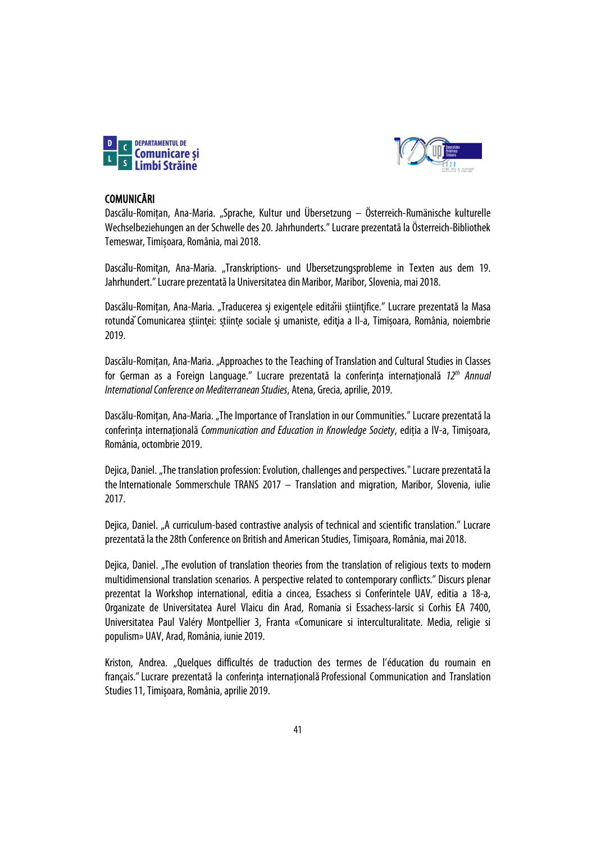



## COMUNICĂRI

Dascălu-Romițan, Ana-Maria. "Sprache, Kultur und Übersetzung – Österreich-Rumänische kulturelle Wechselbeziehungen an der Schwelle des 20. Jahrhunderts." Lucrare prezentată la Österreich-Bibliothek Temeswar, Timișoara, România, mai 2018.

Dascalu-Romitan, Ana-Maria. "Transkriptions- und Ubersetzungsprobleme in Texten aus dem 19. Jahrhundert."Lucrare prezentată la Universitatea din Maribor, Maribor, Slovenia, mai 2018.

Dascălu-Romitan, Ana-Maria. "Traducerea și exigențele editării șțiințifice." Lucrare prezentată la Masa rotunda Comunicarea stiinței: șțiințe sociale și umaniste, ediția a II-a, Timișoara, România, noiembrie 2019.

Dascălu-Romițan, Ana-Maria. "Approaches to the Teaching of Translation and Cultural Studies in Classes for German as a Foreign Language." Lucrare prezentată la conferința internațională *12th Annual International Conference on Mediterranean Studies*, Atena, Grecia, aprilie, 2019.

Dascălu-Romițan, Ana-Maria. "The Importance of Translation in our Communities." Lucrare prezentată la conferința internațională *Communication and Education in Knowledge Society*, ediția a IV-a, Timișoara, România, octombrie 2019.

Dejica, Daniel. "The translation profession: Evolution, challenges and perspectives." Lucrare prezentată la the Internationale Sommerschule TRANS 2017  $-$  Translation and migration, Maribor, Slovenia, iulie 2017.

Dejica, Daniel. "A curriculum-based contrastive analysis of technical and scientific translation." Lucrare prezentată la the28th Conference on British and American Studies, Timişoara, România, mai 2018.

Dejica, Daniel. "The evolution of translation theories from the translation of religious texts to modern multidimensional translation scenarios. A perspective related to contemporary conflicts." Discurs plenar prezentat la Workshop international, editia a cincea, Essachess si Conferintele UAV, editia a 18-a, Organizate de Universitatea Aurel Vlaicu din Arad, Romania si Essachess-Iarsic si Corhis EA 7400, Universitatea Paul Valéry Montpellier 3, Franta «Comunicare si interculturalitate. Media, religie si populism» UAV, Arad, România, iunie 2019.

Kriston, Andrea. "Quelques difficultés de traduction des termes de l'éducation du roumain en français." Lucrare prezentată la conferinta internatională Professional Communication and Translation Studies 11, Timișoara, România, aprilie 2019.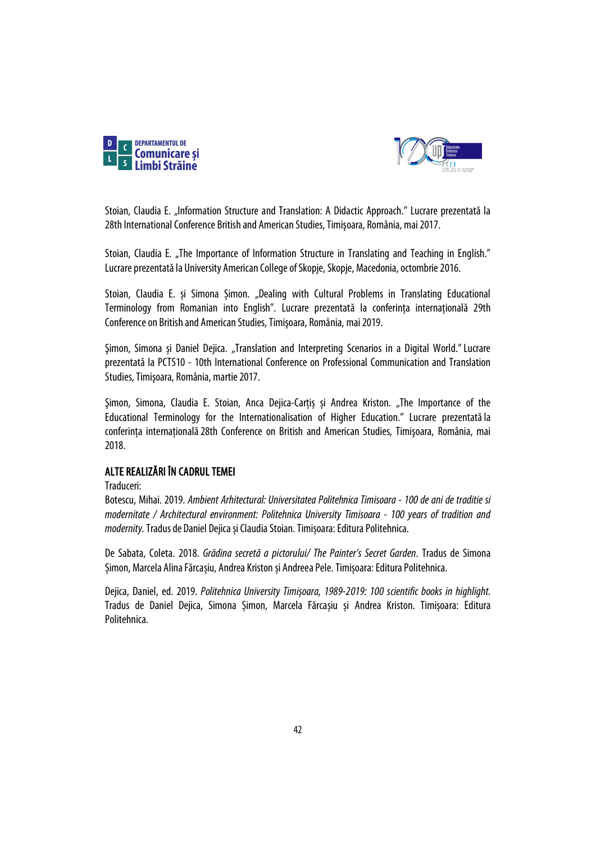



Stoian, Claudia E. "Information Structure and Translation: A Didactic Approach." Lucrare prezentată la 28th International Conference British and American Studies, Timişoara, România, mai 2017.

Stoian, Claudia E. "The Importance of Information Structure in Translating and Teaching in English." Lucrare prezentatăla University American College of Skopje, Skopje, Macedonia, octombrie 2016.

Stoian, Claudia E. și Simona Șimon. "Dealing with Cultural Problems in Translating Educational Terminology from Romanian into English". Lucrare prezentată la conferința internațională 29th Conference on British and American Studies, Timişoara, România, mai 2019.

Şimon, Simona și Daniel Dejica. "Translation and Interpreting Scenarios in a Digital World."Lucrare prezentată la PCTS10 - 10th International Conference on Professional Communication and Translation Studies, Timişoara, România, martie 2017.

Şimon, Simona, Claudia E. Stoian, Anca Dejica-Carțiș și Andrea Kriston. "The Importance of the Educational Terminology for the Internationalisation of Higher Education." Lucrare prezentatăla conferinţa internaţională28th Conference on British and American Studies, Timişoara, România, mai 2018.

### ALTE REALIZĂRI ÎN CADRUL TEMEI

Traduceri:

Botescu, Mihai. 2019. *Ambient Arhitectural: Universitatea Politehnica Timisoara - 100 de ani de traditie si modernitate / Architectural environment: Politehnica University Timisoara - 100 years of tradition and modernity*. Tradus de Daniel Dejica și Claudia Stoian. Timișoara: Editura Politehnica.

De Sabata, Coleta. 2018. *Grădina secretă a pictorului/ The Painter's Secret Garden*. Tradus de Simona Șimon, Marcela Alina Fărcașiu, Andrea Kriston și Andreea Pele. Timișoara: Editura Politehnica.

Dejica, Daniel, ed. 2019. *Politehnica University Timișoara, 1989-2019: 100 scientific books in highlight.*  Tradus de Daniel Dejica, Simona Șimon, Marcela Fărcașiu și Andrea Kriston. Timișoara: Editura Politehnica.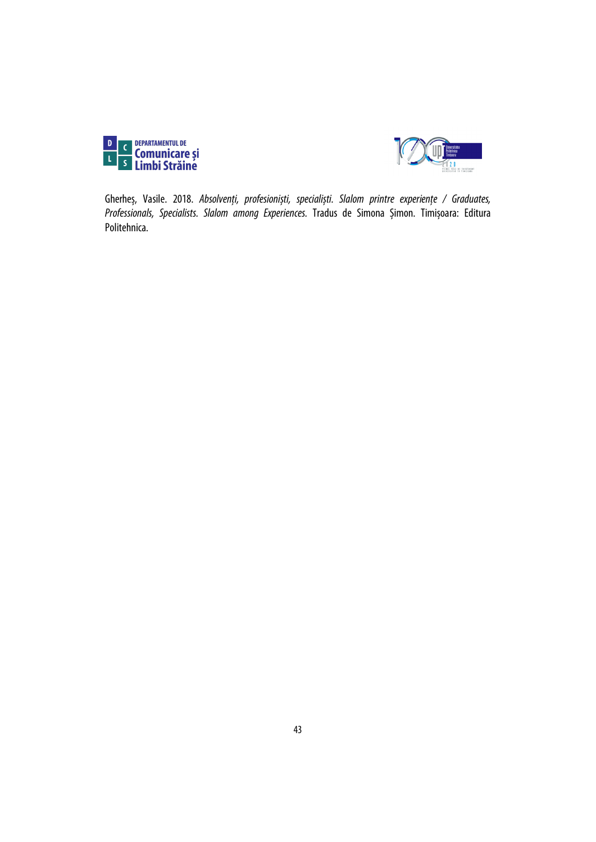



Gherheș, Vasile. 2018. *Absolvenți, profesioniști, specialiști. Slalom printre experiențe / Graduates, Professionals, Specialists. Slalom among Experiences.* Tradus de Simona Șimon. Timișoara: Editura Politehnica.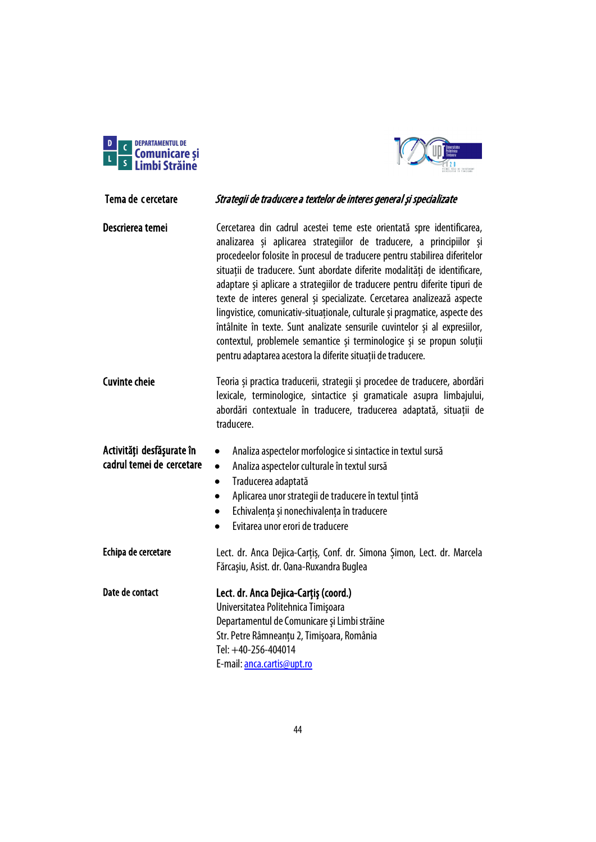



# Tema de cercetare Strategii de traducere a textelor de interes general și specializate Descrierea temei **Cercetarea din cadrul acestei teme este orientată** spre identificarea, analizarea și aplicarea strategiilor de traducere, a principiilor și procedeelor folosite în procesul de traducere pentru stabilirea diferitelor situații de traducere. Sunt abordate diferite modalități de identificare, adaptare și aplicare a strategiilor de traducere pentru diferite tipuri de texte de interes general și specializate. Cercetarea analizează aspecte lingvistice, comunicativ-situaționale, culturale și pragmatice, aspecte des întâlnite în texte. Sunt analizate sensurile cuvintelor și al expresiilor, contextul, problemele semantice și terminologice și se propun soluții pentru adaptarea acestora la diferite situații de traducere.

| <b>Cuvinte cheie</b> | Teoria și practica traducerii, strategii și procedee de traducere, abordări |
|----------------------|-----------------------------------------------------------------------------|
|                      | lexicale, terminologice, sintactice și gramaticale asupra limbajului,       |
|                      | abordări contextuale în traducere, traducerea adaptată, situații de         |
|                      | traducere.                                                                  |

### Activităţi desfăşurate în cadrul temei de cercetare

- Analiza aspectelor culturale în textul sursă
- Traducerea adaptată
- Aplicarea unor strategii de traducere în textul țintă

• Analiza aspectelor morfologice si sintactice in textul sursă

- Echivalența și nonechivalența în traducere
- Evitarea unor erori de traducere

Echipa de cercetare Lect. dr. Anca Dejica-Carțiș, Conf. dr. Simona Șimon, Lect. dr. Marcela Fărcaşiu, Asist. dr. Oana-Ruxandra Buglea Date de contact Lect. dr. Anca Dejica-Carțiș (coord.)

Universitatea Politehnica Timişoara Departamentul de Comunicare şi Limbi străine Str. Petre Râmneanțu 2, Timişoara, România Tel: +40-256-404014 E-mail[: anca.cartis@upt.ro](mailto:anca.cartis@upt.ro)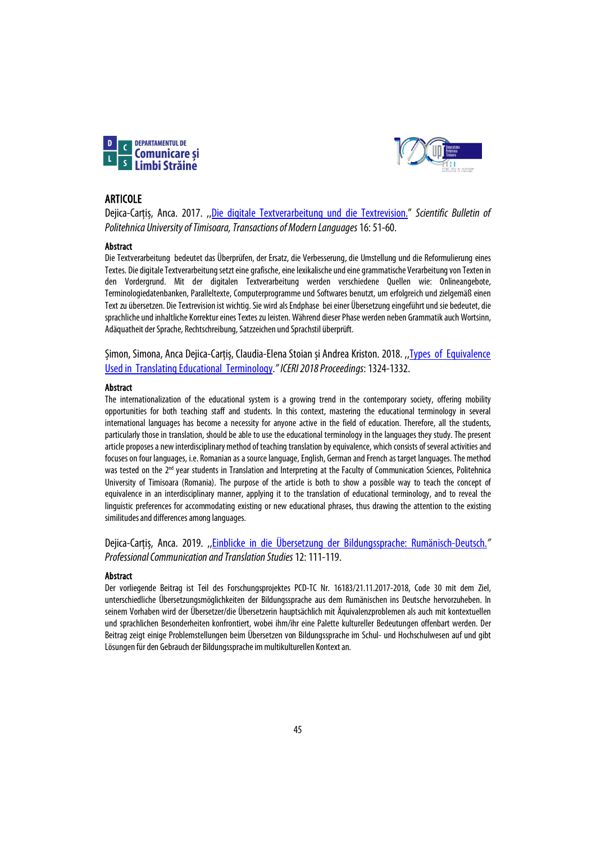



### ARTICOLE

Dejica-Carțiș, Anca. 2017. ,[,Die digitale Textverarbeitung und die Textrevision."](https://www.sc.upt.ro/ro/publicatii/buletinul-stiintific/issues-bs/143-16-2017) *Scientific Bulletin of Politehnica University of Timisoara, Transactions of Modern Languages*16: 51-60.

### Abstract

Die Textverarbeitung bedeutet das Überprüfen, der Ersatz, die Verbesserung, die Umstellung und die Reformulierung eines Textes. Die digitale Textverarbeitung setzt eine grafische, eine lexikalische und eine grammatische Verarbeitung von Texten in den Vordergrund. Mit der digitalen Textverarbeitung werden verschiedene Quellen wie: Onlineangebote, Terminologiedatenbanken, Paralleltexte, Computerprogramme und Softwares benutzt, um erfolgreich und zielgemäß einen Text zu übersetzen. Die Textrevision ist wichtig. Sie wird als Endphase bei einer Übersetzung eingeführt und sie bedeutet, die sprachliche und inhaltliche Korrektur eines Textes zu leisten. Während dieser Phase werden neben Grammatik auch Wortsinn, Adäquatheit der Sprache, Rechtschreibung, Satzzeichen und Sprachstil überprüft.

Șimon, Simona, Anca Dejica-Carțiș, Claudia-Elena Stoian și Andrea Kriston. 2018. ,[,Types of Equivalence](https://library.iated.org/view/SIMON2018TYP)  [Used in Translating Educational Terminology.](https://library.iated.org/view/SIMON2018TYP)*" ICERI 2018 Proceedings*: 1324-1332.

### Abstract

The internationalization of the educational system is a growing trend in the contemporary society, offering mobility opportunities for both teaching staff and students. In this context, mastering the educational terminology in several international languages has become a necessity for anyone active in the field of education. Therefore, all the students, particularly those in translation, should be able to use the educational terminology in the languages they study. The present article proposes a new interdisciplinary method of teaching translation by equivalence, which consists of several activities and focuses on four languages, i.e. Romanian as a source language, English, German and French as target languages. The method was tested on the 2<sup>nd</sup> year students in Translation and Interpreting at the Faculty of Communication Sciences, Politehnica University of Timisoara (Romania). The purpose of the article is both to show a possible way to teach the concept of equivalence in an interdisciplinary manner, applying it to the translation of educational terminology, and to reveal the linguistic preferences for accommodating existing or new educational phrases, thus drawing the attention to the existing similitudes and differences among languages.

Dejica-Carțiș, Anca. 2019. ,[,Einblicke in die Übersetzung der Bildungssprache: Rumänisch-Deutsch.](https://www.sc.upt.ro/ro/publicatii/pcts/issues-pcts/406-12-2019)*" Professional Communication and Translation Studies*12: 111-119.

### **Abstract**

Der vorliegende Beitrag ist Teil des Forschungsprojektes PCD-TC Nr. 16183/21.11.2017-2018, Code 30 mit dem Ziel, unterschiedliche Übersetzungsmöglichkeiten der Bildungssprache aus dem Rumänischen ins Deutsche hervorzuheben. In seinem Vorhaben wird der Übersetzer/die Übersetzerin hauptsächlich mit Äquivalenzproblemen als auch mit kontextuellen und sprachlichen Besonderheiten konfrontiert, wobei ihm/ihr eine Palette kultureller Bedeutungen offenbart werden. Der Beitrag zeigt einige Problemstellungen beim Übersetzen von Bildungssprache im Schul- und Hochschulwesen auf und gibt Lösungen für den Gebrauch der Bildungssprache im multikulturellen Kontext an.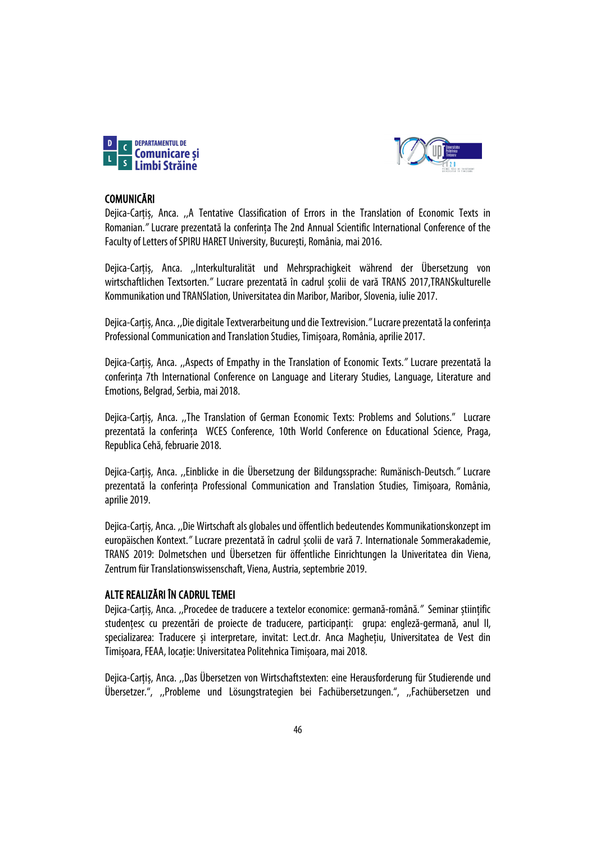



## COMUNICĂRI

Dejica-Carțiș, Anca. ,,A Tentative Classification of Errors in the Translation of Economic Texts in Romanian.*"* Lucrare prezentată la conferința The 2nd Annual Scientific International Conference of the Faculty of Letters of SPIRU HARET University, București, România, mai 2016.

Dejica-Carțiș, Anca. ,,Interkulturalität und Mehrsprachigkeit während der Übersetzung von wirtschaftlichen Textsorten.*"* Lucrare prezentată în cadrul școlii de vară TRANS 2017,TRANSkulturelle Kommunikation und TRANSlation, Universitatea din Maribor, Maribor, Slovenia, iulie 2017.

Dejica-Carțiș, Anca. ,,Die digitale Textverarbeitung und die Textrevision.*"*Lucrare prezentată la conferința Professional Communication and Translation Studies, Timișoara, România, aprilie 2017.

Dejica-Carțiș, Anca. ,,Aspects of Empathy in the Translation of Economic Texts.*"* Lucrare prezentată la conferința 7th International Conference on Language and Literary Studies, Language, Literature and Emotions, Belgrad, Serbia, mai2018.

Dejica-Carțiș, Anca. ,,The Translation of German Economic Texts: Problems and Solutions." Lucrare prezentată la conferința WCES Conference, 10th World Conference on Educational Science, Praga, Republica Cehă, februarie 2018.

Dejica-Carțiș, Anca. ,,Einblicke in die Übersetzung der Bildungssprache: Rumänisch-Deutsch.*"* Lucrare prezentată la conferința Professional Communication and Translation Studies, Timișoara, România, aprilie 2019.

Dejica-Carțiș, Anca. ,,Die Wirtschaft als globales und öffentlich bedeutendes Kommunikationskonzept im europäischen Kontext.*"* Lucrare prezentată în cadrul școlii de vară 7. Internationale Sommerakademie, TRANS 2019: Dolmetschen und Übersetzen für öffentliche Einrichtungen la Univeritatea din Viena, Zentrum für Translationswissenschaft, Viena, Austria, septembrie 2019.

## ALTE REALIZĂRI ÎN CADRUL TEMEI

Dejica-Carțiș, Anca. ,,Procedee de traducere a textelor economice: germană-română.*"* Seminar științific studențesc cu prezentări de proiecte de traducere, participanți: grupa: engleză-germană, anul II, specializarea: Traducere și interpretare, invitat: Lect.dr. Anca Maghețiu, Universitatea de Vest din Timișoara, FEAA, locație: Universitatea Politehnica Timișoara, mai 2018.

Dejica-Carțiș, Anca. ,,Das Übersetzen von Wirtschaftstexten: eine Herausforderung für Studierende und Übersetzer.", ,,Probleme und Lösungstrategien bei Fachübersetzungen.", ,,Fachübersetzen und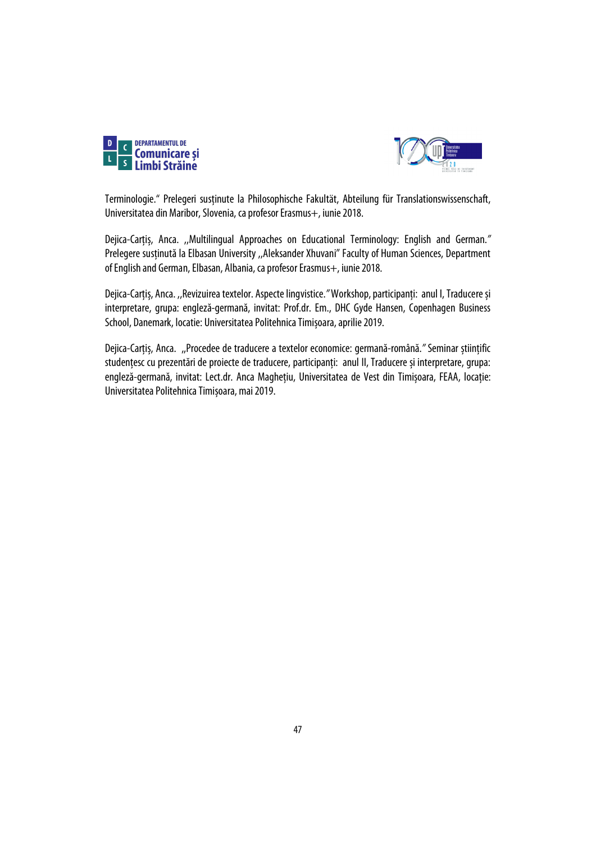



Terminologie." Prelegeri susținute la Philosophische Fakultät, Abteilung für Translationswissenschaft, Universitatea din Maribor, Slovenia, ca profesor Erasmus+, iunie 2018.

Dejica-Carțiș, Anca. ,,Multilingual Approaches on Educational Terminology: English and German.*"* Prelegere susținută la Elbasan University ,,Aleksander Xhuvani" Faculty of Human Sciences, Department of English and German, Elbasan, Albania, ca profesor Erasmus+, iunie 2018.

Dejica-Carțiș, Anca. ,,Revizuirea textelor. Aspecte lingvistice.*"*Workshop,participanți: anul I, Traducere și interpretare, grupa: engleză-germană, invitat: Prof.dr. Em., DHC Gyde Hansen, Copenhagen Business School, Danemark, locatie: Universitatea Politehnica Timișoara, aprilie 2019.

Dejica-Carțiș, Anca. ,,Procedee de traducere a textelor economice: germană-română.*"* Seminar științific studențesc cu prezentări de proiecte de traducere, participanți: anul II, Traducere și interpretare, grupa: engleză-germană, invitat: Lect.dr. Anca Maghețiu, Universitatea de Vest din Timișoara, FEAA, locație: Universitatea Politehnica Timișoara, mai 2019.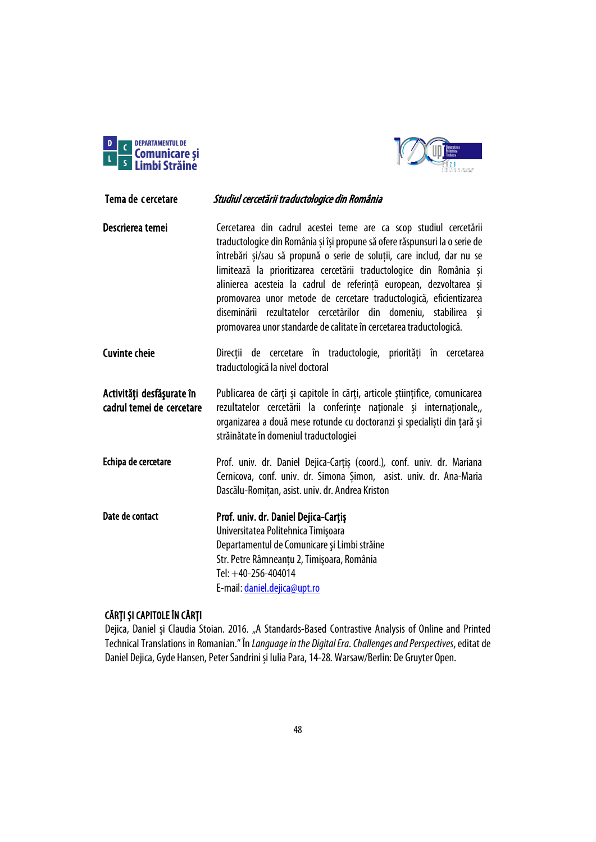



# Tema de cercetare Studiul cercetării traductologice din România

- Descrierea temei **Cercetarea din cadrul acestei teme are ca scop studiul cercetării** traductologice din România și își propune să ofere răspunsuri la o serie de întrebări și/sau să propună o serie de soluții, care includ, dar nu se limitează la prioritizarea cercetării traductologice din România și alinierea acesteia la cadrul de referință european, dezvoltarea și promovarea unor metode de cercetare traductologică, eficientizarea diseminării rezultatelor cercetărilor din domeniu, stabilirea și promovarea unor standarde de calitate în cercetarea traductologică.
- Cuvinte cheie Direcții de cercetare în traductologie, priorități în cercetarea traductologică la nivel doctoral

Activități desfășurate în cadrul temei de cercetare Publicarea de cărți și capitole în cărți, articole științifice, comunicarea rezultatelor cercetării la conferințe naționale și internaționale,, organizarea a două mese rotunde cu doctoranzi și specialiști din țară și străinătate în domeniul traductologiei

Echipa de cercetare Prof. univ. dr. Daniel Dejica-Carțiș (coord.)*,* conf. univ. dr. Mariana Cernicova, conf. univ. dr. Simona Șimon, asist. univ. dr. Ana-Maria Dascălu-Romițan, asist. univ. dr. Andrea Kriston

Date de contact Prof. univ. dr. Daniel Dejica-Carțiș Universitatea Politehnica Timişoara Departamentul de Comunicare şi Limbi străine Str. Petre Râmneanțu 2, Timişoara, România Tel: +40-256-404014 E-mail[: daniel.dejica@upt.ro](mailto:daniel.dejica@upt.ro)

## CĂRȚI ȘI CAPITOLE ÎN CĂRȚI

Dejica, Daniel și Claudia Stoian. 2016. "A Standards-Based Contrastive Analysis of Online and Printed Technical Translations in Romanian." În *Languageinthe DigitalEra.ChallengesandPerspectives*,editatde Daniel Dejica, Gyde Hansen, Peter Sandrini și Iulia Para, 14-28*.*Warsaw/Berlin: De Gruyter Open.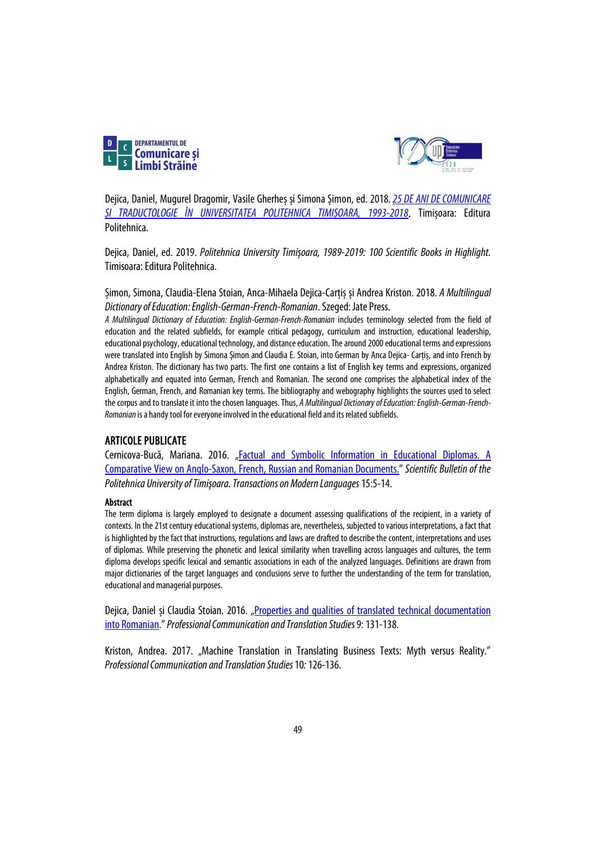



Dejica, Daniel, Mugurel Dragomir, Vasile Gherheș și Simona Șimon, ed. 2018.*[25 DE ANI DE COMUNICARE](http://sc.upt.ro/attachments/article/312/25_comunicare_trad_full.pdf)  [ȘI TRADUCTOLOGIE ÎN UNIVERSITATEA POLITEHNICA TIMIȘOARA, 1993-2018](http://sc.upt.ro/attachments/article/312/25_comunicare_trad_full.pdf)*. Timișoara: Editura Politehnica.

Dejica, Daniel, ed. 2019. *Politehnica University Timișoara, 1989-2019: 100 Scientific Books in Highlight.* Timisoara: Editura Politehnica.

Șimon, Simona, Claudia-Elena Stoian, Anca-Mihaela Dejica-Carțiș și Andrea Kriston. 2018. *A Multilingual Dictionary of Education: English-German-French-Romanian*. Szeged: Jate Press.

*A Multilingual Dictionary of Education: English-German-French-Romanian* includes terminology selected from the field of education and the related subfields, for example critical pedagogy, curriculum and instruction, educational leadership, educational psychology, educational technology, and distance education. The around 2000 educational terms and expressions were translated into English by Simona Șimon and Claudia E. Stoian, into German by Anca Dejica- Carțiș, and into French by Andrea Kriston. The dictionary has two parts. The first one contains a list of English key terms and expressions, organized alphabetically and equated into German, French and Romanian. The second one comprises the alphabetical index of the English, German, French, and Romanian key terms. The bibliography and webography highlights the sources used to select the corpus and to translate it into the chosen languages. Thus, A Multilingual Dictionary of Education: English-German-French-*Romanian* is a handy tool for everyone involved in the educational field and its related subfields.

### ARTICOLE PUBLICATE

Cernicova-Bucă, Mariana. 2016. ["Factual and Symbolic Information in Educational Diplomas. A](https://sc.upt.ro/attachments/article/107/01%2001_en_Cernicova.pdf)  [Comparative View on Anglo-Saxon, French, Russian and Romanian Documents."](https://sc.upt.ro/attachments/article/107/01%2001_en_Cernicova.pdf) *Scientific Bulletin of the Politehnica University of Timişoara.Transactions on Modern Languages*15:5-14.

### Abstract

The term diploma is largely employed to designate a document assessing qualifications of the recipient, in a variety of contexts. In the 21st century educational systems, diplomas are, nevertheless, subjected to various interpretations, a fact that is highlighted by the fact that instructions, regulations and laws are drafted to describe the content, interpretations and uses of diplomas. While preserving the phonetic and lexical similarity when travelling across languages and cultures, the term diploma develops specific lexical and semantic associations in each of the analyzed languages. Definitions are drawn from major dictionaries of the target languages and conclusions serve to further the understanding of the term for translation, educational and managerial purposes.

Dejica, Daniel și Claudia Stoian. 2016. "Properties and qualities of translated technical documentation [into Romanian.](https://sc.upt.ro/index.php?option=com_cwattachments&task=download&id=f718499c1c8cef6730f9fd03c8125cab&sid=5db02c0aaefdf77e0eecff3b124a310b)" *Professional Communication and Translation Studies* 9: 131-138.

Kriston, Andrea. 2017. "Machine Translation in Translating Business Texts: Myth versus Reality." *Professional Communication and Translation Studies* 10*:*126-136.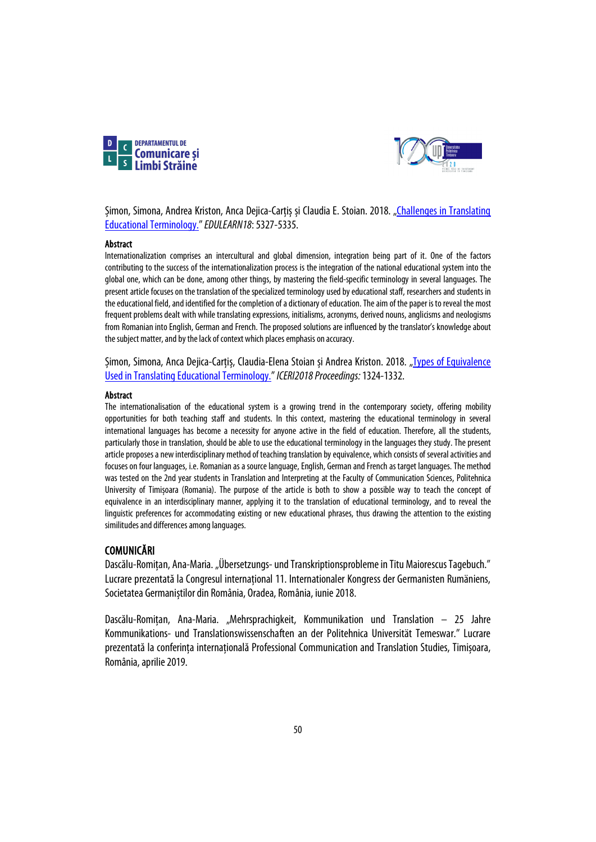



Șimon, Simona, Andrea Kriston, Anca Dejica-Carțiș și Claudia E. Stoian. 2018. "Challenges in Translating [Educational Terminology."](https://library.iated.org/view/SIMON2018CHA)*EDULEARN18*: 5327-5335.

### Abstract

Internationalization comprises an intercultural and global dimension, integration being part of it. One of the factors contributing to the success of the internationalization process is the integration of the national educational system into the global one, which can be done, among other things, by mastering the field-specific terminology in several languages. The present article focuses on the translation of the specialized terminology used by educational staff, researchers and students in the educational field, and identified for the completion of a dictionary of education. The aim of the paper is to reveal the most frequent problems dealt with while translating expressions, initialisms, acronyms, derived nouns, anglicisms and neologisms from Romanian into English, German and French. The proposed solutions are influenced by the translator's knowledge about the subject matter, and by the lack of context which places emphasis on accuracy.

Șimon, Simona, Anca Dejica-Carțiș, Claudia-Elena Stoian și Andrea Kriston. 2018. "Types of Equivalence [Used in Translating Educational Terminology."](https://library.iated.org/view/SIMON2018TYP)*ICERI2018 Proceedings:* 1324-1332.

#### Abstract

The internationalisation of the educational system is a growing trend in the contemporary society, offering mobility opportunities for both teaching staff and students. In this context, mastering the educational terminology in several international languages has become a necessity for anyone active in the field of education. Therefore, all the students, particularly those in translation, should be able to use the educational terminology in the languages they study. The present article proposes a new interdisciplinary method of teaching translation by equivalence, which consists of several activities and focuses on four languages, i.e. Romanian as a source language, English, German and French as target languages. The method was tested on the 2nd year students in Translation and Interpreting at the Faculty of Communication Sciences, Politehnica University of Timișoara (Romania). The purpose of the article is both to show a possible way to teach the concept of equivalence in an interdisciplinary manner, applying it to the translation of educational terminology, and to reveal the linguistic preferences for accommodating existing or new educational phrases, thus drawing the attention to the existing similitudes and differences among languages.

### COMUNICĂRI

Dascălu-Romitan, Ana-Maria. "Übersetzungs- und Transkriptionsprobleme in Titu Maiorescus Tagebuch." Lucrare prezentată la Congresul internațional 11. Internationaler Kongress der Germanisten Rumäniens, Societatea Germaniștilor din România, Oradea, România, iunie 2018.

Dascălu-Romițan, Ana-Maria. "Mehrsprachigkeit, Kommunikation und Translation – 25 Jahre Kommunikations- und Translationswissenschaften an der Politehnica Universität Temeswar." Lucrare prezentată la conferința internațională Professional Communication and Translation Studies, Timișoara, România,aprilie 2019.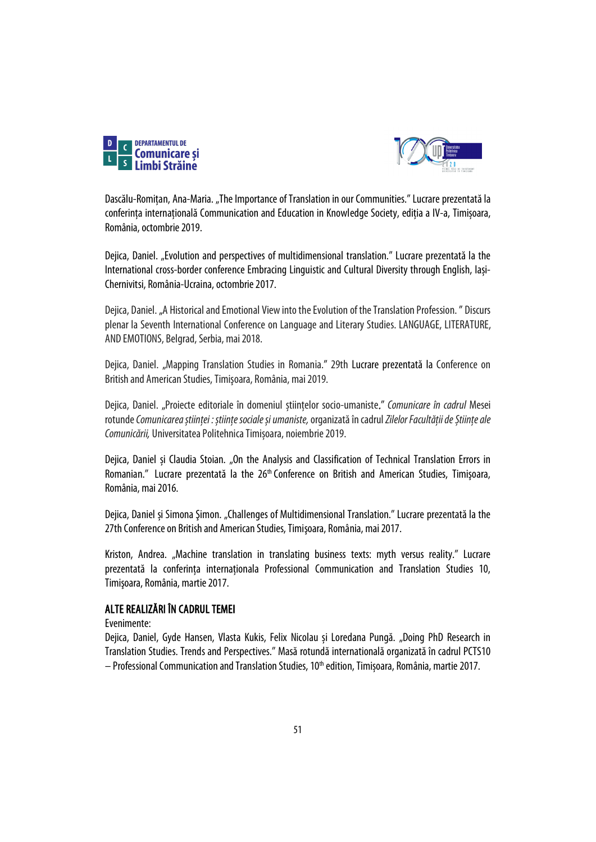



Dascălu-Romițan, Ana-Maria. "The Importance of Translation in our Communities." Lucrare prezentatăla conferința internațională Communication and Education in Knowledge Society, ediția a IV-a, Timișoara, România, octombrie 2019.

Dejica, Daniel. "Evolution and perspectives of multidimensional translation." Lucrare prezentată la the International cross-border conference Embracing Linguistic and Cultural Diversity through English, Iași-Chernivitsi, România-Ucraina, octombrie2017.

Dejica, Daniel. "A Historical and Emotional View into the Evolution of the Translation Profession. " Discurs plenar la Seventh International Conference on Language and Literary Studies. LANGUAGE, LITERATURE, AND EMOTIONS, Belgrad, Serbia, mai2018.

Dejica, Daniel. "Mapping Translation Studies in Romania." 29th Lucrare prezentată la Conference on British and American Studies, Timişoara, România, mai 2019.

Dejica, Daniel. "Proiecte editoriale în domeniul științelor socio-umaniste." *Comunicare în cadrul* Mesei rotunde*Comunicarea științei : științe sociale și umaniste,* organizată în cadrul *Zilelor Facultății de Științe ale Comunicării,* Universitatea Politehnica Timișoara, noiembrie 2019.

Dejica, Daniel și Claudia Stoian. "On the Analysis and Classification of Technical Translation Errors in Romanian." Lucrare prezentată la the 26<sup>th</sup> Conference on British and American Studies, Timișoara, România, mai2016.

Dejica, Daniel și Simona Șimon. "Challenges of Multidimensional Translation." Lucrare prezentată la the 27th Conference on British and American Studies, Timişoara, România, mai2017.

Kriston, Andrea. "Machine translation in translating business texts: myth versus reality." Lucrare prezentată la conferința internaționala Professional Communication and Translation Studies 10, Timişoara, România, martie 2017.

## ALTE REALIZĂRI ÎN CADRUL TEMEI

Evenimente:

Dejica, Daniel, Gyde Hansen, Vlasta Kukis, Felix Nicolau și Loredana Pungă. "Doing PhD Research in Translation Studies. Trends and Perspectives." Masă rotundă internatională organizată în cadrul PCTS10  $-$  Professional Communication and Translation Studies, 10<sup>th</sup> edition, Timișoara, România, martie 2017.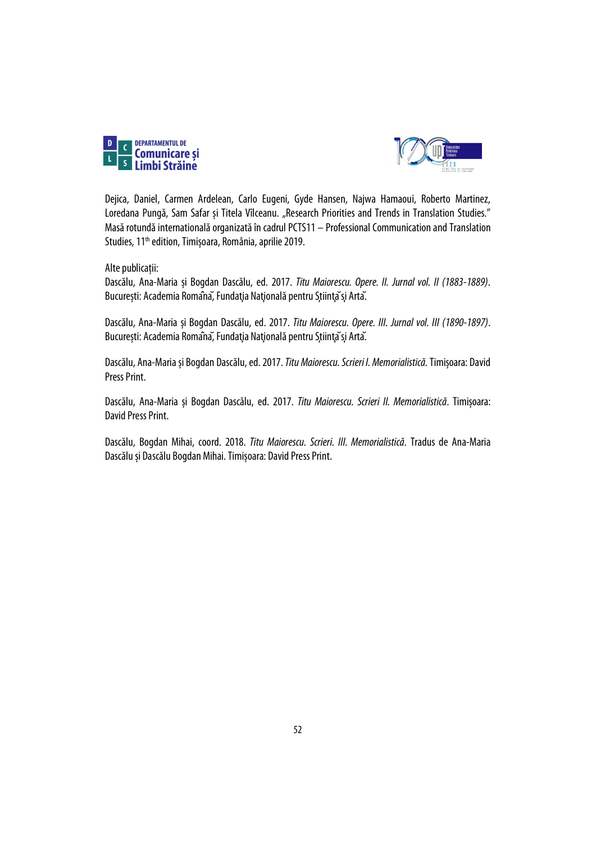



Dejica, Daniel, Carmen Ardelean, Carlo Eugeni, Gyde Hansen, Najwa Hamaoui, Roberto Martinez, Loredana Pungă, Sam Safar și Titela Vîlceanu. "Research Priorities and Trends in Translation Studies." Masă rotundă internatională organizată în cadrul PCTS11 – Professional Communication and Translation Studies, 11<sup>th</sup> edition, Timișoara, România, aprilie 2019.

Alte publicații:

Dascălu, Ana-Maria și Bogdan Dascălu, ed. 2017. *Titu Maiorescu. Opere. II. Jurnal vol. II (1883-1889)*. București: Academia Romaîna, Fundația Națională pentru Stiința și Arta.

Dascălu, Ana-Maria și Bogdan Dascălu, ed. 2017. *Titu Maiorescu. Opere. III. Jurnal vol. III (1890-1897)*. București: Academia Romaîna, Fundația Natională pentru Sțiinta și Arta.

Dascălu, Ana-Mariași Bogdan Dascălu, ed. 2017. *Titu Maiorescu. Scrieri I. Memorialistică.*Timișoara: David Press Print.

Dascălu, Ana-Maria și Bogdan Dascălu, ed. 2017. *Titu Maiorescu. Scrieri II. Memorialistică*. Timișoara: David Press Print.

Dascălu, Bogdan Mihai, coord. 2018. *Titu Maiorescu. Scrieri. III. Memorialistică*. Tradus de Ana-Maria Dascălu și Dascălu Bogdan Mihai. Timișoara: David Press Print.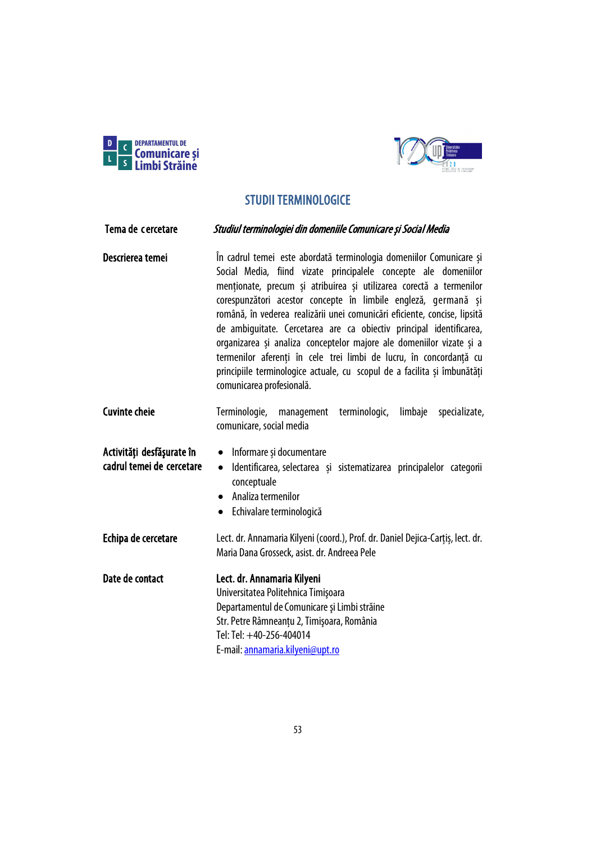



# STUDII TERMINOLOGICE

| Tema de cercetare                                      | Studiul terminologiei din domeniile Comunicare și Social Media                                                                                                                                                                                                                                                                                                                                                                                                                                                                                                                                                                                                                             |
|--------------------------------------------------------|--------------------------------------------------------------------------------------------------------------------------------------------------------------------------------------------------------------------------------------------------------------------------------------------------------------------------------------------------------------------------------------------------------------------------------------------------------------------------------------------------------------------------------------------------------------------------------------------------------------------------------------------------------------------------------------------|
| Descrierea temei                                       | În cadrul temei este abordată terminologia domeniilor Comunicare și<br>Social Media, fiind vizate principalele concepte ale domeniilor<br>menționate, precum și atribuirea și utilizarea corectă a termenilor<br>corespunzători acestor concepte în limbile engleză, germană și<br>română, în vederea realizării unei comunicări eficiente, concise, lipsită<br>de ambiquitate. Cercetarea are ca obiectiv principal identificarea,<br>organizarea și analiza conceptelor majore ale domeniilor vizate și a<br>termenilor aferenți în cele trei limbi de lucru, în concordanță cu<br>principiile terminologice actuale, cu scopul de a facilita și îmbunătăți<br>comunicarea profesională. |
| <b>Cuvinte cheie</b>                                   | Terminologie,<br>terminologic,<br>limbaje<br>specializate,<br>management<br>comunicare, social media                                                                                                                                                                                                                                                                                                                                                                                                                                                                                                                                                                                       |
| Activități desfășurate în<br>cadrul temei de cercetare | Informare și documentare<br>$\bullet$<br>Identificarea, selectarea și sistematizarea principalelor categorii<br>$\bullet$<br>conceptuale<br>Analiza termenilor<br>• Echivalare terminologică                                                                                                                                                                                                                                                                                                                                                                                                                                                                                               |
| Echipa de cercetare                                    | Lect. dr. Annamaria Kilyeni (coord.), Prof. dr. Daniel Dejica-Carțiș, lect. dr.<br>Maria Dana Grosseck, asist. dr. Andreea Pele                                                                                                                                                                                                                                                                                                                                                                                                                                                                                                                                                            |
| Date de contact                                        | Lect. dr. Annamaria Kilyeni<br>Universitatea Politehnica Timișoara<br>Departamentul de Comunicare și Limbi străine<br>Str. Petre Râmneanțu 2, Timișoara, România<br>Tel: Tel: +40-256-404014<br>E-mail: annamaria.kilyeni@upt.ro                                                                                                                                                                                                                                                                                                                                                                                                                                                           |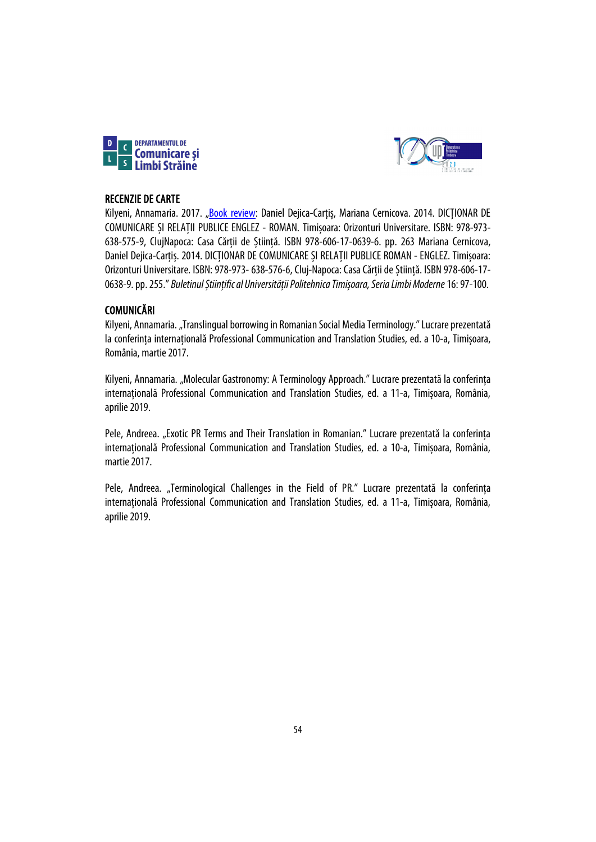



## RECENZIE DE CARTE

Kilyeni, Annamaria. 2017. ["Book review:](https://sc.upt.ro/attachments/article/143/11%20EN%20Kilyeni_Recenzie%20Dejica%20%20Cernicova.pdf) Daniel Dejica-Carțiș, Mariana Cernicova. 2014. DICȚIONAR DE COMUNICARE ȘI RELAȚII PUBLICE ENGLEZ - ROMAN. Timișoara: Orizonturi Universitare. ISBN: 978-973- 638-575-9, ClujNapoca: Casa Cărții de Știință. ISBN 978-606-17-0639-6. pp. 263 Mariana Cernicova, Daniel Dejica-Carțiș. 2014. DICȚIONAR DE COMUNICARE ȘI RELAȚII PUBLICE ROMAN - ENGLEZ. Timișoara: Orizonturi Universitare. ISBN: 978-973-638-576-6, Cluj-Napoca: Casa Cărții de Știință. ISBN 978-606-17- 0638-9. pp. 255." *Buletinul Științific al Universității Politehnica Timișoara, Seria Limbi Moderne*16: 97-100.

## COMUNICĂRI

Kilyeni, Annamaria. "Translingual borrowing in Romanian Social Media Terminology." Lucrare prezentată la conferința internațională Professional Communication and Translation Studies, ed. a 10-a, Timișoara, România, martie 2017.

Kilyeni, Annamaria. "Molecular Gastronomy: A Terminology Approach." Lucrare prezentată la conferința internațională Professional Communication and Translation Studies, ed. a 11-a, Timișoara, România, aprilie 2019.

Pele, Andreea. "Exotic PR Terms and Their Translation in Romanian." Lucrare prezentată la conferința internațională Professional Communication and Translation Studies, ed. a 10-a, Timișoara, România, martie 2017.

Pele, Andreea. "Terminological Challenges in the Field of PR." Lucrare prezentată la conferinta internațională Professional Communication and Translation Studies, ed. a 11-a, Timișoara, România, aprilie 2019.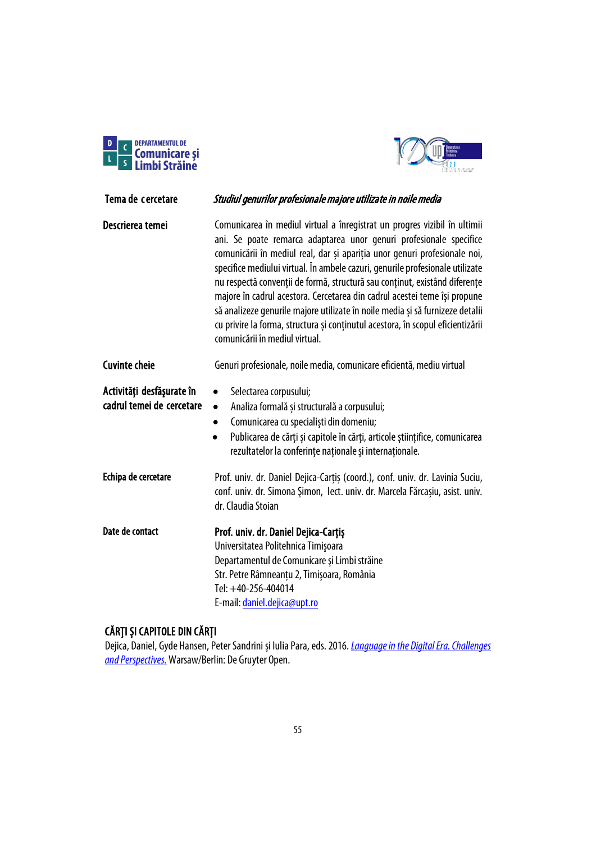



| Tema de cercetare                                      | Studiul genurilor profesionale majore utilizate in noile media                                                                                                                                                                                                                                                                                                                                                                                                                                                                                                                                                                                                                 |
|--------------------------------------------------------|--------------------------------------------------------------------------------------------------------------------------------------------------------------------------------------------------------------------------------------------------------------------------------------------------------------------------------------------------------------------------------------------------------------------------------------------------------------------------------------------------------------------------------------------------------------------------------------------------------------------------------------------------------------------------------|
| Descrierea temei                                       | Comunicarea în mediul virtual a înregistrat un progres vizibil în ultimii<br>ani. Se poate remarca adaptarea unor genuri profesionale specifice<br>comunicării în mediul real, dar și apariția unor genuri profesionale noi,<br>specifice mediului virtual. În ambele cazuri, genurile profesionale utilizate<br>nu respectă convenții de formă, structură sau conținut, existând diferențe<br>majore în cadrul acestora. Cercetarea din cadrul acestei teme își propune<br>să analizeze genurile majore utilizate în noile media și să furnizeze detalii<br>cu privire la forma, structura și conținutul acestora, în scopul eficientizării<br>comunicării în mediul virtual. |
| <b>Cuvinte cheie</b>                                   | Genuri profesionale, noile media, comunicare eficientă, mediu virtual                                                                                                                                                                                                                                                                                                                                                                                                                                                                                                                                                                                                          |
| Activități desfășurate în<br>cadrul temei de cercetare | Selectarea corpusului;<br>$\bullet$<br>Analiza formală și structurală a corpusului;<br>$\bullet$<br>Comunicarea cu specialiști din domeniu;<br>$\bullet$<br>Publicarea de cărți și capitole în cărți, articole științifice, comunicarea<br>$\bullet$<br>rezultatelor la conferințe naționale și internaționale.                                                                                                                                                                                                                                                                                                                                                                |
| Echipa de cercetare                                    | Prof. univ. dr. Daniel Dejica-Carțiș (coord.), conf. univ. dr. Lavinia Suciu,<br>conf. univ. dr. Simona Şimon, lect. univ. dr. Marcela Fărcașiu, asist. univ.<br>dr. Claudia Stoian                                                                                                                                                                                                                                                                                                                                                                                                                                                                                            |
| Date de contact                                        | Prof. univ. dr. Daniel Dejica-Carțiș<br>Universitatea Politehnica Timişoara<br>Departamentul de Comunicare și Limbi străine<br>Str. Petre Râmneanțu 2, Timișoara, România<br>Tel: +40-256-404014<br>E-mail: daniel.dejica@upt.ro                                                                                                                                                                                                                                                                                                                                                                                                                                               |

# CĂRȚI ȘI CAPITOLE DIN CĂRȚI

Dejica, Daniel, Gyde Hansen, Peter Sandrini și Iulia Para, eds.2016. *Languageinthe [DigitalEra.Challenges](http://www.degruyter.com/view/product/469435?format=G) [andPerspectives.](http://www.degruyter.com/view/product/469435?format=G)*Warsaw/Berlin: De Gruyter Open.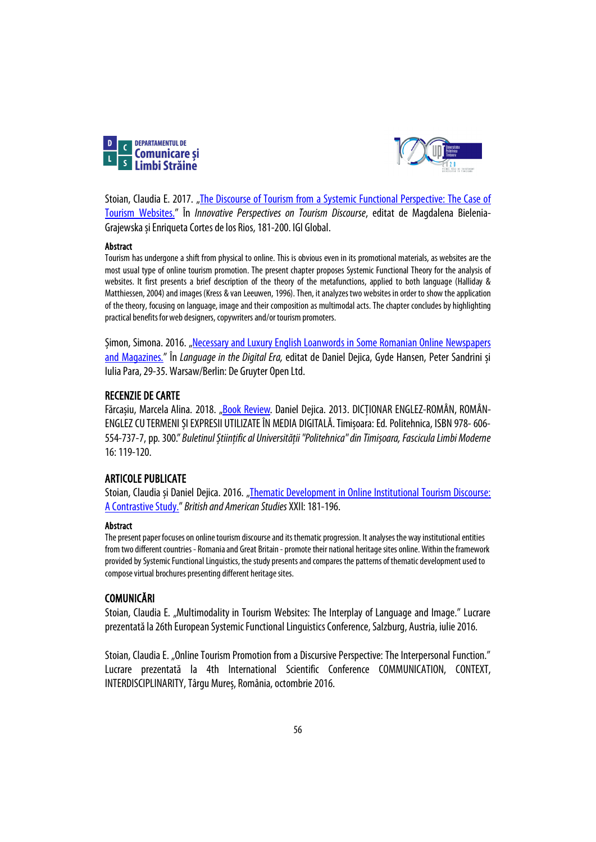



Stoian, Claudia E. 2017. ["The Discourse of Tourism from a Systemic Functional Perspective: The Case of](https://www.igi-global.com/chapter/the-discourse-of-tourism-from-a-systemic-functional-perspective/187591)  [Tourism Websites."](https://www.igi-global.com/chapter/the-discourse-of-tourism-from-a-systemic-functional-perspective/187591) În *Innovative Perspectives on Tourism Discourse*, editat de Magdalena Bielenia-Grajewska și Enriqueta Cortes de los Rios, 181-200. IGI Global.

### Abstract

Tourism has undergone a shift from physical to online. This is obvious even in its promotional materials, as websites are the most usual type of online tourism promotion. The present chapter proposes Systemic Functional Theory for the analysis of websites. It first presents a brief description of the theory of the metafunctions, applied to both language (Halliday & Matthiessen, 2004) and images (Kress & van Leeuwen, 1996). Then, it analyzes two websites in order to show the application of the theory, focusing on language, image and their composition as multimodal acts. The chapter concludes by highlighting practical benefits for web designers, copywriters and/or tourism promoters.

Șimon, Simona. 2016. ["Necessary and Luxury English Loanwords in Some Romanian Online Newspapers](https://www.degruyter.com/view/book/9783110472059/)  [and Magazines.](https://www.degruyter.com/view/book/9783110472059/)" În *Language in the Digital Era,* editat de Daniel Dejica, Gyde Hansen, Peter Sandrini și Iulia Para, 29-35. Warsaw/Berlin: De Gruyter Open Ltd.

## RECENZIE DE CARTE

Fărcașiu, Marcela Alina. 2018. ["Book Review.](https://www.ceeol.com/search/article-detail?id=695939) Daniel Dejica. 2013. DICȚIONAR ENGLEZ-ROMÂN, ROMÂN-ENGLEZ CU TERMENI ȘI EXPRESII UTILIZATE ÎN MEDIA DIGITALĂ. Timișoara: Ed. Politehnica, ISBN 978-606- 554-737-7, pp. 300." *Buletinul Știinţific al Universităţii "Politehnica" din Timișoara, Fascicula Limbi Moderne*  16: 119-120.

### ARTICOLE PUBLICATE

Stoian, Claudia și Daniel Dejica. 2016. "Thematic Development in Online Institutional Tourism Discourse: [A Contrastive Study."](https://litere.uvt.ro/publicatii/BAS/pdf/no/bas_2016.pdf) *British and American Studies*XXII: 181-196.

### Abstract

The present paper focuses on online tourism discourse and its thematic progression. It analyses the way institutional entities from two different countries - Romania and Great Britain - promote their national heritage sites online. Within the framework provided by Systemic Functional Linguistics, thestudy presents and compares the patterns of thematic development used to compose virtual brochures presenting different heritage sites.

### COMUNICĂRI

Stoian, Claudia E. "Multimodality in Tourism Websites: The Interplay of Language and Image." Lucrare prezentată la26th European Systemic Functional Linguistics Conference, Salzburg, Austria, iulie 2016.

Stoian, Claudia E. "Online Tourism Promotion from a Discursive Perspective: The Interpersonal Function." Lucrare prezentată la 4th International Scientific Conference COMMUNICATION, CONTEXT, INTERDISCIPLINARITY, Târgu Mureș, România, octombrie 2016.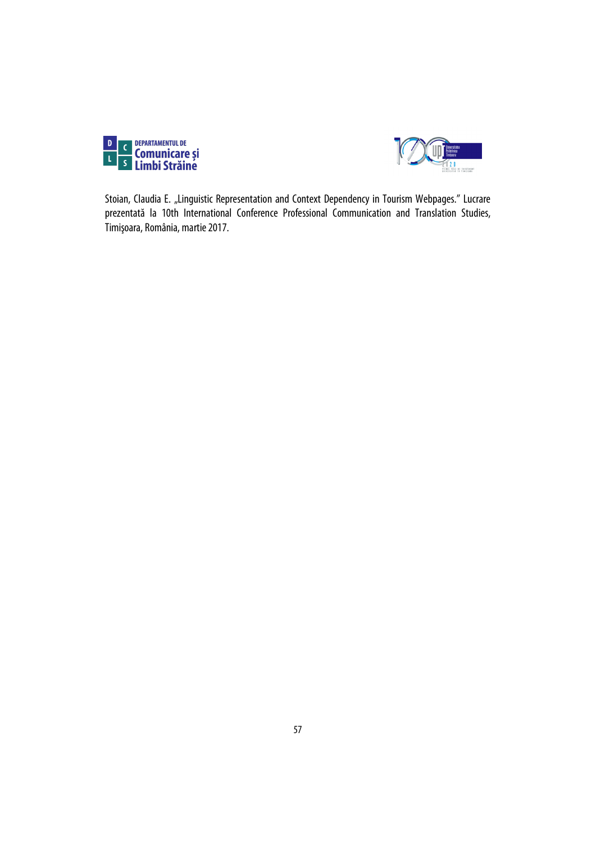



Stoian, Claudia E. "Linguistic Representation and Context Dependency in Tourism Webpages." Lucrare prezentată la 10th International Conference Professional Communication and Translation Studies, Timişoara, România, martie 2017.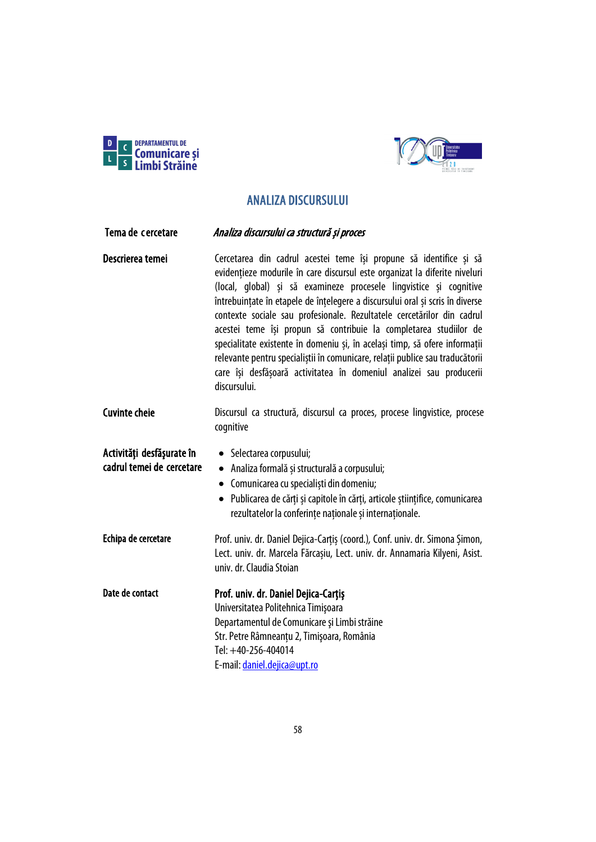



# ANALIZA DISCURSULUI

| Tema de cercetare                                      | Analiza discursului ca structură și proces                                                                                                                                                                                                                                                                                                                                                                                                                                                                                                                                                                                                                                                                   |
|--------------------------------------------------------|--------------------------------------------------------------------------------------------------------------------------------------------------------------------------------------------------------------------------------------------------------------------------------------------------------------------------------------------------------------------------------------------------------------------------------------------------------------------------------------------------------------------------------------------------------------------------------------------------------------------------------------------------------------------------------------------------------------|
| Descrierea temei                                       | Cercetarea din cadrul acestei teme își propune să identifice și să<br>evidențieze modurile în care discursul este organizat la diferite niveluri<br>(local, global) și să examineze procesele lingvistice și cognitive<br>întrebuințate în etapele de înțelegere a discursului oral și scris în diverse<br>contexte sociale sau profesionale. Rezultatele cercetărilor din cadrul<br>acestei teme își propun să contribuie la completarea studiilor de<br>specialitate existente în domeniu și, în același timp, să ofere informații<br>relevante pentru specialiștii în comunicare, relații publice sau traducătorii<br>care își desfășoară activitatea în domeniul analizei sau producerii<br>discursului. |
| <b>Cuvinte cheie</b>                                   | Discursul ca structură, discursul ca proces, procese lingvistice, procese<br>cognitive                                                                                                                                                                                                                                                                                                                                                                                                                                                                                                                                                                                                                       |
| Activități desfășurate în<br>cadrul temei de cercetare | • Selectarea corpusului;<br>· Analiza formală și structurală a corpusului;<br>• Comunicarea cu specialiști din domeniu;<br>· Publicarea de cărți și capitole în cărți, articole științifice, comunicarea<br>rezultatelor la conferințe naționale și internaționale.                                                                                                                                                                                                                                                                                                                                                                                                                                          |
| Echipa de cercetare                                    | Prof. univ. dr. Daniel Dejica-Carțiș (coord.), Conf. univ. dr. Simona Șimon,<br>Lect. univ. dr. Marcela Fărcașiu, Lect. univ. dr. Annamaria Kilyeni, Asist.<br>univ. dr. Claudia Stoian                                                                                                                                                                                                                                                                                                                                                                                                                                                                                                                      |
| Date de contact                                        | Prof. univ. dr. Daniel Dejica-Cartis<br>Universitatea Politehnica Timișoara<br>Departamentul de Comunicare și Limbi străine<br>Str. Petre Râmneanțu 2, Timișoara, România<br>Tel: +40-256-404014<br>E-mail: daniel.dejica@upt.ro                                                                                                                                                                                                                                                                                                                                                                                                                                                                             |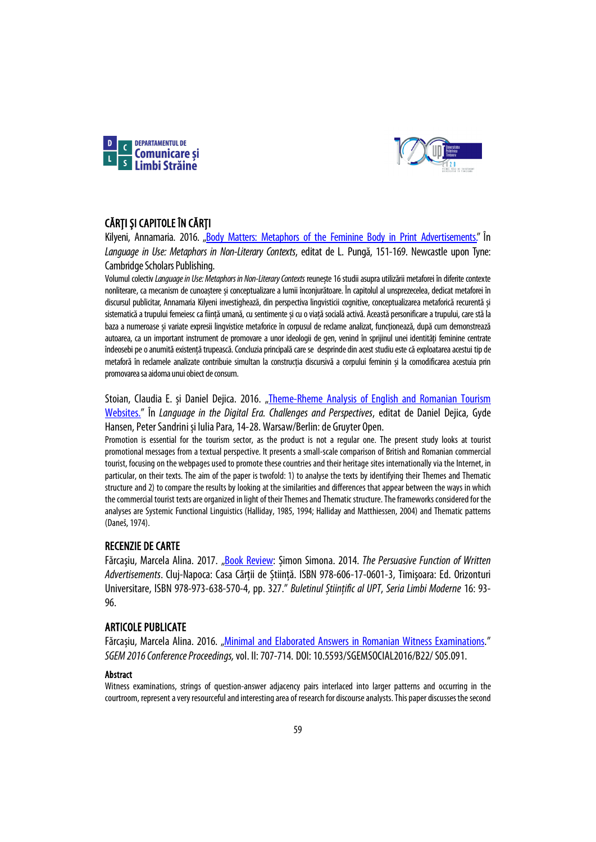



## CĂRȚI ȘI CAPITOLE ÎN CĂRȚI

Kilyeni, Annamaria. 2016. ["Body Matters: Metaphors of the Feminine Body in Print Advertisements."](https://www.cambridgescholars.com/download/sample/63107) În *Language in Use: Metaphors in Non-Literary Contexts*, editat de L. Pungă, 151-169. Newcastle upon Tyne: Cambridge Scholars Publishing.

Volumul colectiv *Language in Use: Metaphors in Non-Literary Contexts* reunește 16 studii asupra utilizării metaforei în diferite contexte nonliterare, ca mecanism de cunoaștere și conceptualizare a lumii înconjurătoare. În capitolul al unsprezecelea, dedicat metaforei în discursul publicitar, Annamaria Kilyeni investighează, din perspectiva lingvisticii cognitive, conceptualizarea metaforică recurentă și sistematică a trupului femeiesc ca ființă umană, cu sentimente și cu o viață socială activă. Această personificare a trupului, care stă la baza a numeroase și variate expresii lingvistice metaforice în corpusul de reclame analizat, functionează, după cum demonstrează autoarea, ca un important instrument de promovare a unor ideologii de gen, venind în sprijinul unei identități feminine centrate îndeosebi pe o anumită existență trupească. Concluzia principală care se desprinde din acest studiu este că exploatarea acestui tip de metaforă în reclamele analizate contribuie simultan la construcția discursivă a corpului feminin și la comodificarea acestuia prin promovarea sa aidoma unui obiect de consum.

Stoian, Claudia E. și Daniel Dejica. 2016. "Theme-Rheme Analysis of English and Romanian Tourism [Websites."](https://www.degruyter.com/view/book/9783110472059/) În *Language in the Digital Era. Challenges and Perspectives*, editat de Daniel Dejica, Gyde Hansen, Peter Sandrini și Iulia Para, 14-28. Warsaw/Berlin: de Gruyter Open.

Promotion is essential for the tourism sector, as the product is not a regular one. The present study looks at tourist promotional messages from a textual perspective. It presents a small-scale comparison of British and Romanian commercial tourist, focusing on the webpages used to promote these countries and their heritage sites internationally via the Internet, in particular, on their texts. The aim of the paper is twofold: 1) to analyse the texts by identifying their Themes and Thematic structure and 2) to compare the results by looking at the similarities and differences that appear between the ways in which the commercial tourist texts are organized in light of their Themes and Thematic structure. The frameworks considered for the analyses are Systemic Functional Linguistics (Halliday, 1985, 1994; Halliday and Matthiessen, 2004) and Thematic patterns (Daneš, 1974).

## RECENZIE DE CARTE

Fărcaşiu, Marcela Alina. 2017. ["Book Review:](https://www.ceeol.com/search/article-detail?id=575327) Șimon Simona. 2014. *The Persuasive Function of Written Advertisements*. Cluj-Napoca: Casa Cărții de Știință. ISBN 978-606-17-0601-3, Timişoara: Ed. Orizonturi Universitare, ISBN 978-973-638-570-4, pp. 327." *Buletinul Științific al UPT*, *Seria Limbi Moderne* 16: 93- 96.

### ARTICOLE PUBLICATE

Fărcașiu, Marcela Alina. 2016. ["Minimal and Elaborated Answers in Romanian Witness Examinations."](https://sgemsocial.org/ssgemlib/spip.php?article2721) *SGEM 2016 Conference Proceedings,* vol. II:707-714. DOI: 10.5593/SGEMSOCIAL2016/B22/S05.091.

### Abstract

Witness examinations, strings of question-answer adjacency pairs interlaced into larger patterns and occurring in the courtroom, represent a very resourceful and interesting area of research for discourse analysts. This paper discusses the second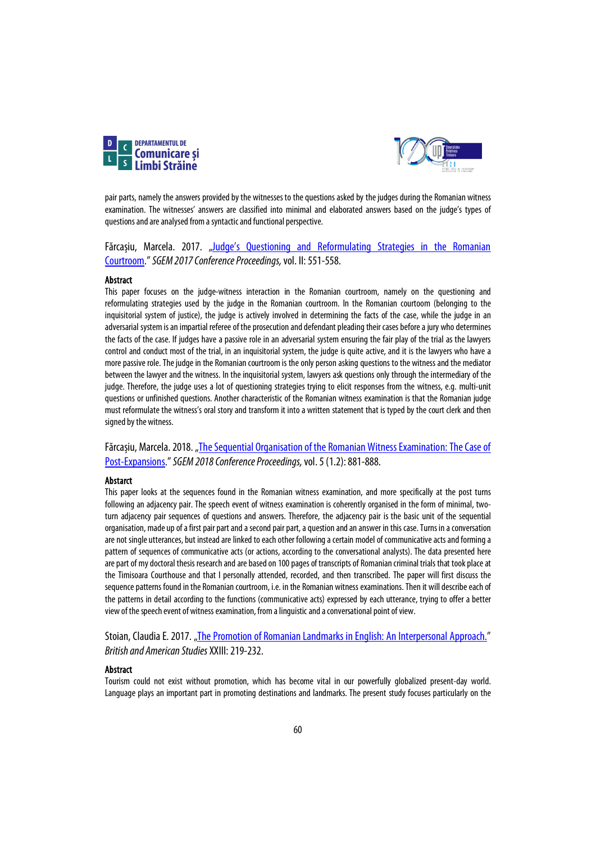



pair parts, namely the answers provided by the witnesses to the questions asked by the judges during the Romanian witness examination. The witnesses' answers are classified into minimal and elaborated answers based on the judge's types of questions and are analysedfrom a syntactic and functional perspective.

Fărcașiu, Marcela. 2017. "Judge's Questioning and Reformulating Strategies in the Romanian [Courtroom."](https://sgemsocial.org/ssgemlib/spip.php?article4143)*SGEM 2017 Conference Proceedings,* vol. II: 551-558.

### Abstract

This paper focuses on the judge-witness interaction in the Romanian courtroom, namely on the questioning and reformulating strategies used by the judge in the Romanian courtroom. In the Romanian courtoom (belonging to the inquisitorial system of justice), the judge is actively involved in determining the facts of the case, while the judge in an adversarial system is an impartial referee of the prosecution and defendant pleading their cases before a jury who determines the facts of the case. If judges have a passive role in an adversarial system ensuring the fair play of the trial as the lawyers control and conduct most of the trial, in an inquisitorial system, the judge is quite active, and it is the lawyers who have a more passive role. The judge in the Romanian courtroom is the only person asking questions to the witness and the mediator between the lawyer and the witness. In the inquisitorial system, lawyers ask questions only through the intermediary of the judge. Therefore, the judge uses a lot of questioning strategies trying to elicit responses from the witness, e.g. multi-unit questions or unfinished questions. Another characteristic of the Romanian witness examination is that the Romanian judge must reformulate the witness's oral story and transform it into a written statement that is typed by the court clerk and then signed by the witness.

Fărcașiu, Marcela. 2018. "The Sequential Organisation of the Romanian Witness Examination: The Case of [Post-Expansions.](https://sgemsocial.org/ssgemlib/spip.php?article5850)"*SGEM 2018 Conference Proceedings,* vol. 5(1.2): 881-888.

### Abstarct

This paper looks at the sequences found in the Romanian witness examination, and more specifically at the post turns following an adjacency pair. The speech event of witness examination is coherently organised in the form of minimal, twoturn adjacency pair sequences of questions and answers. Therefore, the adjacency pair is the basic unit of the sequential organisation, made up of a first pair part and a second pair part, a question and an answer in this case. Turns in a conversation are not single utterances, but instead are linked to each other following a certain model of communicative acts and forming a pattern of sequences of communicative acts (or actions, according to the conversational analysts). The data presented here are part of my doctoral thesis research and are based on 100 pages of transcripts of Romanian criminal trials that took place at the Timisoara Courthouse and that I personally attended, recorded, and then transcribed. The paper will first discuss the sequence patterns found in the Romanian courtroom, i.e. in the Romanian witness examinations. Then it will describe each of the patterns in detail according to the functions (communicative acts) expressed by each utterance, trying to offer a better view of the speech event of witness examination, from a linguistic and a conversational point of view.

Stoian, Claudia E. 2017. ["The Promotion of Romanian Landmarks in English: An Interpersonal Approach."](https://litere.uvt.ro/publicatii/BAS/pdf/no/bas_2017.pdf) *British and American Studies*XXIII: 219-232.

#### Abstract

Tourism could not exist without promotion, which has become vital in our powerfully globalized present-day world. Language plays an important part in promoting destinations and landmarks. The present study focuses particularly on the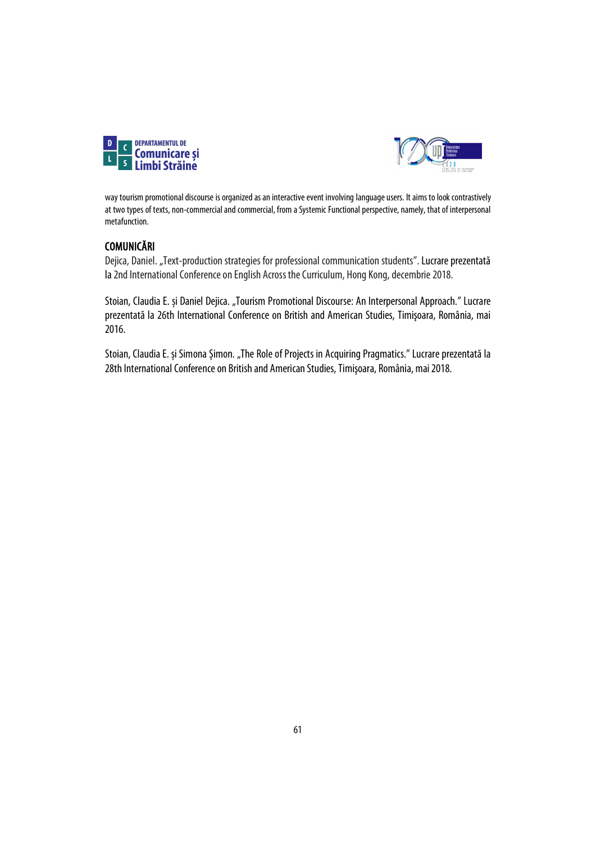



way tourism promotional discourse is organized as an interactive event involving language users. It aims to look contrastively at two types of texts, non-commercial and commercial, from a Systemic Functional perspective, namely, that of interpersonal metafunction.

# COMUNICĂRI

Dejica, Daniel. "Text-production strategies for professional communication students". Lucrare prezentată la 2nd International Conference on English Across the Curriculum, Hong Kong, decembrie 2018.

Stoian, Claudia E. și Daniel Dejica. "Tourism Promotional Discourse: An Interpersonal Approach." Lucrare prezentată la 26th International Conference on British and American Studies, Timişoara, România, mai 2016.

Stoian, Claudia E. și Simona Șimon. "The Role of Projects in Acquiring Pragmatics." Lucrare prezentată la 28th International Conference on British and American Studies, Timişoara, România, mai 2018.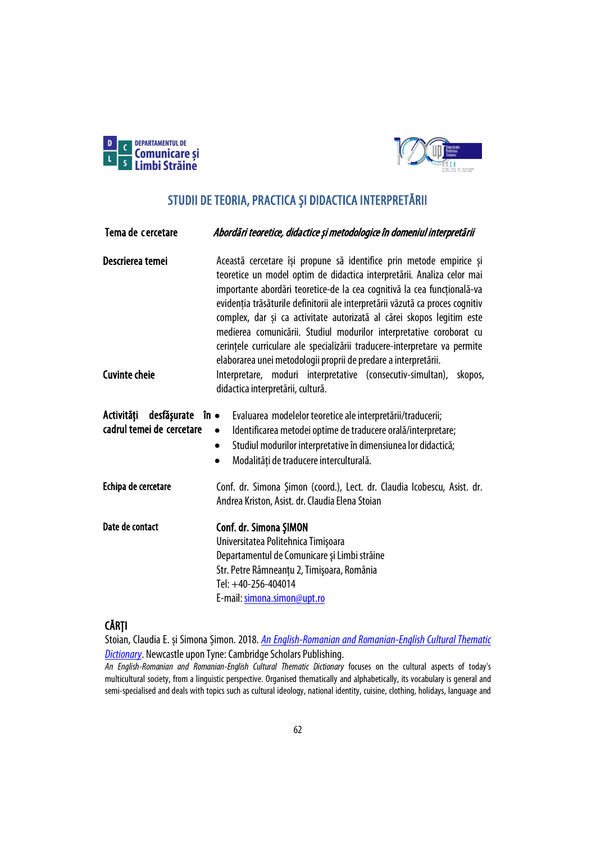



# STUDII DE TEORIA, PRACTICA ȘI DIDACTICA INTERPRETĂRII

| Tema de cercetare                                      | Abordări teoretice, didactice și metodologice în domeniul interpretării                                                                                                                                                                                                                                                                                                                                                                                                                                                                                                                                   |
|--------------------------------------------------------|-----------------------------------------------------------------------------------------------------------------------------------------------------------------------------------------------------------------------------------------------------------------------------------------------------------------------------------------------------------------------------------------------------------------------------------------------------------------------------------------------------------------------------------------------------------------------------------------------------------|
| Descrierea temei                                       | Această cercetare își propune să identifice prin metode empirice și<br>teoretice un model optim de didactica interpretării. Analiza celor mai<br>importante abordări teoretice-de la cea cognitivă la cea funcțională-va<br>evidenția trăsăturile definitorii ale interpretării văzută ca proces cognitiv<br>complex, dar și ca activitate autorizată al cărei skopos legitim este<br>medierea comunicării. Studiul modurilor interpretative coroborat cu<br>cerințele curriculare ale specializării traducere-interpretare va permite<br>elaborarea unei metodologii proprii de predare a interpretării. |
| <b>Cuvinte cheie</b>                                   | Interpretare, moduri interpretative (consecutiv-simultan),<br>skopos,<br>didactica interpretării, cultură.                                                                                                                                                                                                                                                                                                                                                                                                                                                                                                |
| Activități<br>desfășurate<br>cadrul temei de cercetare | în •<br>Evaluarea modelelor teoretice ale interpretării/traducerii;<br>Identificarea metodei optime de traducere orală/interpretare;<br>$\bullet$<br>Studiul modurilor interpretative în dimensiunea lor didactică;<br>$\bullet$<br>Modalități de traducere interculturală.<br>$\bullet$                                                                                                                                                                                                                                                                                                                  |
| Echipa de cercetare                                    | Conf. dr. Simona Şimon (coord.), Lect. dr. Claudia Icobescu, Asist. dr.<br>Andrea Kriston, Asist. dr. Claudia Elena Stoian                                                                                                                                                                                                                                                                                                                                                                                                                                                                                |
| Date de contact                                        | Conf. dr. Simona ŞIMON<br>Universitatea Politehnica Timișoara<br>Departamentul de Comunicare și Limbi străine<br>Str. Petre Râmneanțu 2, Timișoara, România<br>Tel: +40-256-404014<br>E-mail: simona.simon@upt.ro                                                                                                                                                                                                                                                                                                                                                                                         |

# CĂRȚI

Stoian, Claudia E. și Simona Șimon. 2018. *[An English-Romanian and Romanian-English Cultural Thematic](https://cambridgescholars.com/an-english-romanian-and-romanian-english-cultural-thematic-dictionary)  [Dictionary](https://cambridgescholars.com/an-english-romanian-and-romanian-english-cultural-thematic-dictionary)*. Newcastle upon Tyne: Cambridge Scholars Publishing.

*An English-Romanian and Romanian-English Cultural Thematic Dictionary* focuses on the cultural aspects of today's multicultural society, from a linguistic perspective. Organised thematically and alphabetically, its vocabulary is general and semi-specialised and deals with topics such as cultural ideology, national identity, cuisine, clothing, holidays, language and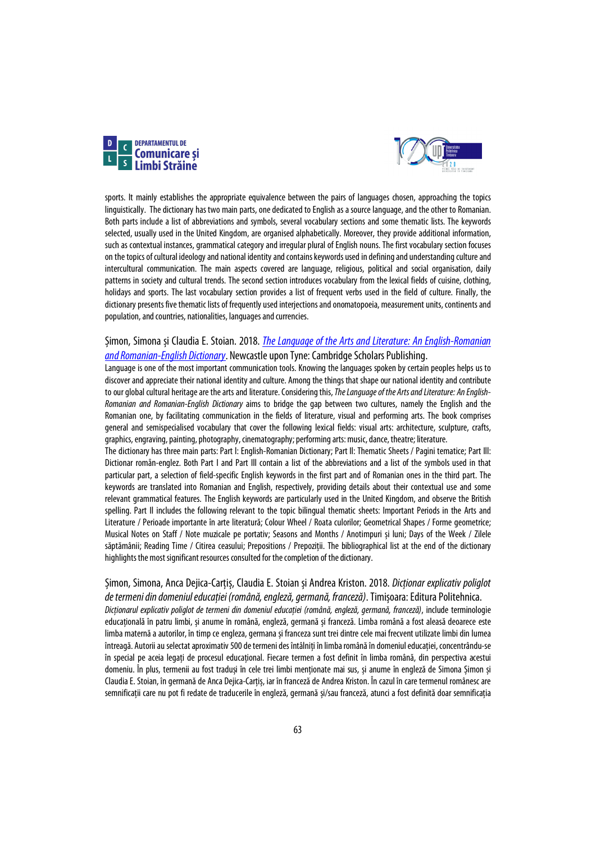



sports. It mainly establishes the appropriate equivalence between the pairs of languages chosen, approaching the topics linguistically. The dictionary has two main parts, one dedicated to English as a source language, and the other to Romanian. Both parts include a list of abbreviations and symbols, several vocabulary sections and some thematic lists. The keywords selected, usually used in the United Kingdom, are organised alphabetically. Moreover, they provide additional information, such as contextual instances, grammatical category and irregular plural of English nouns. The first vocabulary section focuses on the topics of cultural ideology and national identity and contains keywords used in defining and understanding culture and intercultural communication. The main aspects covered are language, religious, political and social organisation, daily patterns in society and cultural trends. The second section introduces vocabulary from the lexical fields of cuisine, clothing, holidays and sports. The last vocabulary section provides a list of frequent verbs used in the field of culture. Finally, the dictionary presents five thematic lists of frequently used interjections and onomatopoeia, measurement units, continents and population, and countries, nationalities, languages and currencies.

## Șimon, Simona și Claudia E. Stoian. 2018. *[The Language of the Arts and Literature: An English-Romanian](https://www.cambridgescholars.com/the-language-of-the-arts-and-literature)  [and Romanian-English Dictionary](https://www.cambridgescholars.com/the-language-of-the-arts-and-literature)*. Newcastle upon Tyne: Cambridge Scholars Publishing.

Language is one of the most important communication tools. Knowing the languages spoken by certain peoples helps us to discover and appreciate their national identity and culture. Among the things that shape our national identity and contribute to our global cultural heritage are the arts and literature. Considering this, *The Language of the Arts and Literature: An English-Romanian and Romanian-English Dictionary* aims to bridge the gap between two cultures, namely the English and the Romanian one, by facilitating communication in the fields of literature, visual and performing arts. The book comprises general and semispecialised vocabulary that cover the following lexical fields: visual arts: architecture, sculpture, crafts, graphics, engraving, painting, photography, cinematography; performing arts: music, dance, theatre; literature.

The dictionary has three main parts: Part l: English-Romanian Dictionary; Part Il: Thematic Sheets / Pagini tematice; Part Ill: Dictionar romån-englez. Both Part I and Part Ill contain a list of the abbreviations and a list of the symbols used in that particular part, a selection of field-specific English keywords in the first part and of Romanian ones in the third part. The keywords are translated into Romanian and English, respectively, providing details about their contextual use and some relevant grammatical features. The English keywords are particularly used in the United Kingdom, and observe the British spelling. Part Il includes the following relevant to the topic bilingual thematic sheets: Important Periods in the Arts and Literature / Perioade importante în arte literatură; Colour Wheel / Roata culorilor; Geometrical Shapes / Forme geometrice; Musical Notes on Staff / Note muzicale pe portativ; Seasons and Months / Anotimpuri și luni; Days of the Week / Zilele săptămânii; Reading Time / Citirea ceasului; Prepositions / Prepoziții. The bibliographical list at the end of the dictionary highlights the most significant resources consulted for the completion of the dictionary.

### Șimon, Simona, Anca Dejica-Carțiș, Claudia E. Stoian și Andrea Kriston. 2018. *Dicționar explicativ poliglot de termeni din domeniul educației (română, engleză, germană, franceză)*. Timișoara: Editura Politehnica.

*Dicționarul explicativ poliglot de termeni din domeniul educației (română, engleză, germană, franceză)*, include terminologie educațională în patru limbi, și anume în română, engleză, germană și franceză. Limba română a fost aleasă deoarece este limba maternă a autorilor, în timp ce engleza, germana și franceza sunt trei dintre cele mai frecvent utilizate limbi din lumea întreagă. Autorii au selectat aproximativ 500 de termeni des întâlniți în limba română în domeniul educației, concentrându-se în special pe aceia legați de procesul educațional. Fiecare termen a fost definit în limba română, din perspectiva acestui domeniu. În plus, termenii au fost traduși în cele trei limbi menționate mai sus, și anume în engleză de Simona Șimon și Claudia E. Stoian, în germană de Anca Dejica-Carțiș, iar în franceză de Andrea Kriston. În cazul în care termenul românesc are semnificații care nu pot fi redate de traducerile în engleză, germană și/sau franceză, atunci a fost definită doar semnificația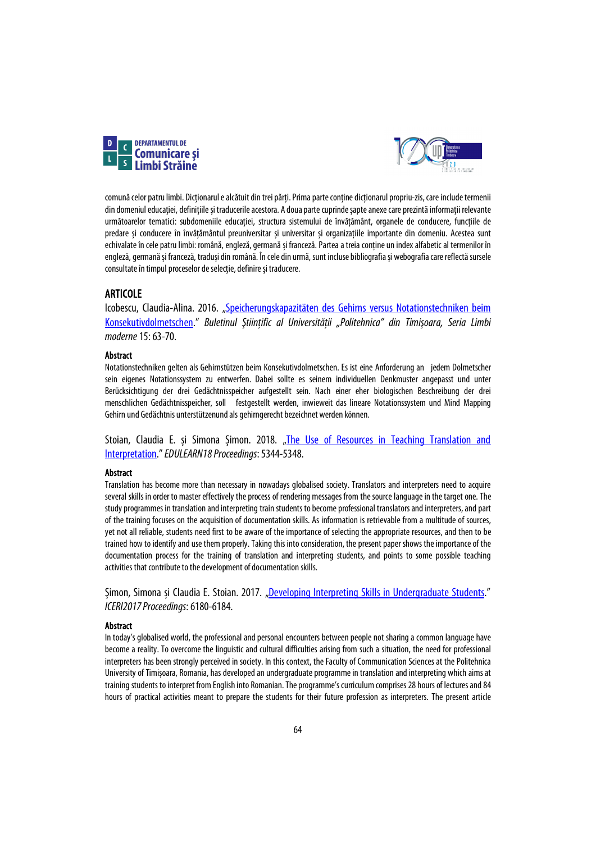



comună celor patru limbi. Dicționarul e alcătuit din trei părți. Prima parte conține dicționarul propriu-zis, care include termenii din domeniul educației, definițiile și traducerile acestora. A doua parte cuprinde șapte anexe care prezintă informații relevante următoarelor tematici: subdomeniile educației, structura sistemului de învățământ, organele de conducere, funcțiile de predare și conducere în învățământul preuniversitar și universitar și organizațiile importante din domeniu. Acestea sunt echivalate în cele patru limbi: română, engleză, germană și franceză. Partea a treia conține un index alfabetic al termenilor în engleză, germană și franceză, traduși din română. În cele din urmă, sunt incluse bibliografia și webografia care reflectă sursele consultate în timpul proceselor de selecție, definire și traducere.

### ARTICOLE

Icobescu, Claudia-Alina. 2016. ["Speicherungskapazitäten des Gehirns versus Notationstechniken beim](https://www.sc.upt.ro/attachments/article/107/02%2003_ge_Icobescu.pdf)  [Konsekutivdolmetschen.](https://www.sc.upt.ro/attachments/article/107/02%2003_ge_Icobescu.pdf)" *Buletinul Ştiinţific al Universităţii "Politehnica" din Timişoara, Seria Limbi moderne*15:63-70.

### Abstract

Notationstechniken gelten als Gehirnstützen beim Konsekutivdolmetschen. Es ist eine Anforderung an jedem Dolmetscher sein eigenes Notationssystem zu entwerfen. Dabei sollte es seinem individuellen Denkmuster angepasst und unter Berücksichtigung der drei Gedächtnisspeicher aufgestellt sein. Nach einer eher biologischen Beschreibung der drei menschlichen Gedächtnisspeicher, soll festgestellt werden, inwieweit das lineare Notationssystem und Mind Mapping Gehirn und Gedächtnis unterstützenund als gehirngerecht bezeichnet werden können.

Stoian, Claudia E. și Simona Șimon. 2018. "The Use of Resources in Teaching Translation and [Interpretation."](https://library.iated.org/view/STOIAN2018USE) *EDULEARN18 Proceedings*:5344-5348.

### Abstract

Translation has become more than necessary in nowadays globalised society. Translators and interpreters need to acquire several skills in order to master effectively the process of rendering messages from the source language in the target one. The study programmes in translation and interpreting train students to become professional translators and interpreters, and part of the training focuses on the acquisition of documentation skills. As information is retrievable from a multitude of sources, yet not all reliable, students need first to be aware of the importance of selecting the appropriate resources, and then to be trained how to identify and use them properly. Taking this into consideration, the present paper shows the importance of the documentation process for the training of translation and interpreting students, and points to some possible teaching activities that contribute to the development of documentation skills.

Șimon, Simona și Claudia E. Stoian. 2017. ["Developing Interpreting Skills in Undergraduate Students."](https://library.iated.org/view/SIMON2017DEV) *ICERI2017 Proceedings*: 6180-6184.

#### Abstract

In today's globalised world, the professional and personal encounters between people not sharing a common language have become a reality. To overcome the linguistic and cultural difficulties arising from such a situation, the need for professional interpreters has been strongly perceived in society. In this context, the Faculty of Communication Sciences at the Politehnica University of Timișoara, Romania, has developed an undergraduate programme in translation and interpreting which aims at training students to interpret from English into Romanian. The programme's curriculum comprises 28 hours of lectures and 84 hours of practical activities meant to prepare the students for their future profession as interpreters. The present article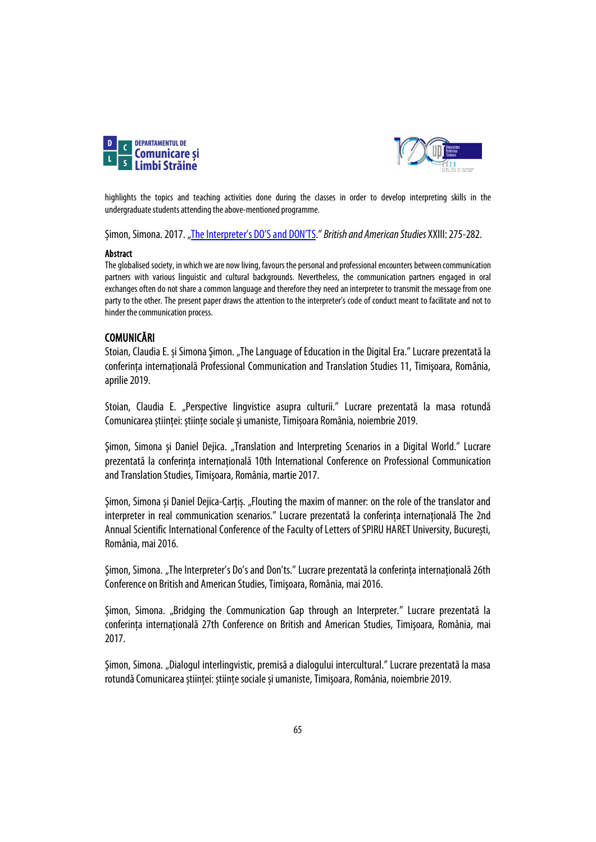



highlights the topics and teaching activities done during the classes in order to develop interpreting skills in the undergraduate students attending the above-mentioned programme.

Șimon, Simona. 2017. ["The Interpreter's DO'S and DON'TS.](https://litere.uvt.ro/publicatii/BAS/pdf/no/bas_2017.pdf)" *British and American Studies* XXIII: 275-282.

### Abstract

The globalised society, in which we are now living, favours the personal and professional encounters between communication partners with various linguistic and cultural backgrounds. Nevertheless, the communication partners engaged in oral exchanges often do not share a common language and therefore they need an interpreter to transmit the message from one party to the other. The present paper draws the attention to the interpreter's code of conduct meant to facilitate and not to hinder the communication process.

## COMUNICĂRI

Stoian, Claudia E. și Simona Șimon. "The Language of Education in the Digital Era." Lucrare prezentată la conferința internațională Professional Communication and Translation Studies 11, Timișoara, România, aprilie 2019.

Stoian, Claudia E. "Perspective lingvistice asupra culturii." Lucrare prezentată la masa rotundă Comunicarea științei: științe sociale și umaniste, Timișoara România, noiembrie 2019.

Şimon, Simona și Daniel Dejica. "Translation and Interpreting Scenarios in a Digital World." Lucrare prezentată la conferinţa internaţională 10th International Conference on Professional Communication and Translation Studies, Timişoara, România, martie 2017.

Şimon, Simona și Daniel Dejica-Carțiș. "Flouting the maxim of manner: on the role of the translator and interpreter in real communication scenarios." Lucrare prezentată la conferinţa internaţională The 2nd Annual Scientific International Conference of the Faculty of Letters of SPIRU HARET University, București, România, mai 2016.

Şimon, Simona. "The Interpreter's Do's and Don'ts." Lucrare prezentată la conferinţa internaţională 26th Conference on British and American Studies, Timişoara, România, mai 2016.

Şimon, Simona. "Bridging the Communication Gap through an Interpreter." Lucrare prezentată la conferinţa internaţională 27th Conference on British and American Studies, Timişoara, România, mai 2017.

Şimon, Simona. "Dialogul interlingvistic, premisă a dialogului intercultural." Lucrare prezentată la masa rotundă Comunicarea științei: științe sociale și umaniste, Timișoara, România, noiembrie 2019.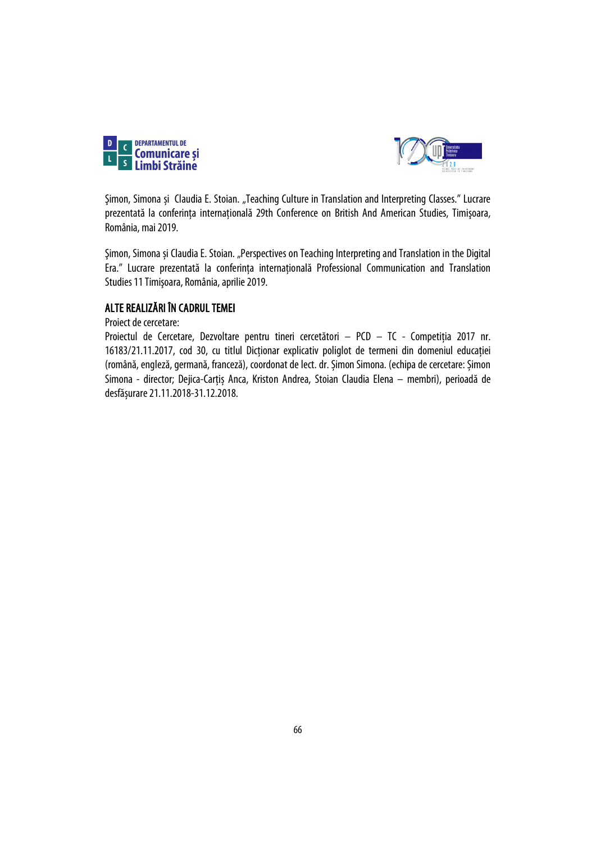



Şimon, Simona și Claudia E. Stoian. "Teaching Culture in Translation and Interpreting Classes." Lucrare prezentată la conferinţa internaţională 29th Conference on British And American Studies, Timişoara, România, mai 2019.

Şimon, Simona și Claudia E. Stoian. "Perspectives on Teaching Interpreting and Translation in the Digital Era." Lucrare prezentată la conferinţa internaţională Professional Communication and Translation Studies 11 Timişoara, România, aprilie 2019.

## ALTE REALIZĂRI ÎN CADRUL TEMEI

Proiect de cercetare:

Proiectul de Cercetare, Dezvoltare pentru tineri cercetători – PCD – TC - Competiţia 2017 nr. 16183/21.11.2017, cod 30, cu titlul Dicționar explicativ poliglot de termeni din domeniul educației (română, engleză, germană, franceză), coordonat de lect. dr. Șimon Simona. (echipa de cercetare: Șimon Simona - director; Dejica-Carțiș Anca, Kriston Andrea, Stoian Claudia Elena – membri), perioadă de desfășurare 21.11.2018-31.12.2018.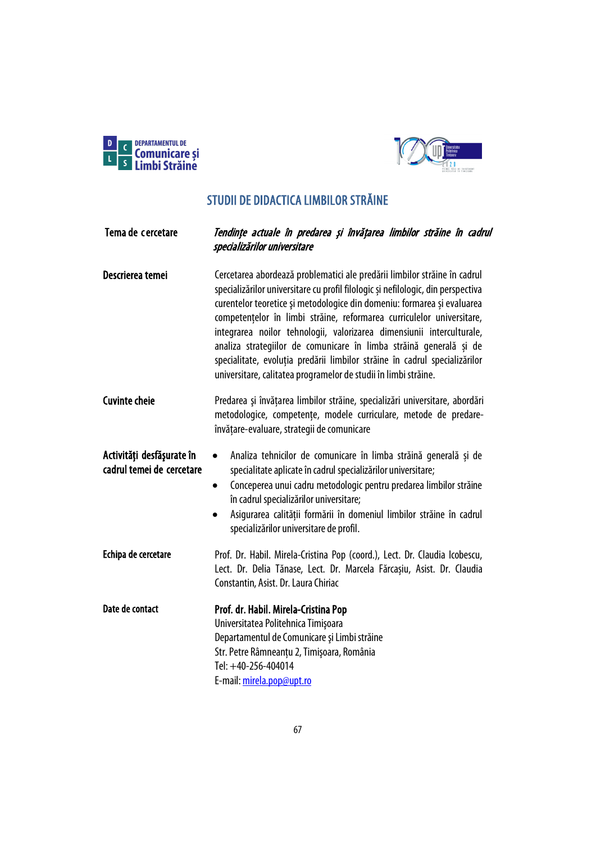



# STUDII DE DIDACTICA LIMBILOR STRĂINE

| Tema de cercetare                                      | Tendințe actuale în predarea și învățarea limbilor străine în cadrul<br>specializărilor universitare                                                                                                                                                                                                                                                                                                                                                                                                                                                                                                              |
|--------------------------------------------------------|-------------------------------------------------------------------------------------------------------------------------------------------------------------------------------------------------------------------------------------------------------------------------------------------------------------------------------------------------------------------------------------------------------------------------------------------------------------------------------------------------------------------------------------------------------------------------------------------------------------------|
| Descrierea temei                                       | Cercetarea abordează problematici ale predării limbilor străine în cadrul<br>specializărilor universitare cu profil filologic și nefilologic, din perspectiva<br>curentelor teoretice și metodologice din domeniu: formarea și evaluarea<br>competențelor în limbi străine, reformarea curriculelor universitare,<br>integrarea noilor tehnologii, valorizarea dimensiunii interculturale,<br>analiza strategiilor de comunicare în limba străină generală și de<br>specialitate, evoluția predării limbilor străine în cadrul specializărilor<br>universitare, calitatea programelor de studii în limbi străine. |
| <b>Cuvinte cheie</b>                                   | Predarea și învățarea limbilor străine, specializări universitare, abordări<br>metodologice, competențe, modele curriculare, metode de predare-<br>învățare-evaluare, strategii de comunicare                                                                                                                                                                                                                                                                                                                                                                                                                     |
| Activități desfășurate în<br>cadrul temei de cercetare | Analiza tehnicilor de comunicare în limba străină generală și de<br>$\bullet$<br>specialitate aplicate în cadrul specializărilor universitare;<br>Conceperea unui cadru metodologic pentru predarea limbilor străine<br>$\bullet$<br>în cadrul specializărilor universitare;<br>Asigurarea calității formării în domeniul limbilor străine în cadrul<br>specializărilor universitare de profil.                                                                                                                                                                                                                   |
| Echipa de cercetare                                    | Prof. Dr. Habil. Mirela-Cristina Pop (coord.), Lect. Dr. Claudia Icobescu,<br>Lect. Dr. Delia Tănase, Lect. Dr. Marcela Fărcașiu, Asist. Dr. Claudia<br>Constantin, Asist. Dr. Laura Chiriac                                                                                                                                                                                                                                                                                                                                                                                                                      |
| Date de contact                                        | Prof. dr. Habil. Mirela-Cristina Pop<br>Universitatea Politehnica Timișoara<br>Departamentul de Comunicare și Limbi străine<br>Str. Petre Râmneanțu 2, Timișoara, România<br>Tel: +40-256-404014<br>E-mail: mirela.pop@upt.ro                                                                                                                                                                                                                                                                                                                                                                                     |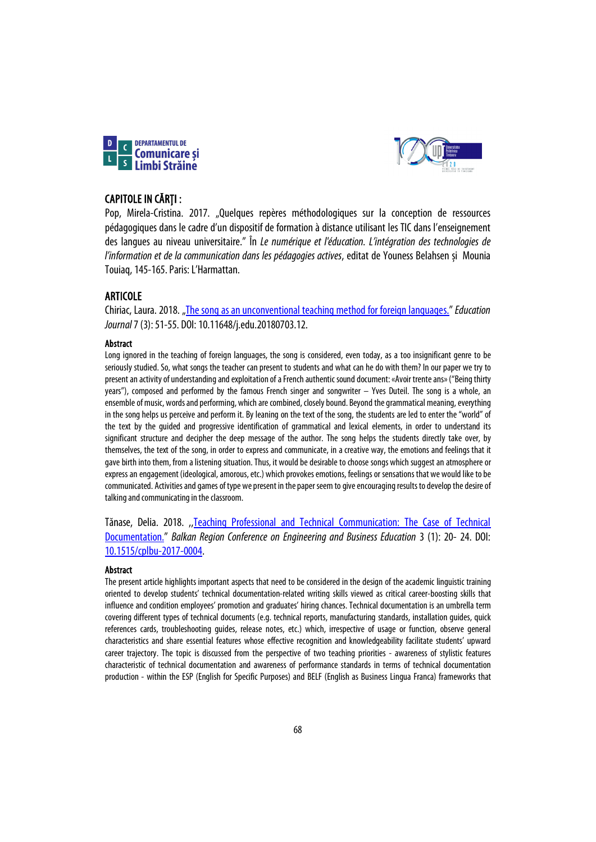



## CAPITOLE IN CĂRȚI :

Pop, Mirela-Cristina. 2017. "Quelques repères méthodologiques sur la conception de ressources pédagogiques dans le cadre d'un dispositif de formation à distance utilisant les TIC dans l'enseignement des langues au niveau universitaire." În *Le numérique et l'éducation. L'intégration des technologies de l'information et de la communication dans les pédagogies actives*, editat de Youness Belahsen și Mounia Touiaq,145-165. Paris: L'Harmattan.

## ARTICOLE

Chiriac, Laura. 2018. ["The song as an unconventional teaching method for foreign languages."](http://www.sciencepublishinggroup.com/journal/paperinfo?journalid=196&doi=10.11648/j.edu.20180703.12) *Education Journal*7(3): 51-55. DOI: 10.11648/j.edu.20180703.12.

### Abstract

Long ignored in the teaching of foreign languages, the song is considered, even today, as a too insignificant genre to be seriously studied. So, what songs the teacher can present to students and what can he do with them? In our paper we try to present an activity of understanding and exploitation of a French authentic sound document: «Avoir trente ans» ("Being thirty years"), composed and performed by the famous French singer and songwriter – Yves Duteil. The song is a whole, an ensemble of music, words and performing, which are combined, closely bound. Beyond the grammatical meaning, everything in the song helps us perceive and perform it. By leaning on the text of the song, the students are led to enter the "world" of the text by the guided and progressive identification of grammatical and lexical elements, in order to understand its significant structure and decipher the deep message of the author. The song helps the students directly take over, by themselves, the text of the song, in order to express and communicate, in a creative way, the emotions and feelings that it gave birth into them, from a listening situation. Thus, it would be desirable to choose songs which suggest an atmosphere or express an engagement (ideological, amorous, etc.) which provokes emotions, feelings or sensations that we would like to be communicated. Activities and games of type we present in the paper seem to give encouraging results to develop the desire of talking and communicating in the classroom.

Tănase, Delia. 2018. ,[,Teaching Professional and Technical Communication: The Case of Technical](https://content.sciendo.com/configurable/contentpage/journals$002fcplbu$002f2$002f1$002farticle-p20.xml)  [Documentation.](https://content.sciendo.com/configurable/contentpage/journals$002fcplbu$002f2$002f1$002farticle-p20.xml)" *Balkan Region Conference on Engineering and Business Education* 3 (1): 20- 24. DOI: [10.1515/cplbu-2017-0004.](https://doi.org/10.1515/cplbu-2017-0004)

### Abstract

The present article highlights important aspects that need to be considered in the design of the academic linguistic training oriented to develop students' technical documentation-related writing skills viewed as critical career-boosting skills that influence and condition employees' promotion and graduates' hiring chances. Technical documentation is an umbrella term covering different types of technical documents (e.g. technical reports, manufacturing standards, installation guides, quick references cards, troubleshooting guides, release notes, etc.) which, irrespective of usage or function, observe general characteristics and share essential features whose effective recognition and knowledgeability facilitate students' upward career trajectory. The topic is discussed from the perspective of two teaching priorities - awareness of stylistic features characteristic of technical documentation and awareness of performance standards in terms of technical documentation production - within the ESP (English for Specific Purposes) and BELF (English as Business Lingua Franca) frameworks that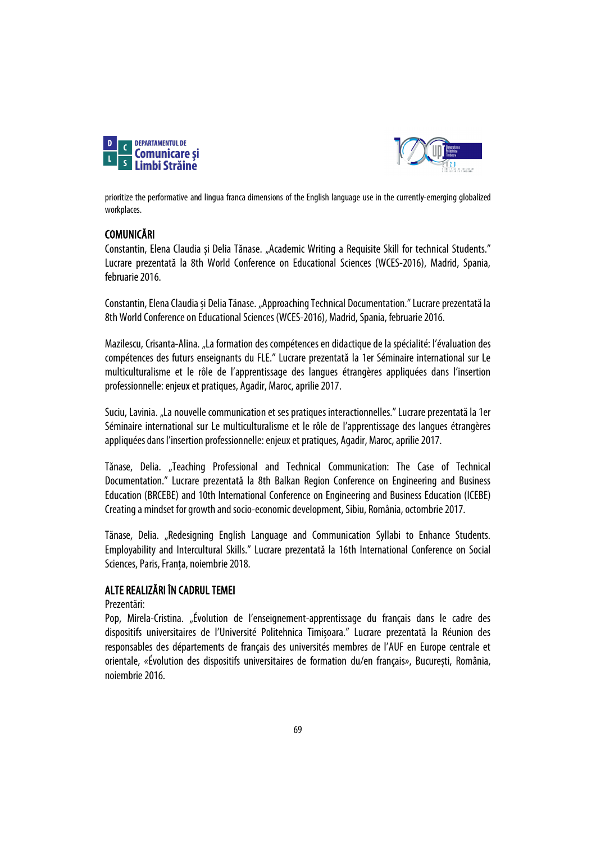



prioritize the performative and lingua franca dimensions of the English language use in the currently-emerging globalized workplaces.

## **COMUNICĂRI**

Constantin, Elena Claudia și Delia Tănase. "Academic Writing a Requisite Skill for technical Students." Lucrare prezentată la 8th World Conference on Educational Sciences (WCES-2016), Madrid, Spania, februarie 2016.

Constantin, Elena Claudiași Delia Tănase. "Approaching Technical Documentation." Lucrare prezentată la 8th World Conference on Educational Sciences (WCES-2016), Madrid, Spania, februarie 2016.

Mazilescu, Crisanta-Alina. "La formation des compétences en didactique de la spécialité: l'évaluation des compétences des futurs enseignants du FLE." Lucrare prezentată la 1er Séminaire international sur Le multiculturalisme et le rôle de l'apprentissage des langues étrangères appliquées dans l'insertion professionnelle: enjeux et pratiques, Agadir, Maroc, aprilie2017.

Suciu, Lavinia. "La nouvelle communication et ses pratiques interactionnelles." Lucrare prezentată la 1er Séminaire international sur Le multiculturalisme et le rôle de l'apprentissage des langues étrangères appliquées dans l'insertion professionnelle: enjeux et pratiques, Agadir, Maroc, aprilie2017.

Tănase, Delia. "Teaching Professional and Technical Communication: The Case of Technical Documentation." Lucrare prezentată la 8th Balkan Region Conference on Engineering and Business Education (BRCEBE) and 10th International Conference on Engineering and Business Education (ICEBE) Creating a mindset for growth and socio-economic development, Sibiu, România, octombrie2017.

Tănase, Delia. "Redesigning English Language and Communication Syllabi to Enhance Students. Employability and Intercultural Skills." Lucrare prezentată la 16th International Conference on Social Sciences, Paris, Franța, noiembrie 2018.

## ALTE REALIZĂRI ÎN CADRUL TEMEI

Prezentări:

Pop, Mirela-Cristina. "Évolution de l'enseignement-apprentissage du français dans le cadre des dispositifs universitaires de l'Université Politehnica Timișoara." Lucrare prezentată la Réunion des responsables des départements de français des universités membres de l'AUF en Europe centrale et orientale, *«*Évolution des dispositifs universitaires de formation du/en français*»*, București, România, noiembrie 2016.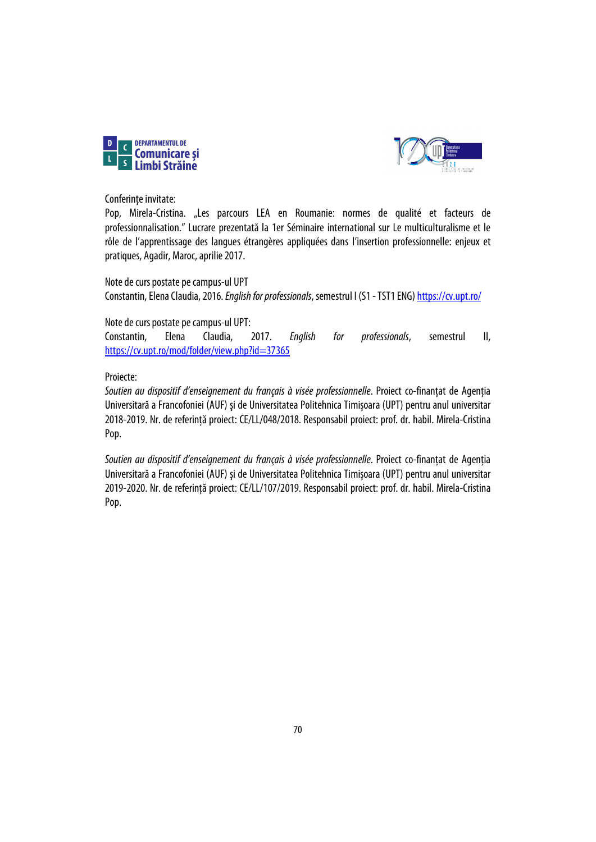



Conferințe invitate:

Pop, Mirela-Cristina. "Les parcours LEA en Roumanie: normes de qualité et facteurs de professionnalisation." Lucrare prezentată la 1er Séminaire international sur Le multiculturalisme et le rôle de l'apprentissage des langues étrangères appliquées dans l'insertion professionnelle: enjeux et pratiques, Agadir, Maroc, aprilie 2017.

Note de curs postate pe campus-ul UPT Constantin, Elena Claudia, 2016. *English for professionals*, semestrul I (S1 -TST1 ENG[\) https://cv.upt.ro/](https://cv.upt.ro/)

Note de curs postate pe campus-ul UPT:

Constantin, Elena Claudia, 2017. *English for professionals*, semestrul II, <https://cv.upt.ro/mod/folder/view.php?id=37365>

## Proiecte:

*Soutien au dispositif d'enseignement du français à visée professionnelle*. Proiect co-finanțat de Agenția Universitară a Francofoniei (AUF) și de Universitatea Politehnica Timișoara (UPT) pentru anul universitar 2018-2019. Nr. de referință proiect: CE/LL/048/2018. Responsabil proiect: prof. dr. habil. Mirela-Cristina Pop.

*Soutien au dispositif d'enseignement du français à visée professionnelle*. Proiect co-finanțat de Agenția Universitară a Francofoniei (AUF) și de Universitatea Politehnica Timișoara (UPT) pentru anul universitar 2019-2020. Nr. de referință proiect: CE/LL/107/2019. Responsabil proiect: prof. dr. habil. Mirela-Cristina Pop.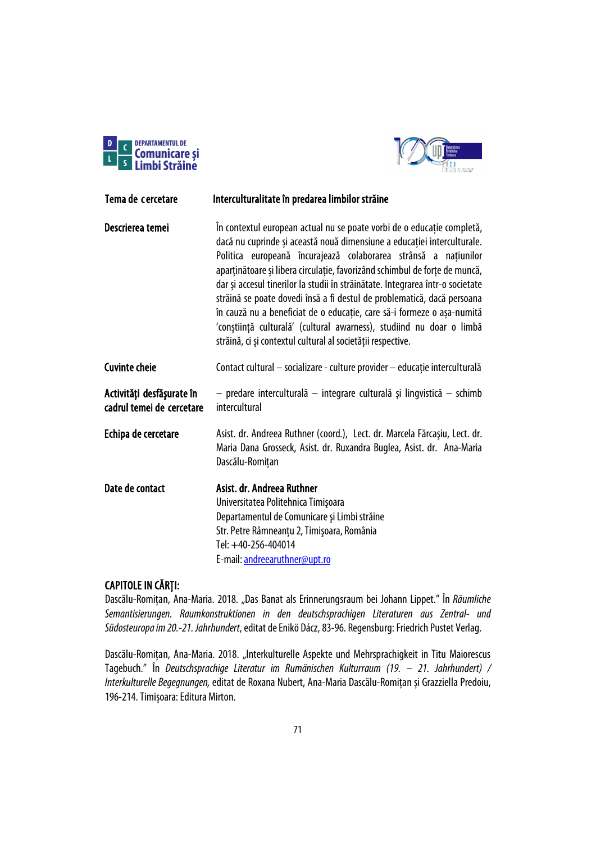



| Tema de cercetare                                      | Interculturalitate în predarea limbilor străine                                                                                                                                                                                                                                                                                                                                                                                                                                                                                                                                                                                                                                  |
|--------------------------------------------------------|----------------------------------------------------------------------------------------------------------------------------------------------------------------------------------------------------------------------------------------------------------------------------------------------------------------------------------------------------------------------------------------------------------------------------------------------------------------------------------------------------------------------------------------------------------------------------------------------------------------------------------------------------------------------------------|
| Descrierea temei                                       | În contextul european actual nu se poate vorbi de o educație completă,<br>dacă nu cuprinde și această nouă dimensiune a educației interculturale.<br>Politica europeană încurajează colaborarea strânsă a națiunilor<br>aparținătoare și libera circulație, favorizând schimbul de forțe de muncă,<br>dar și accesul tinerilor la studii în străinătate. Integrarea într-o societate<br>străină se poate dovedi însă a fi destul de problematică, dacă persoana<br>în cauză nu a beneficiat de o educație, care să-i formeze o așa-numită<br>'conștiință culturală' (cultural awarness), studiind nu doar o limbă<br>străină, ci și contextul cultural al societății respective. |
| <b>Cuvinte cheie</b>                                   | Contact cultural - socializare - culture provider - educație interculturală                                                                                                                                                                                                                                                                                                                                                                                                                                                                                                                                                                                                      |
| Activități desfășurate în<br>cadrul temei de cercetare | - predare interculturală - integrare culturală și lingvistică - schimb<br>intercultural                                                                                                                                                                                                                                                                                                                                                                                                                                                                                                                                                                                          |
| Echipa de cercetare                                    | Asist. dr. Andreea Ruthner (coord.), Lect. dr. Marcela Fărcașiu, Lect. dr.<br>Maria Dana Grosseck, Asist. dr. Ruxandra Buglea, Asist. dr. Ana-Maria<br>Dascălu-Romițan                                                                                                                                                                                                                                                                                                                                                                                                                                                                                                           |
| Date de contact                                        | Asist. dr. Andreea Ruthner<br>Universitatea Politehnica Timișoara<br>Departamentul de Comunicare și Limbi străine<br>Str. Petre Râmneanțu 2, Timișoara, România<br>Tel: +40-256-404014<br>E-mail: andreearuthner@upt.ro                                                                                                                                                                                                                                                                                                                                                                                                                                                          |

# CAPITOLE IN CĂRȚI:

Dascălu-Romițan, Ana-Maria. 2018. "Das Banat als Erinnerungsraum bei Johann Lippet." În *Räumliche Semantisierungen. Raumkonstruktionen in den deutschsprachigen Literaturen aus Zentral- und Südosteuropa im 20.-21. Jahrhundert*, editat de Enikö Dácz, 83-96. Regensburg: Friedrich Pustet Verlag.

Dascălu-Romițan, Ana-Maria. 2018. "Interkulturelle Aspekte und Mehrsprachigkeit in Titu Maiorescus Tagebuch." În *Deutschsprachige Literatur im Rumänischen Kulturraum (19. – 21. Jahrhundert) / Interkulturelle Begegnungen,* editat de Roxana Nubert, Ana-Maria Dascălu-Romițan și Grazziella Predoiu, 196-214. Timișoara: Editura Mirton.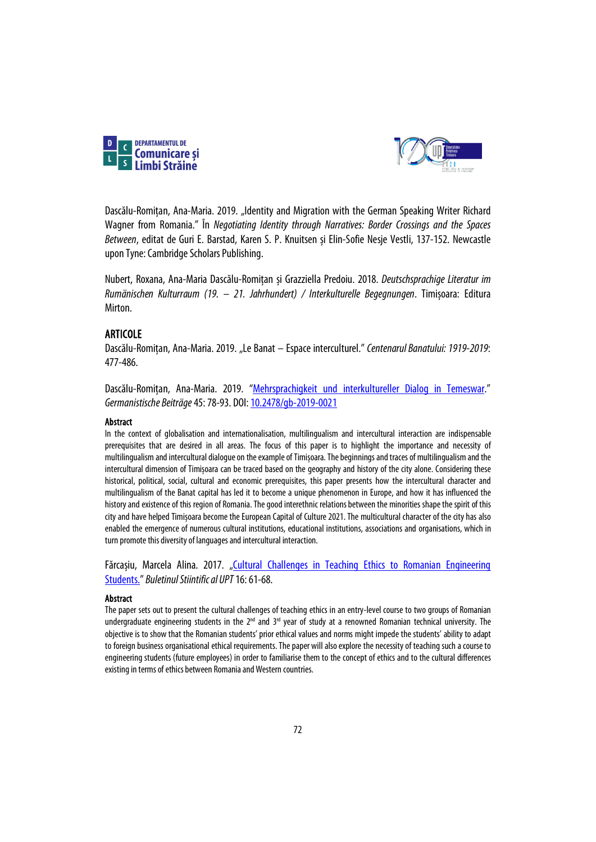



Dascălu-Romițan, Ana-Maria. 2019. "Identity and Migration with the German Speaking Writer Richard Wagner from Romania." În *Negotiating Identity through Narratives: Border Crossings and the Spaces Between*, editat de Guri E. Barstad, Karen S. P. Knuitsen și Elin-Sofie Nesje Vestli, 137-152. Newcastle upon Tyne: Cambridge Scholars Publishing.

Nubert, Roxana, Ana-Maria Dascălu-Romițan și Grazziella Predoiu. 2018. *Deutschsprachige Literatur im Rumänischen Kulturraum (19. – 21. Jahrhundert) / Interkulturelle Begegnungen*. Timișoara: Editura Mirton.

## ARTICOLE

Dascălu-Romitan, Ana-Maria. 2019. "Le Banat – Espace interculturel." Centenarul Banatului: 1919-2019: 477-486.

Dascălu-Romițan, Ana-Maria. 2019. ["Mehrsprachigkeit und interkultureller Dialog in Temeswar."](https://content.sciendo.com/view/journals/gb/45/1/article-p78.xml?language=en) *Germanistische Beiträge*45: 78-93. DOI[: 10.2478/gb-2019-0021](https://doi.org/10.2478/gb-2019-0021)

### Abstract

In the context of globalisation and internationalisation, multilingualism and intercultural interaction are indispensable prerequisites that are desired in all areas. The focus of this paper is to highlight the importance and necessity of multilingualism and intercultural dialogue on the example of Timișoara. The beginnings and traces of multilingualism and the intercultural dimension of Timișoara can be traced based on the geography and history of the city alone. Considering these historical, political, social, cultural and economic prerequisites, this paper presents how the intercultural character and multilingualism of the Banat capital has led it to become a unique phenomenon in Europe, and how it has influenced the history and existence of this region of Romania. The good interethnic relations between the minorities shape the spirit of this city and have helped Timișoara become the European Capital of Culture 2021.The multicultural character of the city has also enabled the emergence of numerous cultural institutions, educational institutions, associations and organisations, which in turn promote this diversity of languages and intercultural interaction.

Fărcașiu, Marcela Alina. 2017. "Cultural Challenges in Teaching Ethics to Romanian Engineering [Students."](https://www.ceeol.com/search/article-detail?id=575324) *Buletinul Stiintific al UPT*16: 61-68.

### **Abstract**

The paper sets out to present the cultural challenges of teaching ethics in an entry-level course to two groups of Romanian undergraduate engineering students in the  $2^{nd}$  and  $3^{rd}$  year of study at a renowned Romanian technical university. The objective is to show that the Romanian students' prior ethical values and norms might impede the students' ability to adapt to foreign business organisational ethical requirements. The paper will also explore the necessity of teaching such a course to engineering students (future employees) in order to familiarise them to the concept of ethics and to the cultural differences existing in terms of ethics between Romania and Western countries.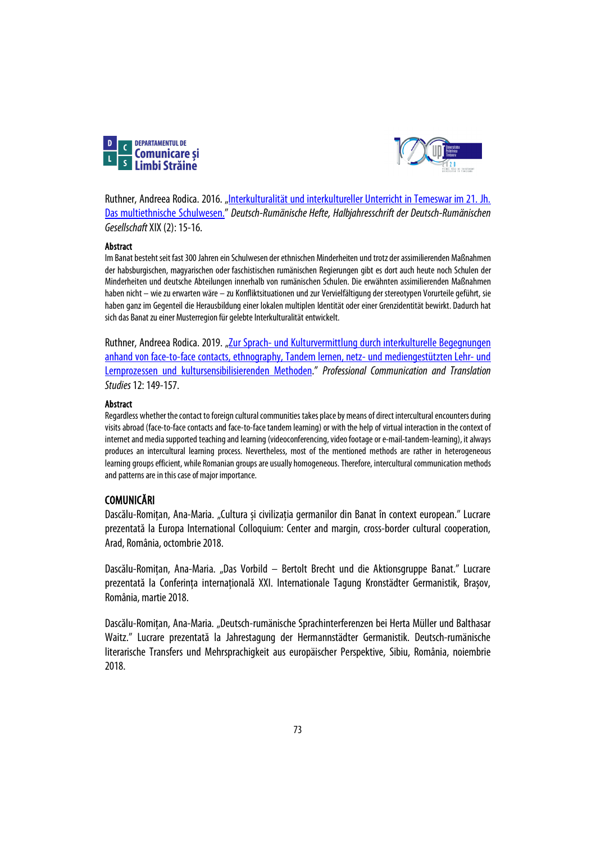



Ruthner, Andreea Rodica. 2016. ["Interkulturalität und interkultureller Unterricht in Temeswar im 21. Jh.](https://www.deruge.org/wp-content/uploads/2018/12/DRH_2016-02.pdf)  [Das multiethnische Schulwesen."](https://www.deruge.org/wp-content/uploads/2018/12/DRH_2016-02.pdf) *Deutsch-Rumänische Hefte, Halbjahresschrift der Deutsch-Rumänischen Gesellschaft*XIX(2): 15-16.

## Abstract

Im Banat besteht seit fast 300 Jahren ein Schulwesen der ethnischen Minderheiten und trotz der assimilierenden Maßnahmen der habsburgischen, magyarischen oder faschistischen rumänischen Regierungen gibt es dort auch heute noch Schulen der Minderheiten und deutsche Abteilungen innerhalb von rumänischen Schulen. Die erwähnten assimilierenden Maßnahmen haben nicht – wie zu erwarten wäre – zu Konfliktsituationen und zur Vervielfältigung der stereotypen Vorurteile geführt, sie haben ganz im Gegenteil die Herausbildung einer lokalen multiplen Identität oder einer Grenzidentität bewirkt. Dadurch hat sich das Banat zu einer Musterregion für gelebte Interkulturalität entwickelt.

Ruthner, Andreea Rodica. 2019. "Zur Sprach- und Kulturvermittlung durch interkulturelle Begegnungen [anhand von face-to-face contacts, ethnography, Tandem lernen, netz-](https://www.ceeol.com/search/article-detail?id=820159) und mediengestützten Lehr- und [Lernprozessen und kultursensibilisierenden Methoden.](https://www.ceeol.com/search/article-detail?id=820159)" *Professional Communication and Translation Studies*12: 149-157.

## Abstract

Regardless whether the contact to foreign cultural communities takes place by means of direct intercultural encounters during visits abroad (face-to-face contacts and face-to-face tandem learning) or with the help of virtual interaction in the context of internet and media supported teaching and learning (videoconferencing, video footage or e-mail-tandem-learning), it always produces an intercultural learning process. Nevertheless, most of the mentioned methods are rather in heterogeneous learning groups efficient, while Romanian groups are usually homogeneous. Therefore, intercultural communication methods and patterns are in this case of major importance.

# COMUNICĂRI

Dascălu-Romițan, Ana-Maria. "Cultura și civilizația germanilor din Banat în context european." Lucrare prezentată la Europa International Colloquium: Center and margin, cross-border cultural cooperation, Arad, România, octombrie 2018.

Dascălu-Romițan, Ana-Maria. "Das Vorbild – Bertolt Brecht und die Aktionsgruppe Banat." Lucrare prezentată la Conferința internațională XXI. Internationale Tagung Kronstädter Germanistik, Brașov, România, martie 2018.

Dascălu-Romițan, Ana-Maria. "Deutsch-rumänische Sprachinterferenzen bei Herta Müller und Balthasar Waitz." Lucrare prezentată la Jahrestagung der Hermannstädter Germanistik. Deutsch-rumänische literarische Transfers und Mehrsprachigkeit aus europäischer Perspektive, Sibiu, România, noiembrie 2018.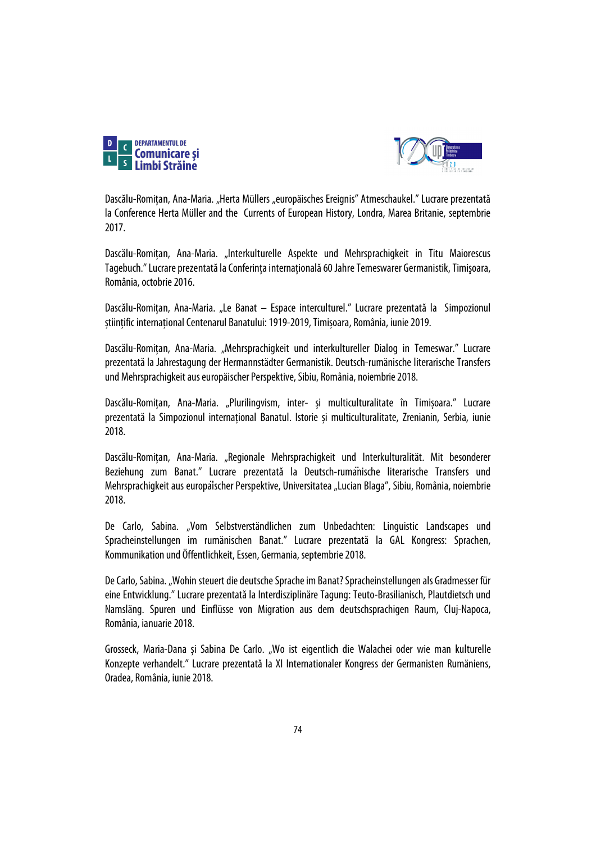



Dascălu-Romitan, Ana-Maria. "Herta Müllers "europäisches Ereignis" Atmeschaukel." Lucrare prezentată la Conference Herta Müller and the Currents of European History, Londra, Marea Britanie, septembrie 2017.

Dascălu-Romițan, Ana-Maria. "Interkulturelle Aspekte und Mehrsprachigkeit in Titu Maiorescus Tagebuch." Lucrare prezentată laConferinţa internaţională 60 Jahre Temeswarer Germanistik, Timişoara, România, octobrie 2016.

Dascălu-Romițan, Ana-Maria. "Le Banat – Espace interculturel." Lucrare prezentată la Simpozionul științific internațional Centenarul Banatului: 1919-2019, Timișoara, România, iunie 2019.

Dascălu-Romițan, Ana-Maria. "Mehrsprachigkeit und interkultureller Dialog in Temeswar." Lucrare prezentată la Jahrestagung der Hermannstädter Germanistik. Deutsch-rumänische literarische Transfers und Mehrsprachigkeit aus europäischer Perspektive, Sibiu, România, noiembrie2018.

Dascălu-Romițan, Ana-Maria. "Plurilingvism, inter- și multiculturalitate în Timișoara." Lucrare prezentată la Simpozionul internațional Banatul. Istorie și multiculturalitate, Zrenianin, Serbia, iunie 2018.

Dascălu-Romițan, Ana-Maria. "Regionale Mehrsprachigkeit und Interkulturalität. Mit besonderer Beziehung zum Banat." Lucrare prezentată la Deutsch-rumänische literarische Transfers und Mehrsprachigkeit aus europaïscher Perspektive, Universitatea "Lucian Blaga", Sibiu, România, noiembrie 2018.

De Carlo, Sabina. "Vom Selbstverständlichen zum Unbedachten: Linguistic Landscapes und Spracheinstellungen im rumänischen Banat." Lucrare prezentată la GAL Kongress: Sprachen, Kommunikation und Öffentlichkeit, Essen, Germania, septembrie2018.

De Carlo, Sabina. "Wohin steuert die deutsche Sprache im Banat? Spracheinstellungen als Gradmesser für eine Entwicklung." Lucrare prezentată la Interdisziplinäre Tagung: Teuto-Brasilianisch, Plautdietsch und Namsläng. Spuren und Einflüsse von Migration aus dem deutschsprachigen Raum, Cluj-Napoca, România, ianuarie 2018.

Grosseck, Maria-Dana și Sabina De Carlo. "Wo ist eigentlich die Walachei oder wie man kulturelle Konzepte verhandelt." Lucrare prezentată la XI Internationaler Kongress der Germanisten Rumäniens, Oradea, România, iunie2018.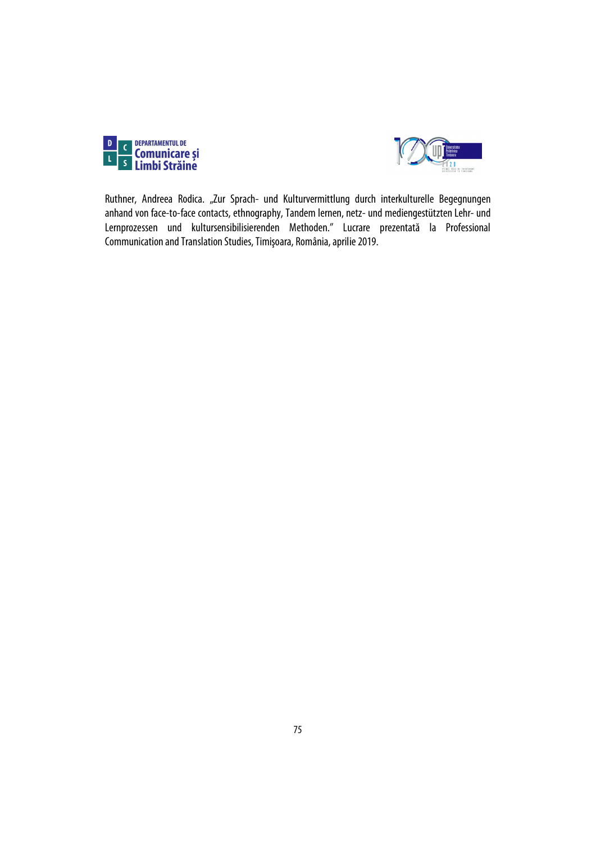



Ruthner, Andreea Rodica. "Zur Sprach- und Kulturvermittlung durch interkulturelle Begegnungen anhand von face-to-face contacts, ethnography, Tandem lernen, netz- und mediengestützten Lehr- und Lernprozessen und kultursensibilisierenden Methoden." Lucrare prezentată la Professional Communication and Translation Studies, Timişoara, România, aprilie 2019.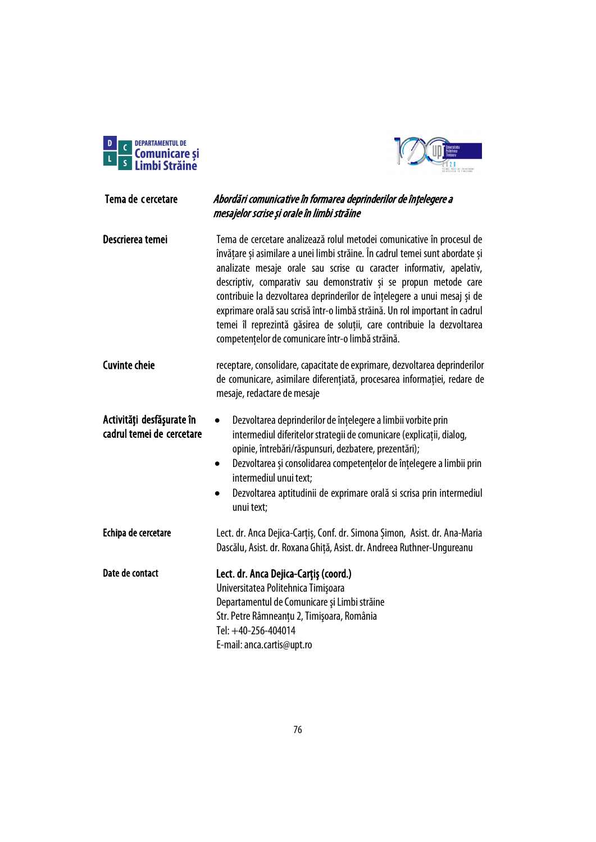



# Tema de cercetare Abordări comunicative în formarea deprinderilor de înțelegere a mesajelor scrise și orale în limbi străine Descrierea temei Tema de cercetare analizează rolul metodei comunicative în procesul de

învățare și asimilare a unei limbi străine. În cadrul temei sunt abordate și analizate mesaje orale sau scrise cu caracter informativ, apelativ, descriptiv, comparativ sau demonstrativ și se propun metode care contribuie la dezvoltarea deprinderilor de înțelegere a unui mesaj și de exprimare orală sau scrisă într-o limbă străină. Un rol important în cadrul temei îl reprezintă găsirea de soluții, care contribuie la dezvoltarea competențelor de comunicare într-o limbă străină.

| <b>Cuvinte cheie</b> | receptare, consolidare, capacitate de exprimare, dezvoltarea deprinderilor |
|----------------------|----------------------------------------------------------------------------|
|                      | de comunicare, asimilare diferențiată, procesarea informației, redare de   |
|                      | mesaje, redactare de mesaje                                                |

#### Activităţi desfăşurate în cadrul temei de cercetare • Dezvoltarea deprinderilor de înțelegere a limbii vorbite prin intermediul diferitelor strategii de comunicare (explicații, dialog, opinie, întrebări/răspunsuri, dezbatere, prezentări);

- Dezvoltarea și consolidarea competențelor de înțelegere a limbii prin intermediul unui text;
- Dezvoltarea aptitudinii de exprimare orală si scrisa prin intermediul unui text;
- Echipa de cercetare Lect. dr. Anca Dejica-Cartis, Conf. dr. Simona Simon, Asist. dr. Ana-Maria Dascălu, Asist. dr. Roxana Ghiță, Asist. dr. Andreea Ruthner-Ungureanu

Date de contact Lect. dr. Anca Dejica-Carțiș (coord.) Universitatea Politehnica Timişoara Departamentul de Comunicare şi Limbi străine Str. Petre Râmneanțu 2, Timişoara, România Tel: +40-256-404014 E-mail: anca.cartis@upt.ro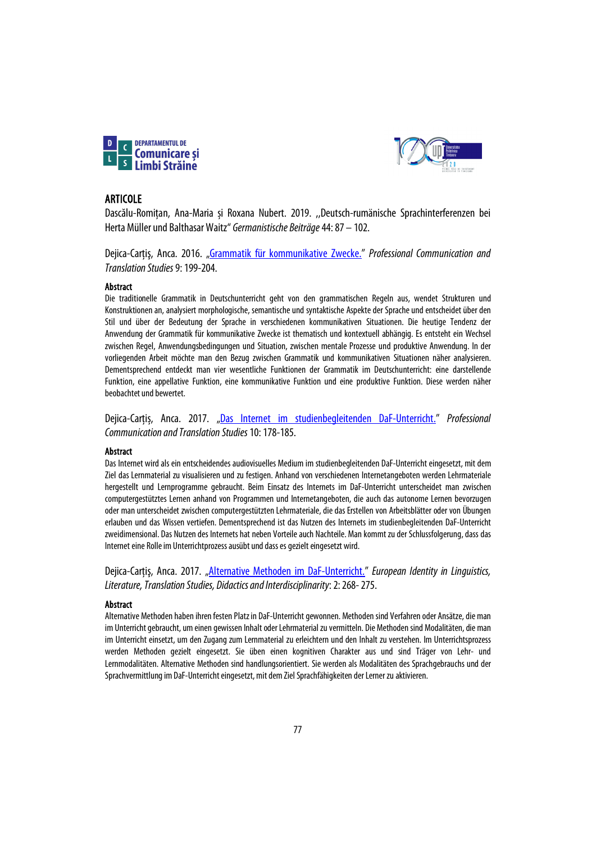



## ARTICOLE

Dascălu-Romițan, Ana-Maria și Roxana Nubert. 2019. ,,Deutsch-rumänische Sprachinterferenzen bei Herta Müller und Balthasar Waitz" *Germanistische Beiträge*44: 87 – 102.

Dejica-Carţiş, Anca. 2016. ["Grammatik für kommunikative Zwecke.](https://www.sc.upt.ro/ro/publicatii/pcts/issues-pcts/121-09-2016)" *Professional Communication and Translation Studies*9: 199-204.

## Abstract

Die traditionelle Grammatik in Deutschunterricht geht von den grammatischen Regeln aus, wendet Strukturen und Konstruktionen an, analysiert morphologische, semantische und syntaktische Aspekte der Sprache und entscheidet über den Stil und über der Bedeutung der Sprache in verschiedenen kommunikativen Situationen. Die heutige Tendenz der Anwendung der Grammatik für kommunikative Zwecke ist thematisch und kontextuell abhängig. Es entsteht ein Wechsel zwischen Regel, Anwendungsbedingungen und Situation, zwischen mentale Prozesse und produktive Anwendung. In der vorliegenden Arbeit möchte man den Bezug zwischen Grammatik und kommunikativen Situationen näher analysieren. Dementsprechend entdeckt man vier wesentliche Funktionen der Grammatik im Deutschunterricht: eine darstellende Funktion, eine appellative Funktion, eine kommunikative Funktion und eine produktive Funktion. Diese werden näher beobachtet und bewertet.

Dejica-Carțiș, Anca. 2017. ["Das Internet im studienbegleitenden DaF-Unterricht."](https://www.sc.upt.ro/ro/publicatii/pcts/issues-pcts/205-10-2017) *Professional*  **Communication and Translation Studies 10: 178-185.** 

#### **Abstract**

Das Internet wird als ein entscheidendes audiovisuelles Medium im studienbegleitenden DaF-Unterricht eingesetzt, mit dem Ziel das Lernmaterial zu visualisieren und zu festigen. Anhand von verschiedenen Internetangeboten werden Lehrmateriale hergestellt und Lernprogramme gebraucht. Beim Einsatz des Internets im DaF-Unterricht unterscheidet man zwischen computergestütztes Lernen anhand von Programmen und Internetangeboten, die auch das autonome Lernen bevorzugen oder man unterscheidet zwischen computergestützten Lehrmateriale, die das Erstellen von Arbeitsblätter oder von Übungen erlauben und das Wissen vertiefen. Dementsprechend ist das Nutzen des Internets im studienbegleitenden DaF-Unterricht zweidimensional. Das Nutzen des Internets hat neben Vorteile auch Nachteile. Man kommt zu der Schlussfolgerung, dass das Internet eine Rolle im Unterrichtprozess ausübt und dass es gezielt eingesetzt wird.

Dejica-Carțiș, Anca. 2017. ["Alternative Methoden im DaF-Unterricht."](https://www.sc.upt.ro/ro/publicatii/buletinul-stiintific/issues-bs/204-17-2018) *European Identity in Linguistics*, *Literature, Translation Studies, Didactics and Interdisciplinarity*: 2: 268-275.

#### **Abstract**

Alternative Methoden haben ihren festen Platz in DaF-Unterricht gewonnen. Methoden sind Verfahren oder Ansätze, die man im Unterricht gebraucht, um einen gewissen Inhalt oder Lehrmaterial zu vermitteln. Die Methoden sind Modalitäten, die man im Unterricht einsetzt, um den Zugang zum Lernmaterial zu erleichtern und den Inhalt zu verstehen. Im Unterrichtsprozess werden Methoden gezielt eingesetzt. Sie üben einen kognitiven Charakter aus und sind Träger von Lehr- und Lernmodalitäten. Alternative Methoden sind handlungsorientiert. Sie werden als Modalitäten des Sprachgebrauchs und der Sprachvermittlung im DaF-Unterricht eingesetzt, mit dem Ziel Sprachfähigkeiten der Lerner zu aktivieren.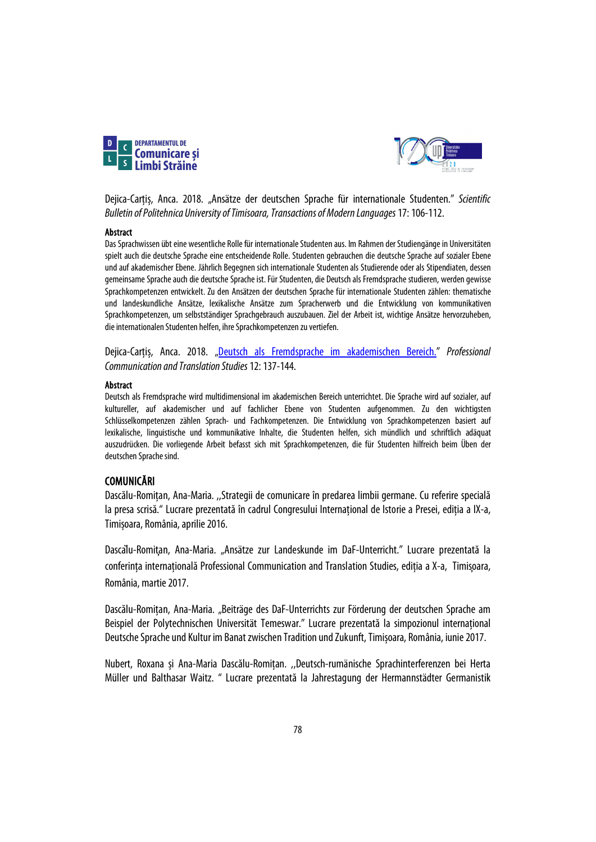



Dejica-Carțiș, Anca. 2018. "Ansätze der deutschen Sprache für internationale Studenten." *Scientific Bulletin of Politehnica University of Timisoara, Transactions of Modern Languages*17: 106-112.

#### Abstract

Das Sprachwissen übt eine wesentliche Rolle für internationale Studenten aus. Im Rahmen der Studiengänge in Universitäten spielt auch die deutsche Sprache eine entscheidende Rolle. Studenten gebrauchen die deutsche Sprache auf sozialer Ebene und auf akademischer Ebene. Jährlich Begegnen sich internationale Studenten als Studierende oder als Stipendiaten, dessen gemeinsame Sprache auch die deutsche Sprache ist. Für Studenten, die Deutsch als Fremdsprache studieren, werden gewisse Sprachkompetenzen entwickelt. Zu den Ansätzen der deutschen Sprache für internationale Studenten zählen: thematische und landeskundliche Ansätze, lexikalische Ansätze zum Spracherwerb und die Entwicklung von kommunikativen Sprachkompetenzen, um selbstständiger Sprachgebrauch auszubauen. Ziel der Arbeit ist, wichtige Ansätze hervorzuheben, die internationalen Studenten helfen, ihre Sprachkompetenzen zu vertiefen.

Dejica-Carțiș, Anca. 2018. ["Deutsch als Fremdsprache im akademischen Bereich.](https://www.sc.upt.ro/ro/publicatii/pcts/issues-pcts/206-11-2018)" *Professional Communication and Translation Studies*12: 137-144.

## Abstract

Deutsch als Fremdsprache wird multidimensional im akademischen Bereich unterrichtet. Die Sprache wird auf sozialer, auf kultureller, auf akademischer und auf fachlicher Ebene von Studenten aufgenommen. Zu den wichtigsten Schlüsselkompetenzen zählen Sprach- und Fachkompetenzen. Die Entwicklung von Sprachkompetenzen basiert auf lexikalische, linguistische und kommunikative Inhalte, die Studenten helfen, sich mündlich und schriftlich adäquat auszudrücken. Die vorliegende Arbeit befasst sich mit Sprachkompetenzen, die für Studenten hilfreich beim Üben der deutschen Sprache sind.

# COMUNICĂRI

Dascălu-Romițan, Ana-Maria. ,,Strategii de comunicare în predarea limbii germane. Cu referire specială la presa scrisă." Lucrare prezentată în cadrul Congresului Internațional de Istorie a Presei, ediția a IX-a, Timișoara, România,aprilie 2016.

Dascălu-Romițan, Ana-Maria. "Ansätze zur Landeskunde im DaF-Unterricht." Lucrare prezentată la conferința internațională Professional Communication and Translation Studies, ediția a X-a, Timisoara, România, martie 2017.

Dascălu-Romițan, Ana-Maria. "Beiträge des DaF-Unterrichts zur Förderung der deutschen Sprache am Beispiel der Polytechnischen Universität Temeswar." Lucrare prezentată la simpozionul internațional Deutsche Sprache und Kultur im Banat zwischen Tradition und Zukunft, Timișoara, România, iunie 2017.

Nubert, Roxana și Ana-Maria Dascălu-Romițan. ,,Deutsch-rumänische Sprachinterferenzen bei Herta Müller und Balthasar Waitz. " Lucrare prezentată la Jahrestagung der Hermannstädter Germanistik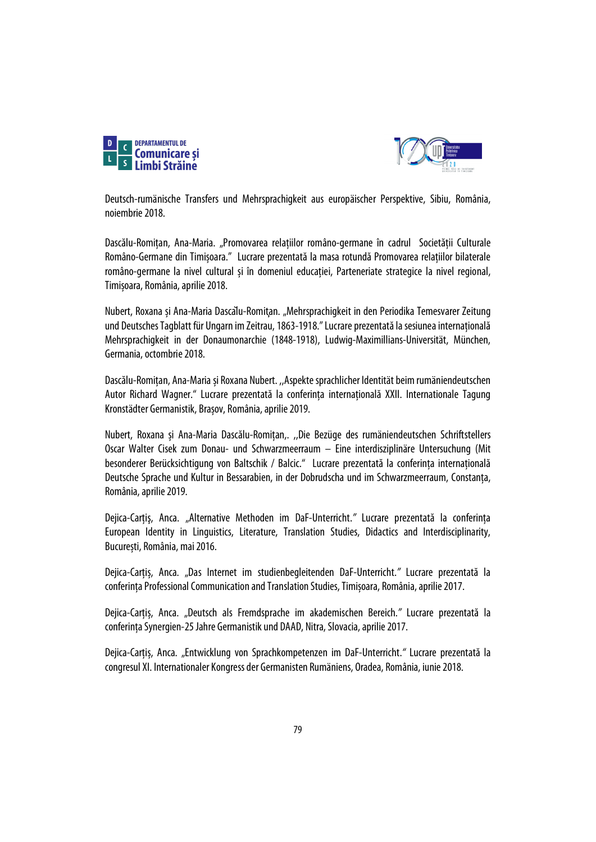



Deutsch-rumänische Transfers und Mehrsprachigkeit aus europäischer Perspektive, Sibiu, România, noiembrie 2018.

Dascălu-Romițan, Ana-Maria. "Promovarea relațiilor româno-germane în cadrul Societății Culturale Româno-Germane din Timișoara." Lucrare prezentată la masa rotundă Promovarea relațiilor bilaterale româno-germane la nivel cultural și în domeniul educației, Parteneriate strategice la nivel regional, Timișoara, România, aprilie 2018.

Nubert, Roxana și Ana-Maria Dascălu-Romițan. "Mehrsprachigkeit in den Periodika Temesvarer Zeitung und Deutsches Tagblatt für Ungarn im Zeitrau, 1863-1918."Lucrare prezentată la sesiunea internațională Mehrsprachigkeit in der Donaumonarchie (1848-1918), Ludwig-Maximillians-Universität, München, Germania, octombrie 2018.

Dascălu-Romițan, Ana-Maria și Roxana Nubert. ,,Aspekte sprachlicher Identität beim rumäniendeutschen Autor Richard Wagner." Lucrare prezentată la conferința internațională XXII. Internationale Tagung Kronstädter Germanistik, Brașov, România, aprilie 2019.

Nubert, Roxana și Ana-Maria Dascălu-Romițan,. ,,Die Bezüge des rumäniendeutschen Schriftstellers Oscar Walter Cisek zum Donau- und Schwarzmeerraum – Eine interdisziplinäre Untersuchung (Mit besonderer Berücksichtigung von Baltschik / Balcic." Lucrare prezentată la conferința internațională Deutsche Sprache und Kultur in Bessarabien, in der Dobrudscha und im Schwarzmeerraum, Constanța, România, aprilie 2019.

Dejica-Carțiș, Anca. "Alternative Methoden im DaF-Unterricht." Lucrare prezentată la conferința European Identity in Linguistics, Literature, Translation Studies, Didactics and Interdisciplinarity, București, România, mai2016.

Dejica-Carțiș, Anca. "Das Internet im studienbegleitenden DaF-Unterricht.*"* Lucrare prezentată la conferinta Professional Communication and Translation Studies, Timișoara, România, aprilie 2017.

Dejica-Carțiș, Anca. "Deutsch als Fremdsprache im akademischen Bereich.*"* Lucrare prezentată la conferințaSynergien-25 Jahre Germanistik und DAAD, Nitra, Slovacia, aprilie 2017.

Dejica-Carțiș, Anca. "Entwicklung von Sprachkompetenzen im DaF-Unterricht.*"* Lucrare prezentată la congresulXI. Internationaler Kongress der Germanisten Rumäniens, Oradea, România, iunie 2018.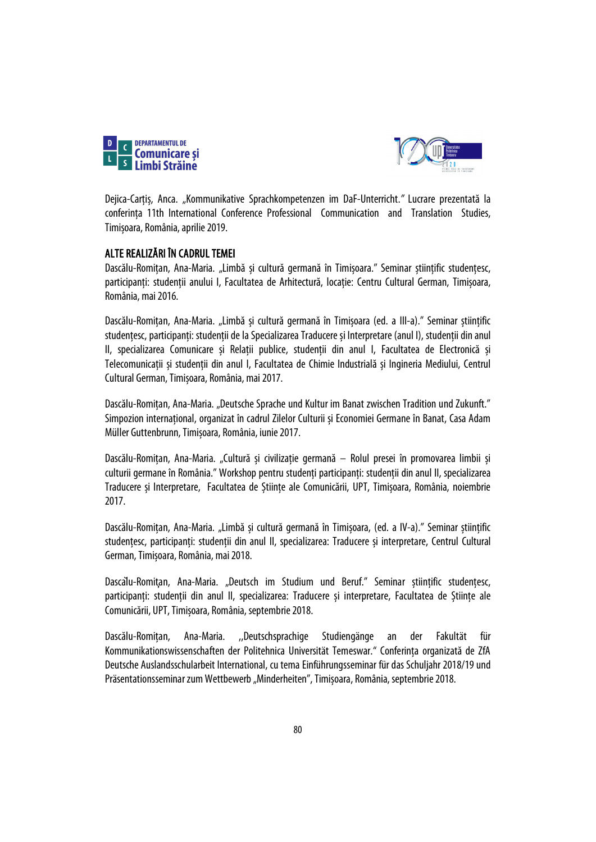



Dejica-Carțiș, Anca. "Kommunikative Sprachkompetenzen im DaF-Unterricht.*"* Lucrare prezentată la conferința 11th International Conference Professional Communication and Translation Studies, Timișoara, România, aprilie 2019.

# ALTE REALIZĂRI ÎN CADRUL TEMEI

Dascălu-Romițan, Ana-Maria. "Limbă și cultură germană în Timișoara." Seminar științific studențesc, participanți: studenții anului I, Facultatea de Arhitectură, locație: Centru Cultural German, Timișoara, România, mai 2016.

Dascălu-Romițan, Ana-Maria. "Limbă și cultură germană în Timișoara (ed. a III-a)." Seminar științific studențesc, participanți: studenții de la Specializarea Traducere și Interpretare (anul I), studenții din anul II, specializarea Comunicare și Relații publice, studenții din anul I, Facultatea de Electronică și Telecomunicații și studenții din anul I, Facultatea de Chimie Industrială și Ingineria Mediului, Centrul Cultural German, Timișoara, România, mai 2017.

Dascălu-Romițan, Ana-Maria. "Deutsche Sprache und Kultur im Banat zwischen Tradition und Zukunft." Simpozion internațional, organizat în cadrul Zilelor Culturii și Economiei Germane în Banat, Casa Adam Müller Guttenbrunn, Timișoara, România, iunie 2017.

Dascălu-Romițan, Ana-Maria. "Cultură și civilizație germană – Rolul presei în promovarea limbii și culturii germane în România." Workshop pentru studenți participanți: studenții din anul II, specializarea Traducere și Interpretare, Facultatea de Științe ale Comunicării, UPT, Timișoara, România, noiembrie 2017.

Dascălu-Romitan, Ana-Maria. "Limbă și cultură germană în Timișoara, (ed. a IV-a)." Seminar științific studențesc, participanți: studenții din anul II, specializarea: Traducere și interpretare, Centrul Cultural German,Timișoara, România, mai 2018.

Dascalu-Romitan, Ana-Maria. "Deutsch im Studium und Beruf." Seminar științific studențesc, participanți: studenții din anul II, specializarea: Traducere și interpretare, Facultatea de Științe ale Comunicării, UPT, Timișoara, România, septembrie 2018.

Dascălu-Romițan, Ana-Maria. ,,Deutschsprachige Studiengänge an der Fakultät für Kommunikationswissenschaften der Politehnica Universität Temeswar." Conferința organizată de ZfA Deutsche Auslandsschularbeit International, cu tema Einführungsseminar für das Schuljahr 2018/19 und Präsentationsseminar zum Wettbewerb "Minderheiten", Timișoara, România, septembrie 2018.